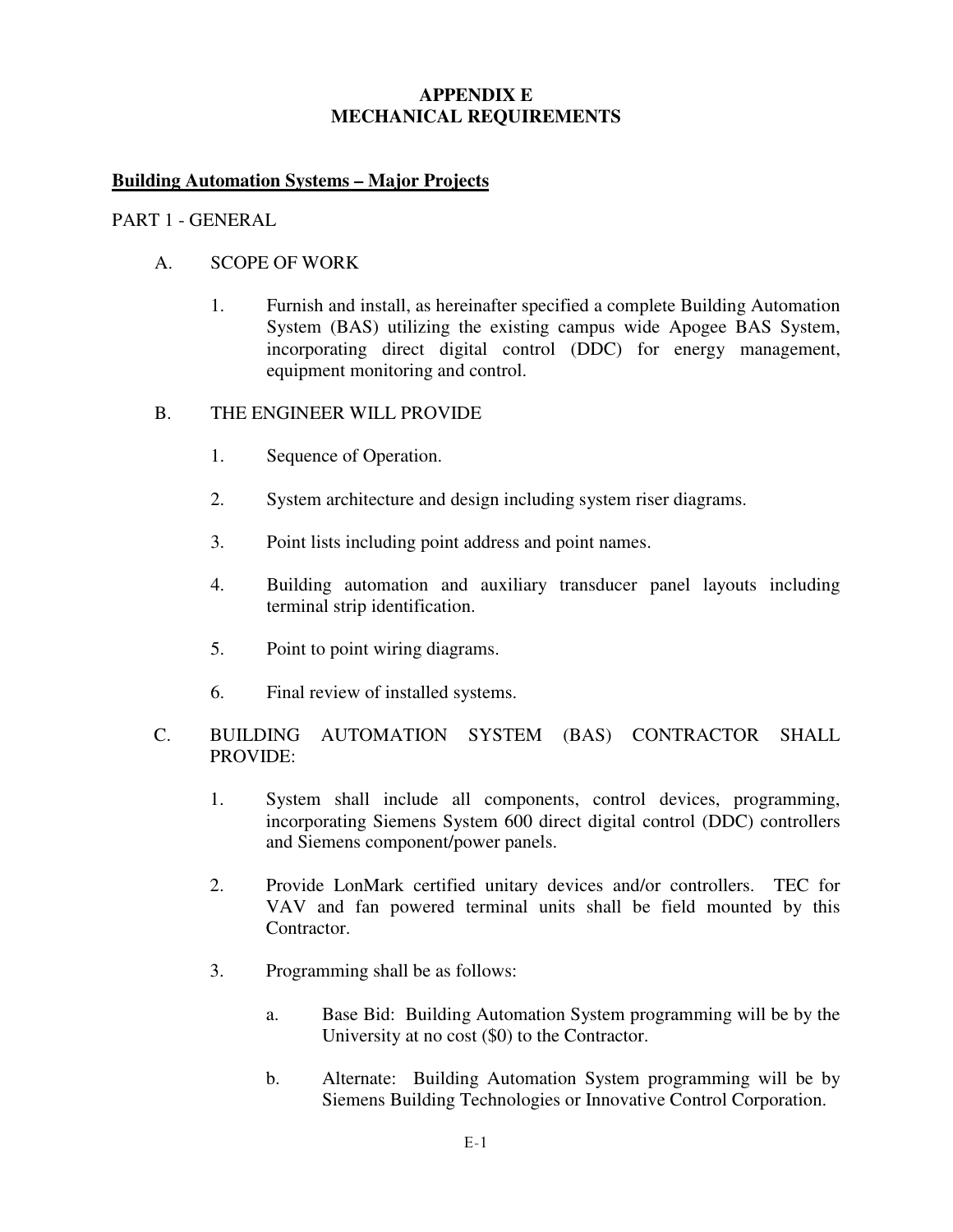# **APPENDIX E MECHANICAL REQUIREMENTS**

## **Building Automation Systems – Major Projects**

#### PART 1 - GENERAL

### A. SCOPE OF WORK

 1. Furnish and install, as hereinafter specified a complete Building Automation System (BAS) utilizing the existing campus wide Apogee BAS System, incorporating direct digital control (DDC) for energy management, equipment monitoring and control.

#### B. THE ENGINEER WILL PROVIDE

- 1. Sequence of Operation.
- 2. System architecture and design including system riser diagrams.
- 3. Point lists including point address and point names.
- 4. Building automation and auxiliary transducer panel layouts including terminal strip identification.
- 5. Point to point wiring diagrams.
- 6. Final review of installed systems.
- C. BUILDING AUTOMATION SYSTEM (BAS) CONTRACTOR SHALL PROVIDE:
	- 1. System shall include all components, control devices, programming, incorporating Siemens System 600 direct digital control (DDC) controllers and Siemens component/power panels.
	- 2. Provide LonMark certified unitary devices and/or controllers. TEC for VAV and fan powered terminal units shall be field mounted by this Contractor.
	- 3. Programming shall be as follows:
		- a. Base Bid: Building Automation System programming will be by the University at no cost (\$0) to the Contractor.
		- b. Alternate: Building Automation System programming will be by Siemens Building Technologies or Innovative Control Corporation.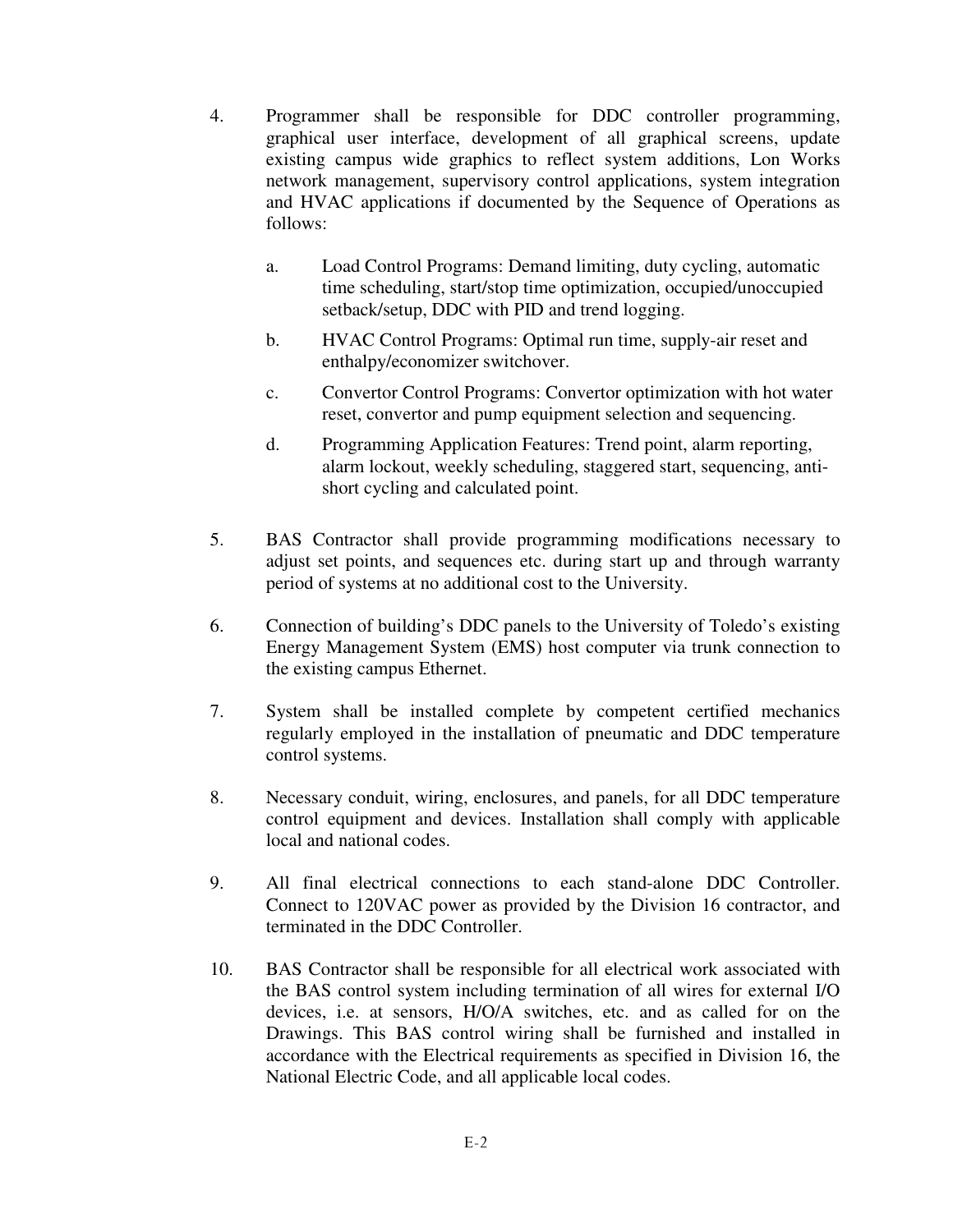- 4. Programmer shall be responsible for DDC controller programming, graphical user interface, development of all graphical screens, update existing campus wide graphics to reflect system additions, Lon Works network management, supervisory control applications, system integration and HVAC applications if documented by the Sequence of Operations as follows:
	- a. Load Control Programs: Demand limiting, duty cycling, automatic time scheduling, start/stop time optimization, occupied/unoccupied setback/setup, DDC with PID and trend logging.
	- b. HVAC Control Programs: Optimal run time, supply-air reset and enthalpy/economizer switchover.
	- c. Convertor Control Programs: Convertor optimization with hot water reset, convertor and pump equipment selection and sequencing.
	- d. Programming Application Features: Trend point, alarm reporting, alarm lockout, weekly scheduling, staggered start, sequencing, antishort cycling and calculated point.
- 5. BAS Contractor shall provide programming modifications necessary to adjust set points, and sequences etc. during start up and through warranty period of systems at no additional cost to the University.
- 6. Connection of building's DDC panels to the University of Toledo's existing Energy Management System (EMS) host computer via trunk connection to the existing campus Ethernet.
- 7. System shall be installed complete by competent certified mechanics regularly employed in the installation of pneumatic and DDC temperature control systems.
- 8. Necessary conduit, wiring, enclosures, and panels, for all DDC temperature control equipment and devices. Installation shall comply with applicable local and national codes.
- 9. All final electrical connections to each stand-alone DDC Controller. Connect to 120VAC power as provided by the Division 16 contractor, and terminated in the DDC Controller.
- 10. BAS Contractor shall be responsible for all electrical work associated with the BAS control system including termination of all wires for external I/O devices, i.e. at sensors, H/O/A switches, etc. and as called for on the Drawings. This BAS control wiring shall be furnished and installed in accordance with the Electrical requirements as specified in Division 16, the National Electric Code, and all applicable local codes.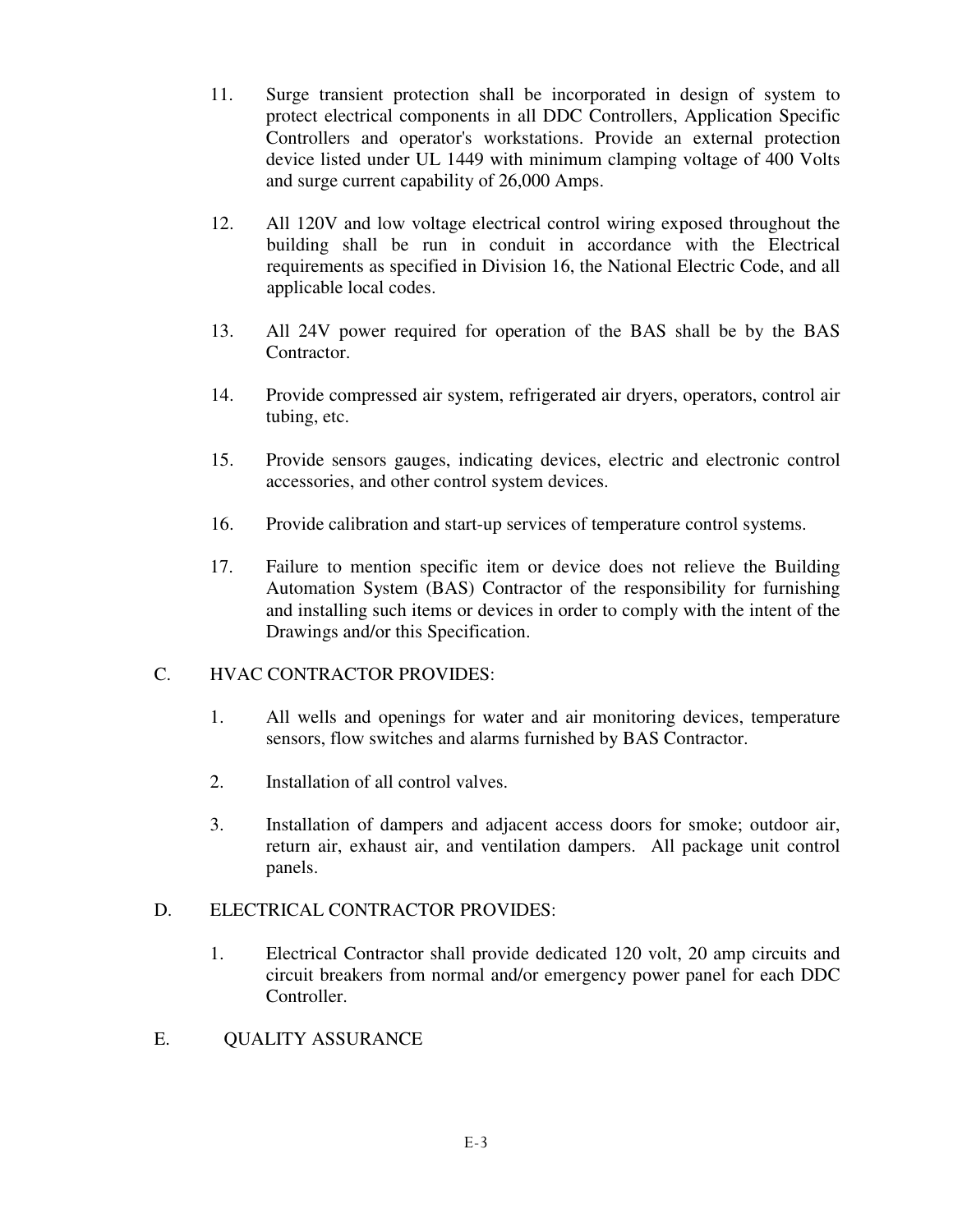- 11. Surge transient protection shall be incorporated in design of system to protect electrical components in all DDC Controllers, Application Specific Controllers and operator's workstations. Provide an external protection device listed under UL 1449 with minimum clamping voltage of 400 Volts and surge current capability of 26,000 Amps.
- 12. All 120V and low voltage electrical control wiring exposed throughout the building shall be run in conduit in accordance with the Electrical requirements as specified in Division 16, the National Electric Code, and all applicable local codes.
- 13. All 24V power required for operation of the BAS shall be by the BAS Contractor.
- 14. Provide compressed air system, refrigerated air dryers, operators, control air tubing, etc.
- 15. Provide sensors gauges, indicating devices, electric and electronic control accessories, and other control system devices.
- 16. Provide calibration and start-up services of temperature control systems.
- 17. Failure to mention specific item or device does not relieve the Building Automation System (BAS) Contractor of the responsibility for furnishing and installing such items or devices in order to comply with the intent of the Drawings and/or this Specification.

### C. HVAC CONTRACTOR PROVIDES:

- 1. All wells and openings for water and air monitoring devices, temperature sensors, flow switches and alarms furnished by BAS Contractor.
- 2. Installation of all control valves.
- 3. Installation of dampers and adjacent access doors for smoke; outdoor air, return air, exhaust air, and ventilation dampers. All package unit control panels.

# D. ELECTRICAL CONTRACTOR PROVIDES:

- 1. Electrical Contractor shall provide dedicated 120 volt, 20 amp circuits and circuit breakers from normal and/or emergency power panel for each DDC Controller.
- E. QUALITY ASSURANCE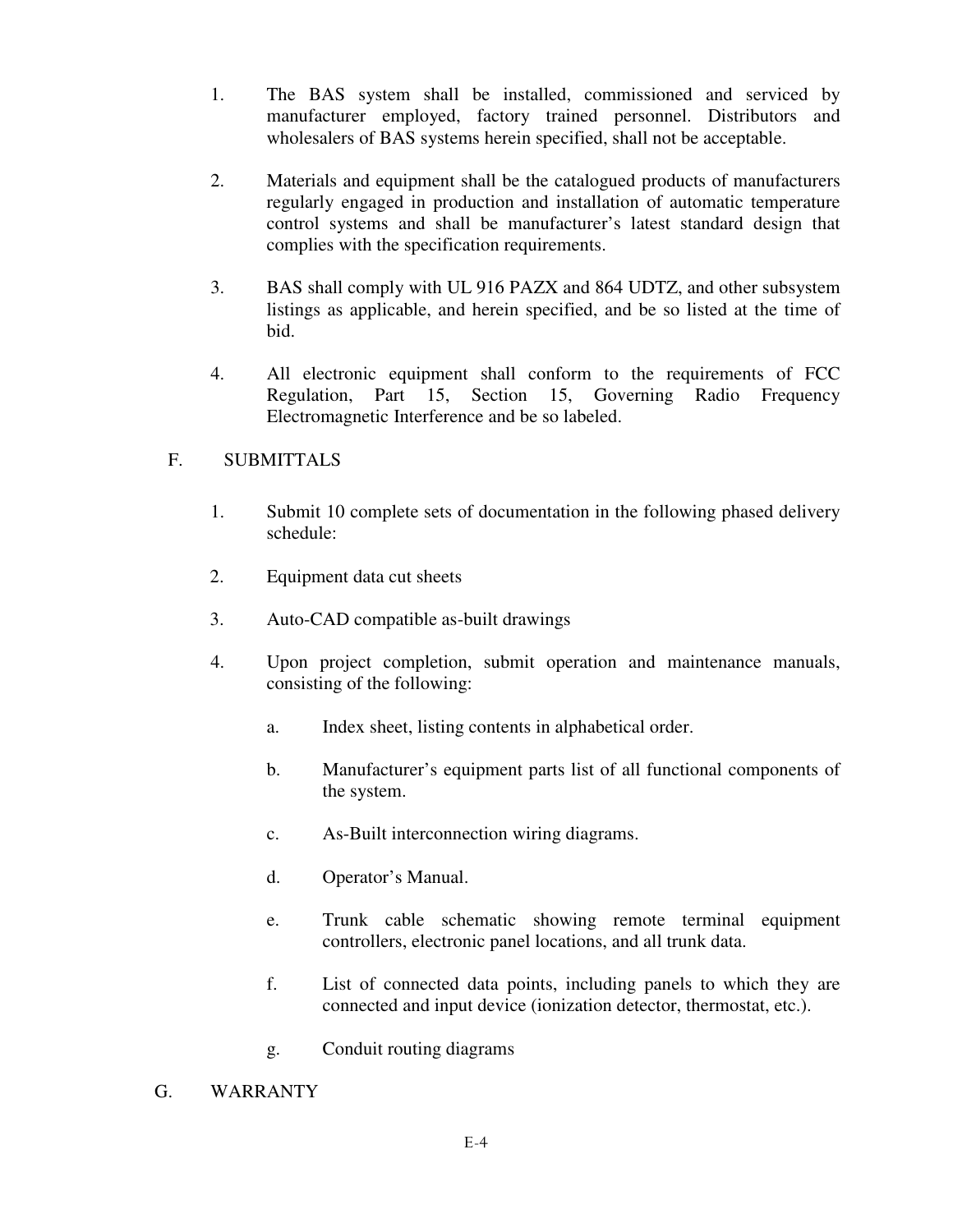- 1. The BAS system shall be installed, commissioned and serviced by manufacturer employed, factory trained personnel. Distributors and wholesalers of BAS systems herein specified, shall not be acceptable.
- 2. Materials and equipment shall be the catalogued products of manufacturers regularly engaged in production and installation of automatic temperature control systems and shall be manufacturer's latest standard design that complies with the specification requirements.
- 3. BAS shall comply with UL 916 PAZX and 864 UDTZ, and other subsystem listings as applicable, and herein specified, and be so listed at the time of bid.
- 4. All electronic equipment shall conform to the requirements of FCC Regulation, Part 15, Section 15, Governing Radio Frequency Electromagnetic Interference and be so labeled.

# F. SUBMITTALS

- 1. Submit 10 complete sets of documentation in the following phased delivery schedule:
- 2. Equipment data cut sheets
- 3. Auto-CAD compatible as-built drawings
- 4. Upon project completion, submit operation and maintenance manuals, consisting of the following:
	- a. Index sheet, listing contents in alphabetical order.
	- b. Manufacturer's equipment parts list of all functional components of the system.
	- c. As-Built interconnection wiring diagrams.
	- d. Operator's Manual.
	- e. Trunk cable schematic showing remote terminal equipment controllers, electronic panel locations, and all trunk data.
	- f. List of connected data points, including panels to which they are connected and input device (ionization detector, thermostat, etc.).
	- g. Conduit routing diagrams
- G. WARRANTY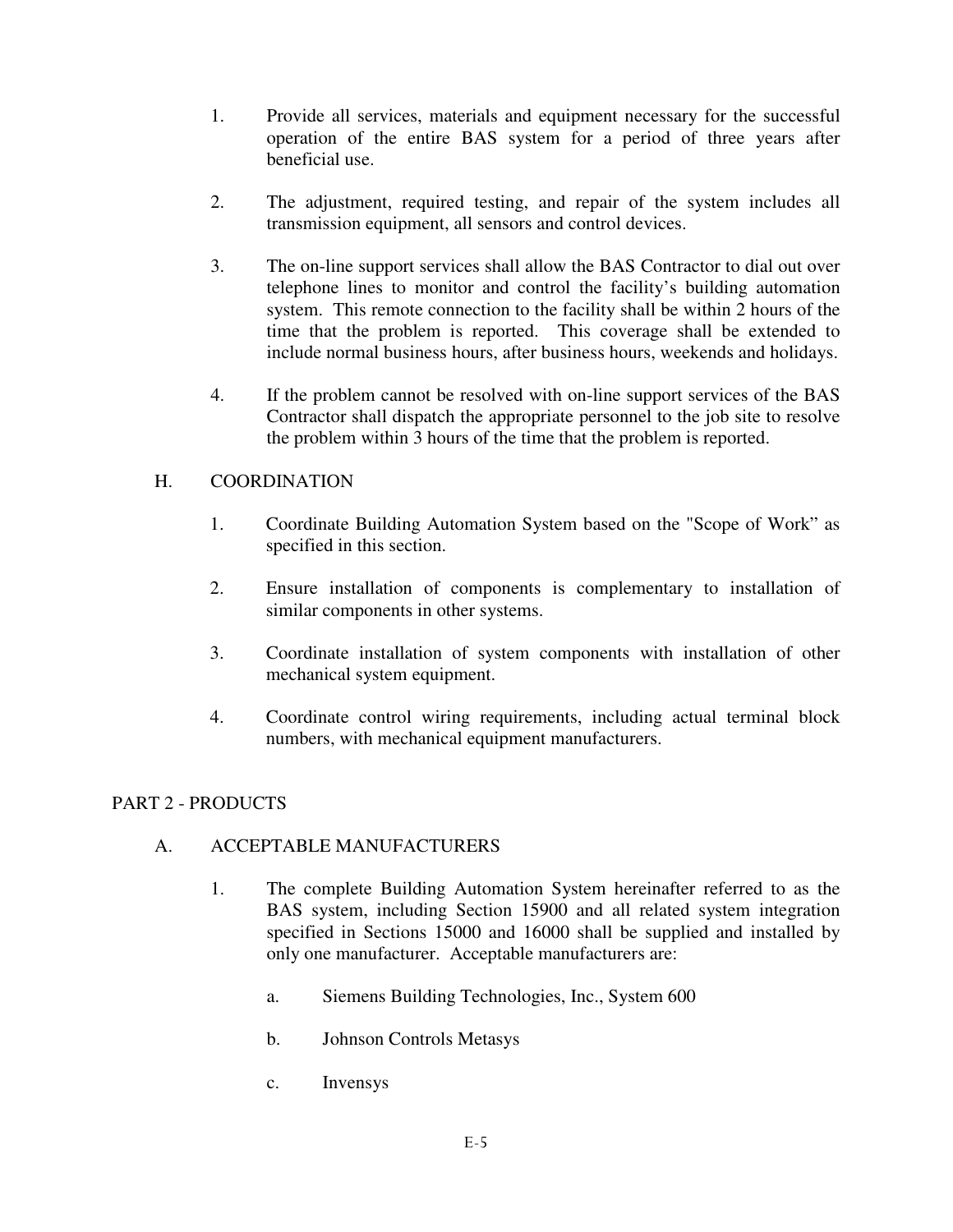- 1. Provide all services, materials and equipment necessary for the successful operation of the entire BAS system for a period of three years after beneficial use.
- 2. The adjustment, required testing, and repair of the system includes all transmission equipment, all sensors and control devices.
- 3. The on-line support services shall allow the BAS Contractor to dial out over telephone lines to monitor and control the facility's building automation system. This remote connection to the facility shall be within 2 hours of the time that the problem is reported. This coverage shall be extended to include normal business hours, after business hours, weekends and holidays.
- 4. If the problem cannot be resolved with on-line support services of the BAS Contractor shall dispatch the appropriate personnel to the job site to resolve the problem within 3 hours of the time that the problem is reported.

## H. COORDINATION

- 1. Coordinate Building Automation System based on the "Scope of Work" as specified in this section.
- 2. Ensure installation of components is complementary to installation of similar components in other systems.
- 3. Coordinate installation of system components with installation of other mechanical system equipment.
- 4. Coordinate control wiring requirements, including actual terminal block numbers, with mechanical equipment manufacturers.

# PART 2 - PRODUCTS

# A. ACCEPTABLE MANUFACTURERS

- 1. The complete Building Automation System hereinafter referred to as the BAS system, including Section 15900 and all related system integration specified in Sections 15000 and 16000 shall be supplied and installed by only one manufacturer. Acceptable manufacturers are:
	- a. Siemens Building Technologies, Inc., System 600
	- b. Johnson Controls Metasys
	- c. Invensys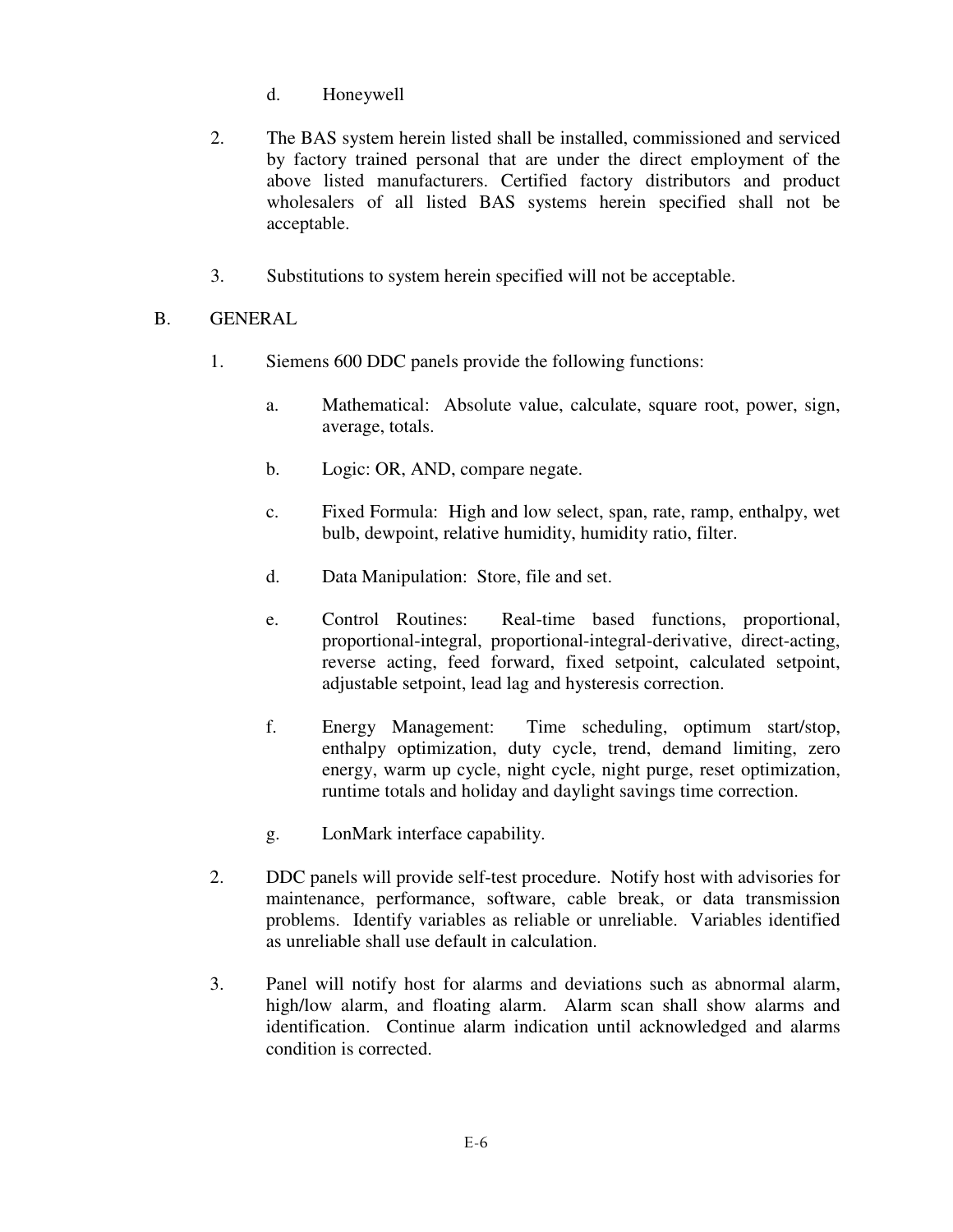- d. Honeywell
- 2. The BAS system herein listed shall be installed, commissioned and serviced by factory trained personal that are under the direct employment of the above listed manufacturers. Certified factory distributors and product wholesalers of all listed BAS systems herein specified shall not be acceptable.
- 3. Substitutions to system herein specified will not be acceptable.

# B. GENERAL

- 1. Siemens 600 DDC panels provide the following functions:
	- a. Mathematical: Absolute value, calculate, square root, power, sign, average, totals.
	- b. Logic: OR, AND, compare negate.
	- c. Fixed Formula: High and low select, span, rate, ramp, enthalpy, wet bulb, dewpoint, relative humidity, humidity ratio, filter.
	- d. Data Manipulation: Store, file and set.
	- e. Control Routines: Real-time based functions, proportional, proportional-integral, proportional-integral-derivative, direct-acting, reverse acting, feed forward, fixed setpoint, calculated setpoint, adjustable setpoint, lead lag and hysteresis correction.
	- f. Energy Management: Time scheduling, optimum start/stop, enthalpy optimization, duty cycle, trend, demand limiting, zero energy, warm up cycle, night cycle, night purge, reset optimization, runtime totals and holiday and daylight savings time correction.
	- g. LonMark interface capability.
- 2. DDC panels will provide self-test procedure. Notify host with advisories for maintenance, performance, software, cable break, or data transmission problems. Identify variables as reliable or unreliable. Variables identified as unreliable shall use default in calculation.
- 3. Panel will notify host for alarms and deviations such as abnormal alarm, high/low alarm, and floating alarm. Alarm scan shall show alarms and identification. Continue alarm indication until acknowledged and alarms condition is corrected.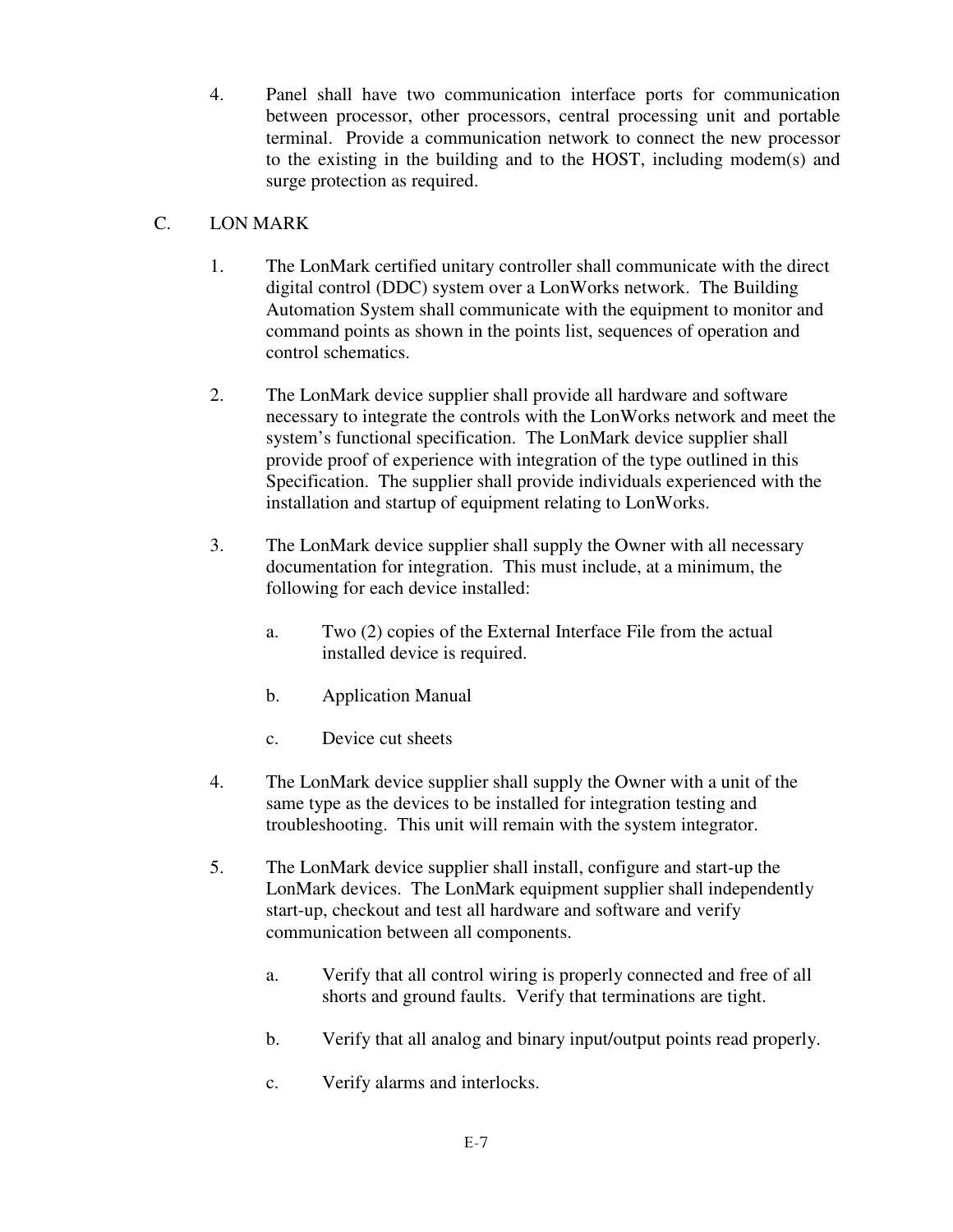4. Panel shall have two communication interface ports for communication between processor, other processors, central processing unit and portable terminal. Provide a communication network to connect the new processor to the existing in the building and to the HOST, including modem(s) and surge protection as required.

# C. LON MARK

- 1. The LonMark certified unitary controller shall communicate with the direct digital control (DDC) system over a LonWorks network. The Building Automation System shall communicate with the equipment to monitor and command points as shown in the points list, sequences of operation and control schematics.
- 2. The LonMark device supplier shall provide all hardware and software necessary to integrate the controls with the LonWorks network and meet the system's functional specification. The LonMark device supplier shall provide proof of experience with integration of the type outlined in this Specification. The supplier shall provide individuals experienced with the installation and startup of equipment relating to LonWorks.
- 3. The LonMark device supplier shall supply the Owner with all necessary documentation for integration. This must include, at a minimum, the following for each device installed:
	- a. Two (2) copies of the External Interface File from the actual installed device is required.
	- b. Application Manual
	- c. Device cut sheets
- 4. The LonMark device supplier shall supply the Owner with a unit of the same type as the devices to be installed for integration testing and troubleshooting. This unit will remain with the system integrator.
- 5. The LonMark device supplier shall install, configure and start-up the LonMark devices. The LonMark equipment supplier shall independently start-up, checkout and test all hardware and software and verify communication between all components.
	- a. Verify that all control wiring is properly connected and free of all shorts and ground faults. Verify that terminations are tight.
	- b. Verify that all analog and binary input/output points read properly.
	- c. Verify alarms and interlocks.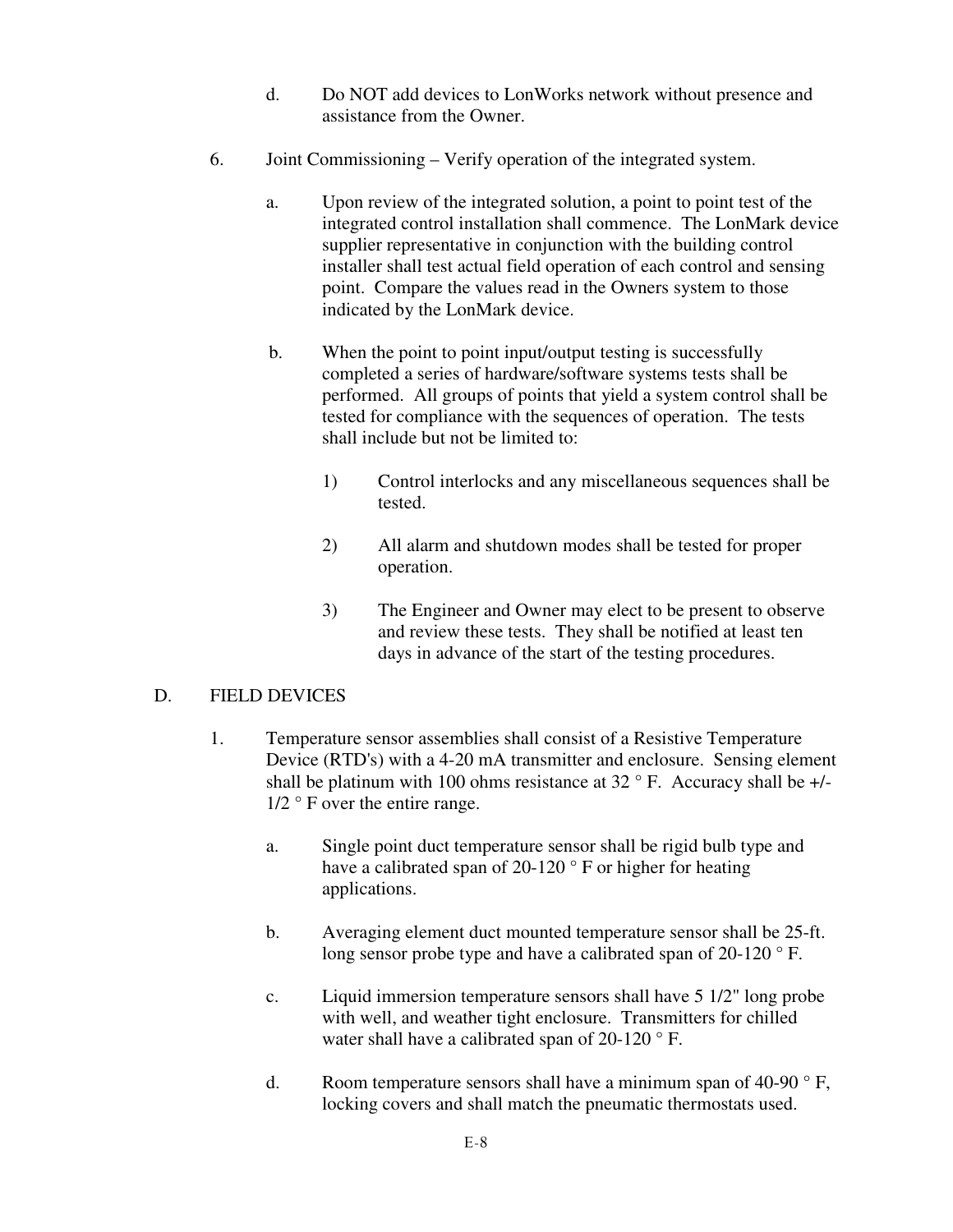- d. Do NOT add devices to LonWorks network without presence and assistance from the Owner.
- 6. Joint Commissioning Verify operation of the integrated system.
	- a. Upon review of the integrated solution, a point to point test of the integrated control installation shall commence. The LonMark device supplier representative in conjunction with the building control installer shall test actual field operation of each control and sensing point. Compare the values read in the Owners system to those indicated by the LonMark device.
	- b. When the point to point input/output testing is successfully completed a series of hardware/software systems tests shall be performed. All groups of points that yield a system control shall be tested for compliance with the sequences of operation. The tests shall include but not be limited to:
		- 1) Control interlocks and any miscellaneous sequences shall be tested.
		- 2) All alarm and shutdown modes shall be tested for proper operation.
		- 3) The Engineer and Owner may elect to be present to observe and review these tests. They shall be notified at least ten days in advance of the start of the testing procedures.

### D. FIELD DEVICES

- 1. Temperature sensor assemblies shall consist of a Resistive Temperature Device (RTD's) with a 4-20 mA transmitter and enclosure. Sensing element shall be platinum with 100 ohms resistance at  $32^{\circ}$  F. Accuracy shall be  $+/ 1/2$  ° F over the entire range.
	- a. Single point duct temperature sensor shall be rigid bulb type and have a calibrated span of 20-120 ° F or higher for heating applications.
	- b. Averaging element duct mounted temperature sensor shall be 25-ft. long sensor probe type and have a calibrated span of 20-120 °F.
	- c. Liquid immersion temperature sensors shall have 5 1/2" long probe with well, and weather tight enclosure. Transmitters for chilled water shall have a calibrated span of 20-120 °F.
	- d. Room temperature sensors shall have a minimum span of  $40-90^\circ$  F, locking covers and shall match the pneumatic thermostats used.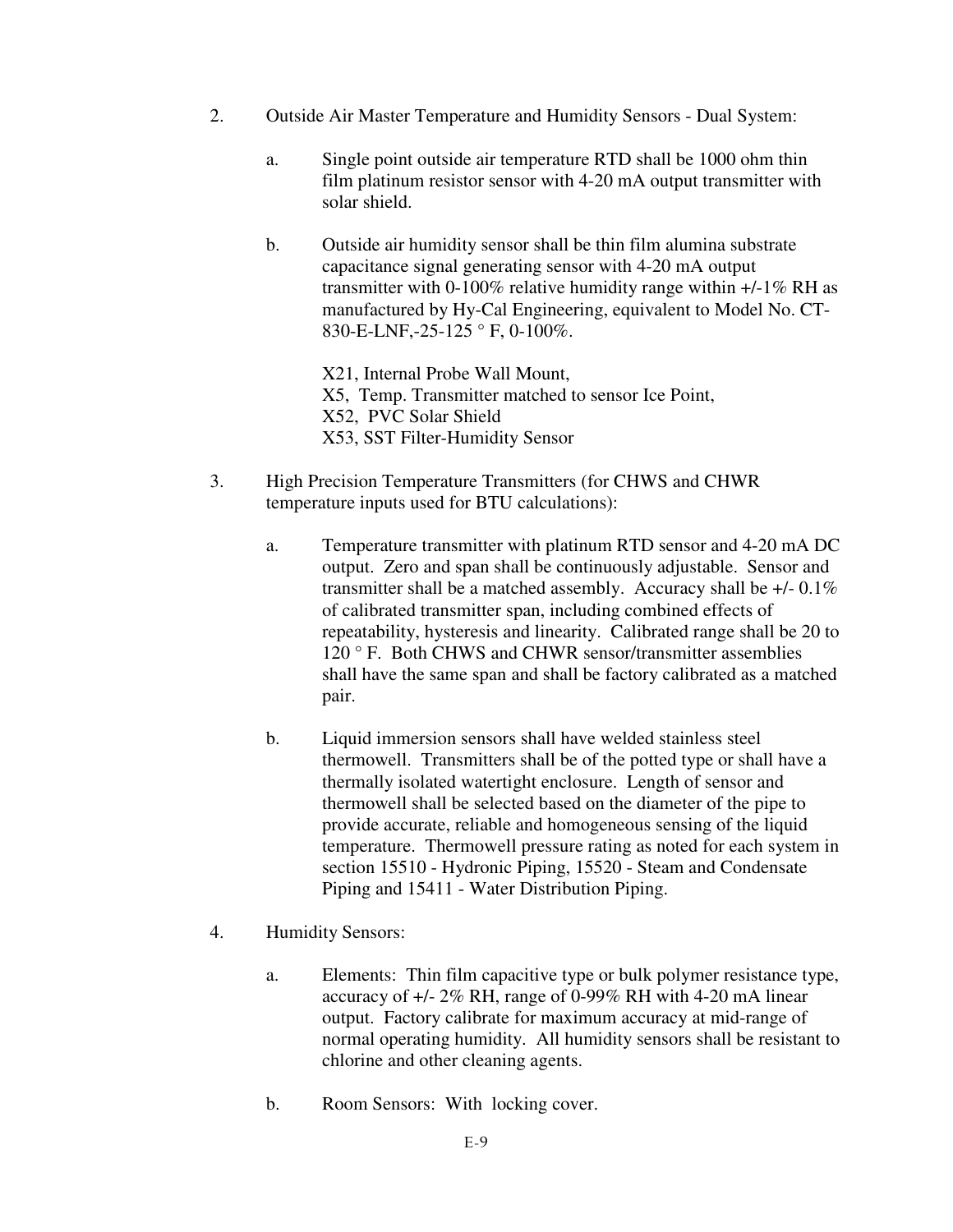- 2. Outside Air Master Temperature and Humidity Sensors Dual System:
	- a. Single point outside air temperature RTD shall be 1000 ohm thin film platinum resistor sensor with 4-20 mA output transmitter with solar shield.
	- b. Outside air humidity sensor shall be thin film alumina substrate capacitance signal generating sensor with 4-20 mA output transmitter with 0-100% relative humidity range within +/-1% RH as manufactured by Hy-Cal Engineering, equivalent to Model No. CT-830-E-LNF,-25-125 ° F, 0-100%.

 X21, Internal Probe Wall Mount, X5, Temp. Transmitter matched to sensor Ice Point, X52, PVC Solar Shield X53, SST Filter-Humidity Sensor

- 3. High Precision Temperature Transmitters (for CHWS and CHWR temperature inputs used for BTU calculations):
	- a. Temperature transmitter with platinum RTD sensor and 4-20 mA DC output. Zero and span shall be continuously adjustable. Sensor and transmitter shall be a matched assembly. Accuracy shall be +/- 0.1% of calibrated transmitter span, including combined effects of repeatability, hysteresis and linearity. Calibrated range shall be 20 to 120 ° F. Both CHWS and CHWR sensor/transmitter assemblies shall have the same span and shall be factory calibrated as a matched pair.
	- b. Liquid immersion sensors shall have welded stainless steel thermowell. Transmitters shall be of the potted type or shall have a thermally isolated watertight enclosure. Length of sensor and thermowell shall be selected based on the diameter of the pipe to provide accurate, reliable and homogeneous sensing of the liquid temperature. Thermowell pressure rating as noted for each system in section 15510 - Hydronic Piping, 15520 - Steam and Condensate Piping and 15411 - Water Distribution Piping.
- 4. Humidity Sensors:
	- a. Elements: Thin film capacitive type or bulk polymer resistance type, accuracy of +/- 2% RH, range of 0-99% RH with 4-20 mA linear output. Factory calibrate for maximum accuracy at mid-range of normal operating humidity. All humidity sensors shall be resistant to chlorine and other cleaning agents.
	- b. Room Sensors: With locking cover.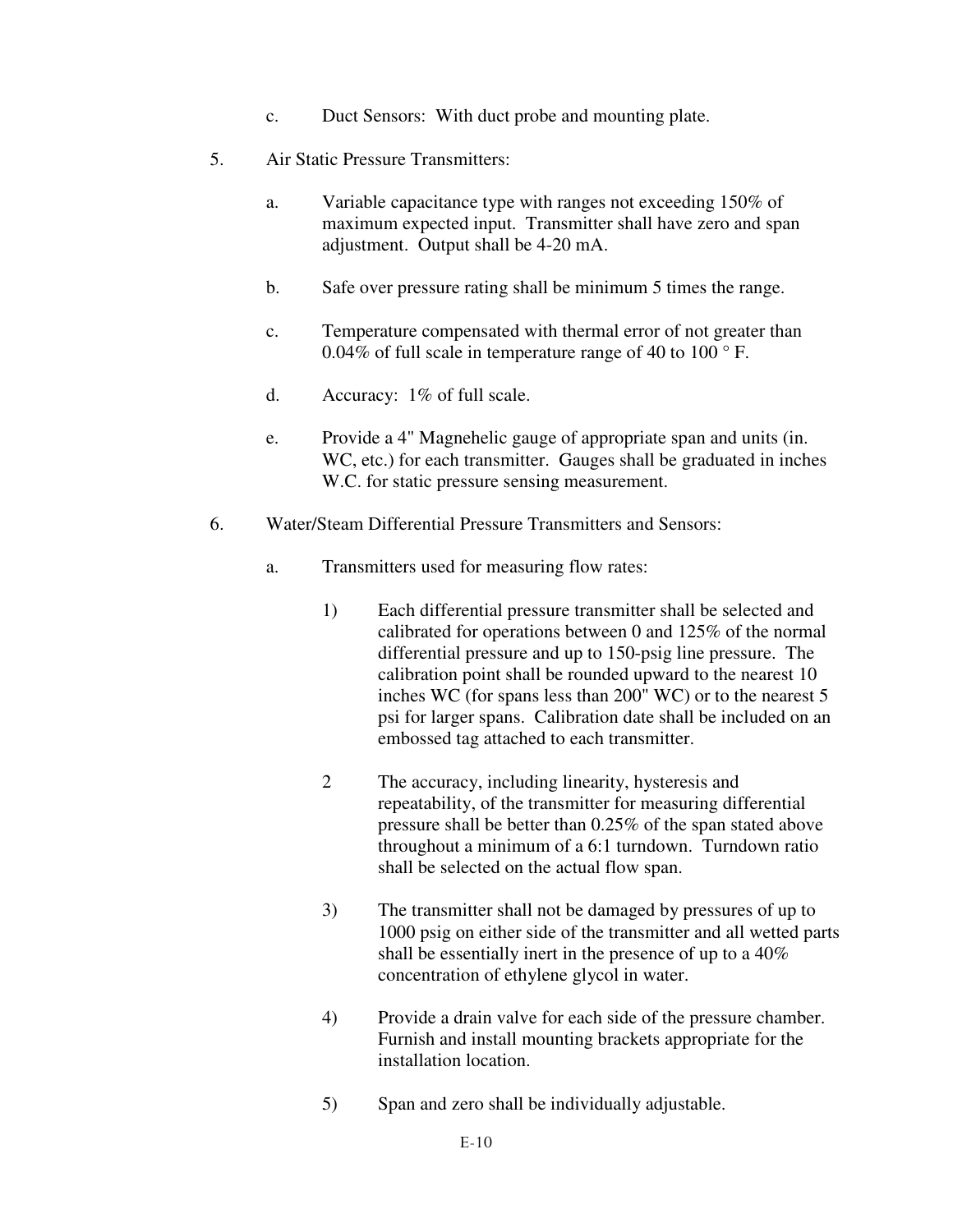- c. Duct Sensors: With duct probe and mounting plate.
- 5. Air Static Pressure Transmitters:
	- a. Variable capacitance type with ranges not exceeding 150% of maximum expected input. Transmitter shall have zero and span adjustment. Output shall be 4-20 mA.
	- b. Safe over pressure rating shall be minimum 5 times the range.
	- c. Temperature compensated with thermal error of not greater than 0.04% of full scale in temperature range of 40 to 100 ° F.
	- d. Accuracy: 1% of full scale.
	- e. Provide a 4" Magnehelic gauge of appropriate span and units (in. WC, etc.) for each transmitter. Gauges shall be graduated in inches W.C. for static pressure sensing measurement.
- 6. Water/Steam Differential Pressure Transmitters and Sensors:
	- a. Transmitters used for measuring flow rates:
		- 1) Each differential pressure transmitter shall be selected and calibrated for operations between 0 and 125% of the normal differential pressure and up to 150-psig line pressure. The calibration point shall be rounded upward to the nearest 10 inches WC (for spans less than 200" WC) or to the nearest 5 psi for larger spans. Calibration date shall be included on an embossed tag attached to each transmitter.
		- 2 The accuracy, including linearity, hysteresis and repeatability, of the transmitter for measuring differential pressure shall be better than 0.25% of the span stated above throughout a minimum of a 6:1 turndown. Turndown ratio shall be selected on the actual flow span.
		- 3) The transmitter shall not be damaged by pressures of up to 1000 psig on either side of the transmitter and all wetted parts shall be essentially inert in the presence of up to a 40% concentration of ethylene glycol in water.
		- 4) Provide a drain valve for each side of the pressure chamber. Furnish and install mounting brackets appropriate for the installation location.
		- 5) Span and zero shall be individually adjustable.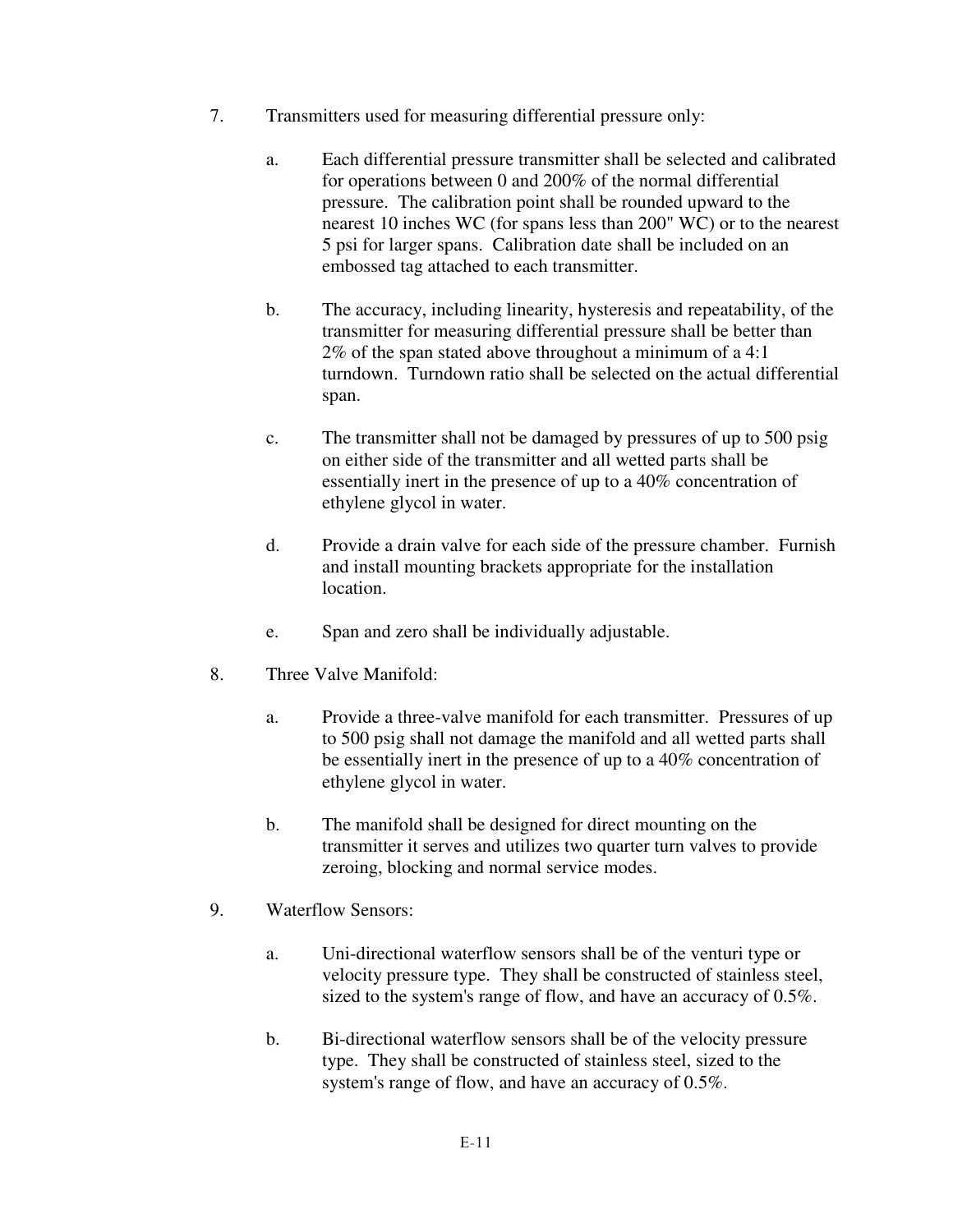- 7. Transmitters used for measuring differential pressure only:
	- a. Each differential pressure transmitter shall be selected and calibrated for operations between 0 and 200% of the normal differential pressure. The calibration point shall be rounded upward to the nearest 10 inches WC (for spans less than 200" WC) or to the nearest 5 psi for larger spans. Calibration date shall be included on an embossed tag attached to each transmitter.
	- b. The accuracy, including linearity, hysteresis and repeatability, of the transmitter for measuring differential pressure shall be better than 2% of the span stated above throughout a minimum of a 4:1 turndown. Turndown ratio shall be selected on the actual differential span.
	- c. The transmitter shall not be damaged by pressures of up to 500 psig on either side of the transmitter and all wetted parts shall be essentially inert in the presence of up to a 40% concentration of ethylene glycol in water.
	- d. Provide a drain valve for each side of the pressure chamber. Furnish and install mounting brackets appropriate for the installation location.
	- e. Span and zero shall be individually adjustable.
- 8. Three Valve Manifold:
	- a. Provide a three-valve manifold for each transmitter. Pressures of up to 500 psig shall not damage the manifold and all wetted parts shall be essentially inert in the presence of up to a 40% concentration of ethylene glycol in water.
	- b. The manifold shall be designed for direct mounting on the transmitter it serves and utilizes two quarter turn valves to provide zeroing, blocking and normal service modes.
- 9. Waterflow Sensors:
	- a. Uni-directional waterflow sensors shall be of the venturi type or velocity pressure type. They shall be constructed of stainless steel, sized to the system's range of flow, and have an accuracy of 0.5%.
	- b. Bi-directional waterflow sensors shall be of the velocity pressure type. They shall be constructed of stainless steel, sized to the system's range of flow, and have an accuracy of 0.5%.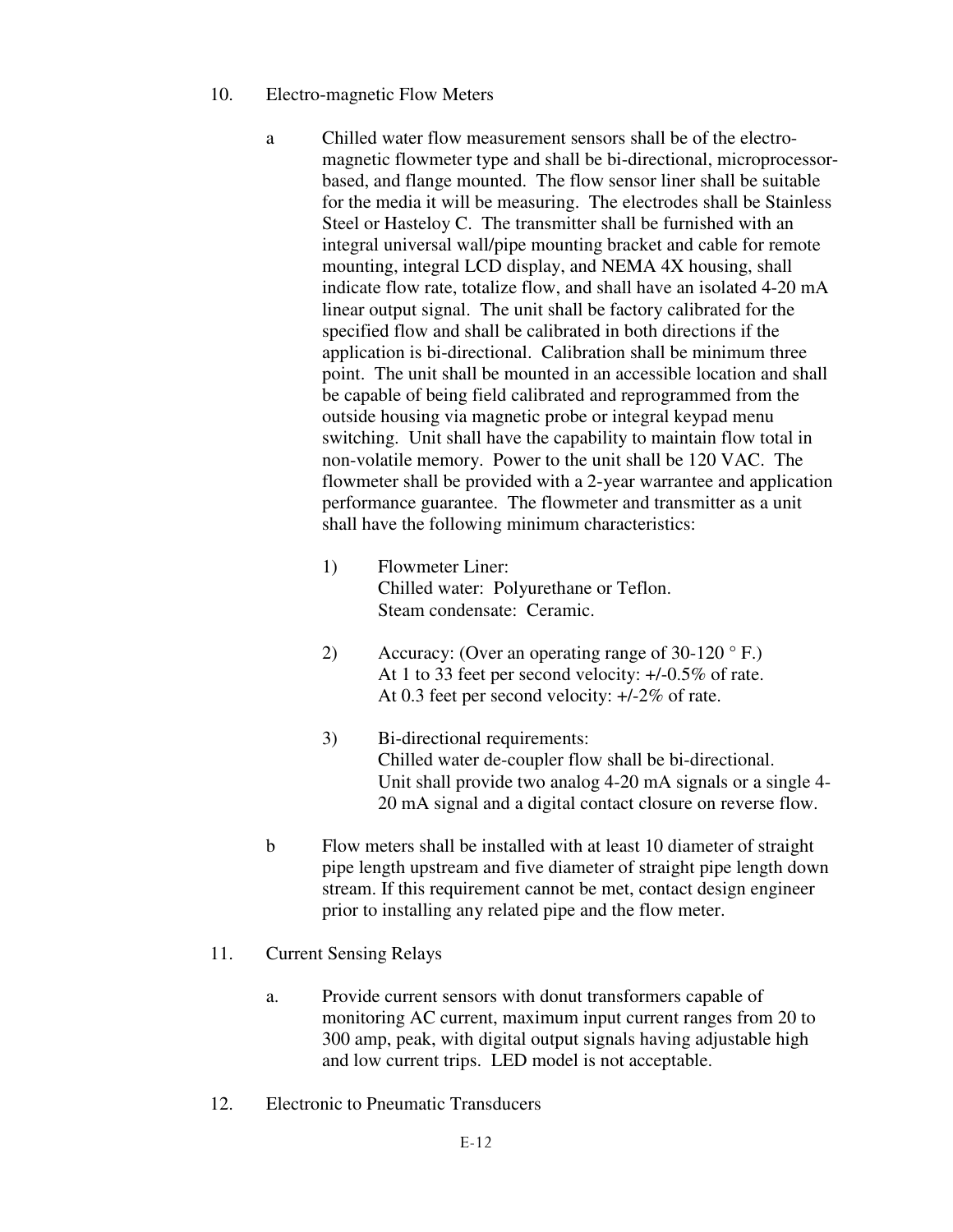- 10. Electro-magnetic Flow Meters
	- a Chilled water flow measurement sensors shall be of the electromagnetic flowmeter type and shall be bi-directional, microprocessorbased, and flange mounted. The flow sensor liner shall be suitable for the media it will be measuring. The electrodes shall be Stainless Steel or Hasteloy C. The transmitter shall be furnished with an integral universal wall/pipe mounting bracket and cable for remote mounting, integral LCD display, and NEMA 4X housing, shall indicate flow rate, totalize flow, and shall have an isolated 4-20 mA linear output signal. The unit shall be factory calibrated for the specified flow and shall be calibrated in both directions if the application is bi-directional. Calibration shall be minimum three point. The unit shall be mounted in an accessible location and shall be capable of being field calibrated and reprogrammed from the outside housing via magnetic probe or integral keypad menu switching. Unit shall have the capability to maintain flow total in non-volatile memory. Power to the unit shall be 120 VAC. The flowmeter shall be provided with a 2-year warrantee and application performance guarantee. The flowmeter and transmitter as a unit shall have the following minimum characteristics:
		- 1) Flowmeter Liner: Chilled water: Polyurethane or Teflon. Steam condensate: Ceramic.
		- 2) Accuracy: (Over an operating range of  $30-120$  ° F.) At 1 to 33 feet per second velocity: +/-0.5% of rate. At 0.3 feet per second velocity: +/-2% of rate.
		- 3) Bi-directional requirements: Chilled water de-coupler flow shall be bi-directional. Unit shall provide two analog 4-20 mA signals or a single 4- 20 mA signal and a digital contact closure on reverse flow.
	- b Flow meters shall be installed with at least 10 diameter of straight pipe length upstream and five diameter of straight pipe length down stream. If this requirement cannot be met, contact design engineer prior to installing any related pipe and the flow meter.
- 11. Current Sensing Relays
	- a. Provide current sensors with donut transformers capable of monitoring AC current, maximum input current ranges from 20 to 300 amp, peak, with digital output signals having adjustable high and low current trips. LED model is not acceptable.
- 12. Electronic to Pneumatic Transducers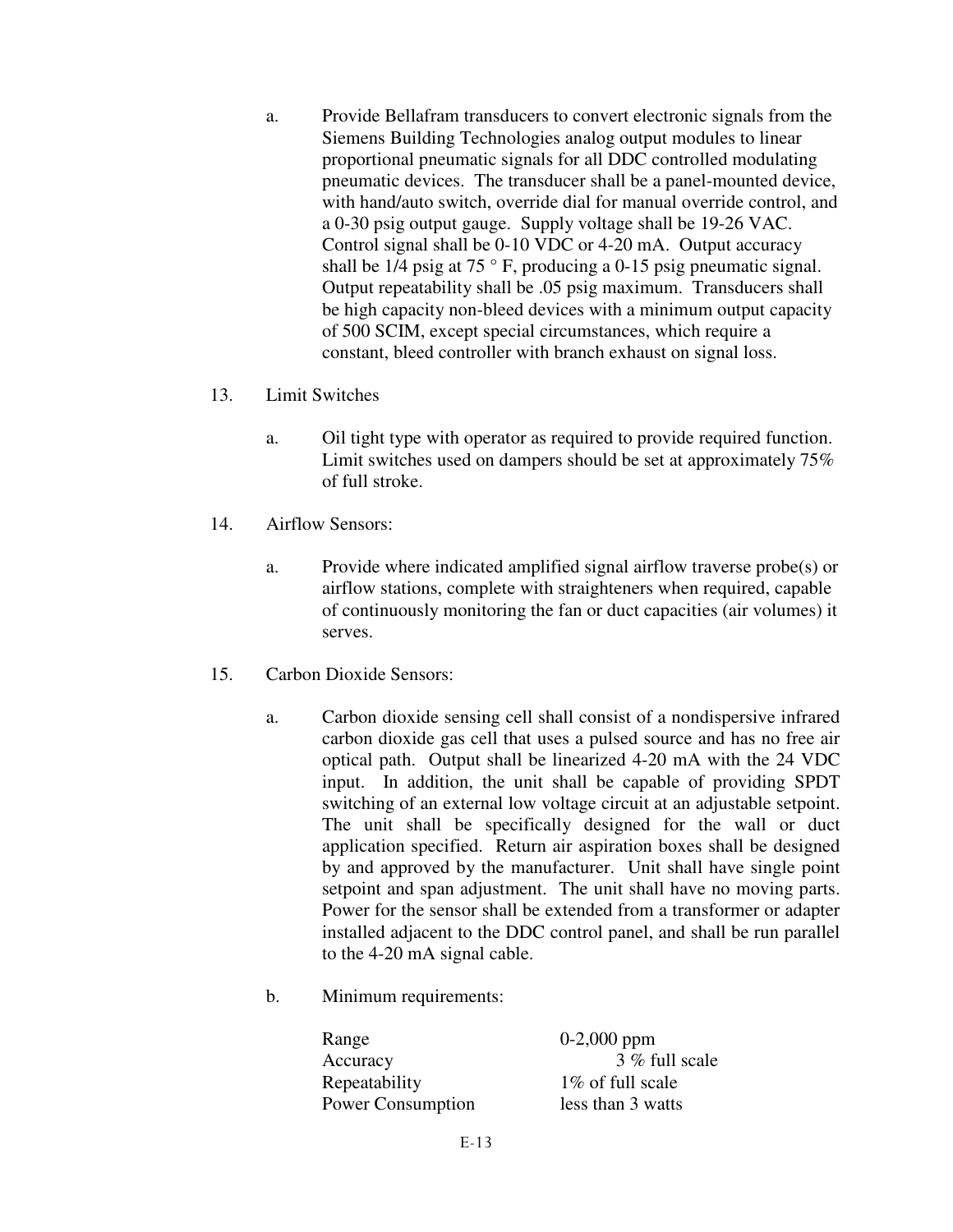- a. Provide Bellafram transducers to convert electronic signals from the Siemens Building Technologies analog output modules to linear proportional pneumatic signals for all DDC controlled modulating pneumatic devices. The transducer shall be a panel-mounted device, with hand/auto switch, override dial for manual override control, and a 0-30 psig output gauge. Supply voltage shall be 19-26 VAC. Control signal shall be 0-10 VDC or 4-20 mA. Output accuracy shall be  $1/4$  psig at  $75^\circ$  F, producing a 0-15 psig pneumatic signal. Output repeatability shall be .05 psig maximum. Transducers shall be high capacity non-bleed devices with a minimum output capacity of 500 SCIM, except special circumstances, which require a constant, bleed controller with branch exhaust on signal loss.
- 13. Limit Switches
	- a. Oil tight type with operator as required to provide required function. Limit switches used on dampers should be set at approximately 75% of full stroke.
- 14. Airflow Sensors:
	- a. Provide where indicated amplified signal airflow traverse probe(s) or airflow stations, complete with straighteners when required, capable of continuously monitoring the fan or duct capacities (air volumes) it serves.
- 15. Carbon Dioxide Sensors:
	- a. Carbon dioxide sensing cell shall consist of a nondispersive infrared carbon dioxide gas cell that uses a pulsed source and has no free air optical path. Output shall be linearized 4-20 mA with the 24 VDC input. In addition, the unit shall be capable of providing SPDT switching of an external low voltage circuit at an adjustable setpoint. The unit shall be specifically designed for the wall or duct application specified. Return air aspiration boxes shall be designed by and approved by the manufacturer. Unit shall have single point setpoint and span adjustment. The unit shall have no moving parts. Power for the sensor shall be extended from a transformer or adapter installed adjacent to the DDC control panel, and shall be run parallel to the 4-20 mA signal cable.
	- b. Minimum requirements:

Range  $0-2,000$  ppm Accuracy 3 % full scale Repeatability 1% of full scale Power Consumption less than 3 watts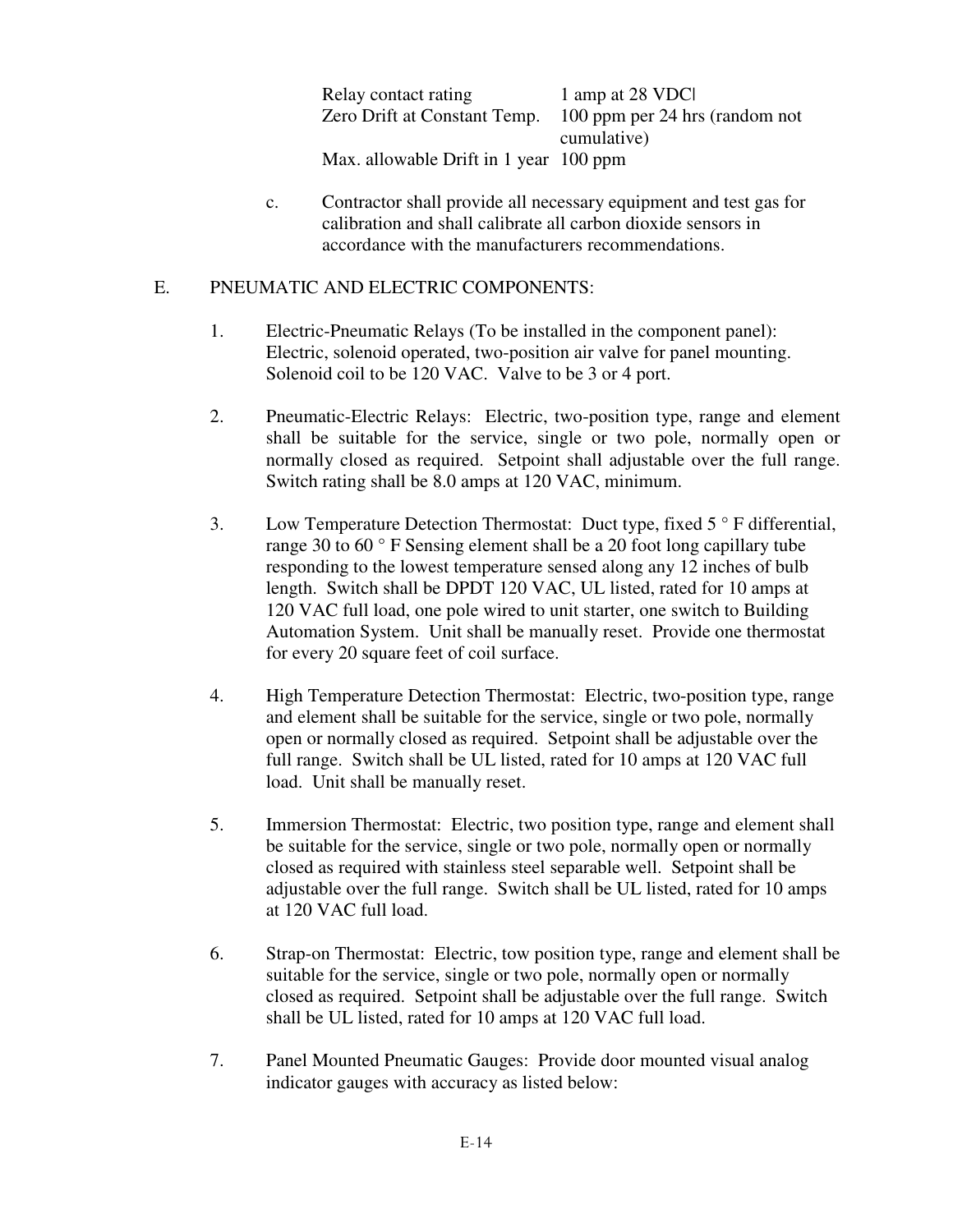| Relay contact rating                   | 1 amp at 28 VDC                                             |
|----------------------------------------|-------------------------------------------------------------|
|                                        | Zero Drift at Constant Temp. 100 ppm per 24 hrs (random not |
|                                        | cumulative)                                                 |
| Max. allowable Drift in 1 year 100 ppm |                                                             |

 c. Contractor shall provide all necessary equipment and test gas for calibration and shall calibrate all carbon dioxide sensors in accordance with the manufacturers recommendations.

### E. PNEUMATIC AND ELECTRIC COMPONENTS:

- 1. Electric-Pneumatic Relays (To be installed in the component panel): Electric, solenoid operated, two-position air valve for panel mounting. Solenoid coil to be 120 VAC. Valve to be 3 or 4 port.
- 2. Pneumatic-Electric Relays: Electric, two-position type, range and element shall be suitable for the service, single or two pole, normally open or normally closed as required. Setpoint shall adjustable over the full range. Switch rating shall be 8.0 amps at 120 VAC, minimum.
- 3. Low Temperature Detection Thermostat: Duct type, fixed 5 ° F differential, range 30 to 60 ° F Sensing element shall be a 20 foot long capillary tube responding to the lowest temperature sensed along any 12 inches of bulb length. Switch shall be DPDT 120 VAC, UL listed, rated for 10 amps at 120 VAC full load, one pole wired to unit starter, one switch to Building Automation System. Unit shall be manually reset. Provide one thermostat for every 20 square feet of coil surface.
- 4. High Temperature Detection Thermostat: Electric, two-position type, range and element shall be suitable for the service, single or two pole, normally open or normally closed as required. Setpoint shall be adjustable over the full range. Switch shall be UL listed, rated for 10 amps at 120 VAC full load. Unit shall be manually reset.
- 5. Immersion Thermostat: Electric, two position type, range and element shall be suitable for the service, single or two pole, normally open or normally closed as required with stainless steel separable well. Setpoint shall be adjustable over the full range. Switch shall be UL listed, rated for 10 amps at 120 VAC full load.
- 6. Strap-on Thermostat: Electric, tow position type, range and element shall be suitable for the service, single or two pole, normally open or normally closed as required. Setpoint shall be adjustable over the full range. Switch shall be UL listed, rated for 10 amps at 120 VAC full load.
- 7. Panel Mounted Pneumatic Gauges: Provide door mounted visual analog indicator gauges with accuracy as listed below: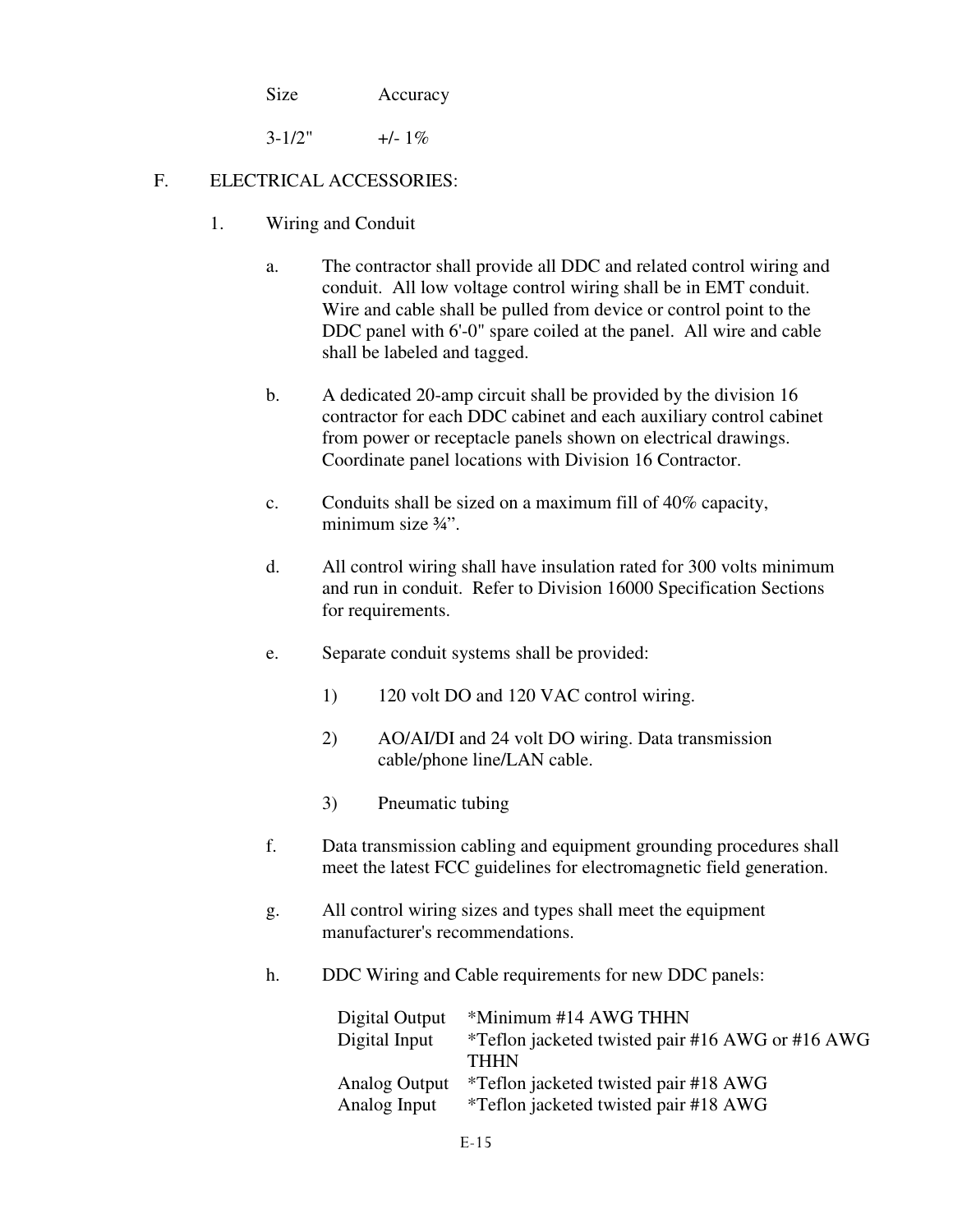Size Accuracy

 $3-1/2"$  +/- 1\%

# F. ELECTRICAL ACCESSORIES:

- 1. Wiring and Conduit
	- a. The contractor shall provide all DDC and related control wiring and conduit. All low voltage control wiring shall be in EMT conduit. Wire and cable shall be pulled from device or control point to the DDC panel with 6'-0" spare coiled at the panel. All wire and cable shall be labeled and tagged.
	- b. A dedicated 20-amp circuit shall be provided by the division 16 contractor for each DDC cabinet and each auxiliary control cabinet from power or receptacle panels shown on electrical drawings. Coordinate panel locations with Division 16 Contractor.
	- c. Conduits shall be sized on a maximum fill of 40% capacity, minimum size  $\frac{3}{4}$ ".
	- d. All control wiring shall have insulation rated for 300 volts minimum and run in conduit. Refer to Division 16000 Specification Sections for requirements.
	- e. Separate conduit systems shall be provided:
		- 1) 120 volt DO and 120 VAC control wiring.
		- 2) AO/AI/DI and 24 volt DO wiring. Data transmission cable/phone line/LAN cable.
		- 3) Pneumatic tubing
	- f. Data transmission cabling and equipment grounding procedures shall meet the latest FCC guidelines for electromagnetic field generation.
	- g. All control wiring sizes and types shall meet the equipment manufacturer's recommendations.
	- h. DDC Wiring and Cable requirements for new DDC panels:

| Digital Output | *Minimum #14 AWG THHN                            |
|----------------|--------------------------------------------------|
| Digital Input  | *Teflon jacketed twisted pair #16 AWG or #16 AWG |
|                | <b>THHN</b>                                      |
| Analog Output  | *Teflon jacketed twisted pair #18 AWG            |
| Analog Input   | <i>*</i> Teflon jacketed twisted pair #18 AWG    |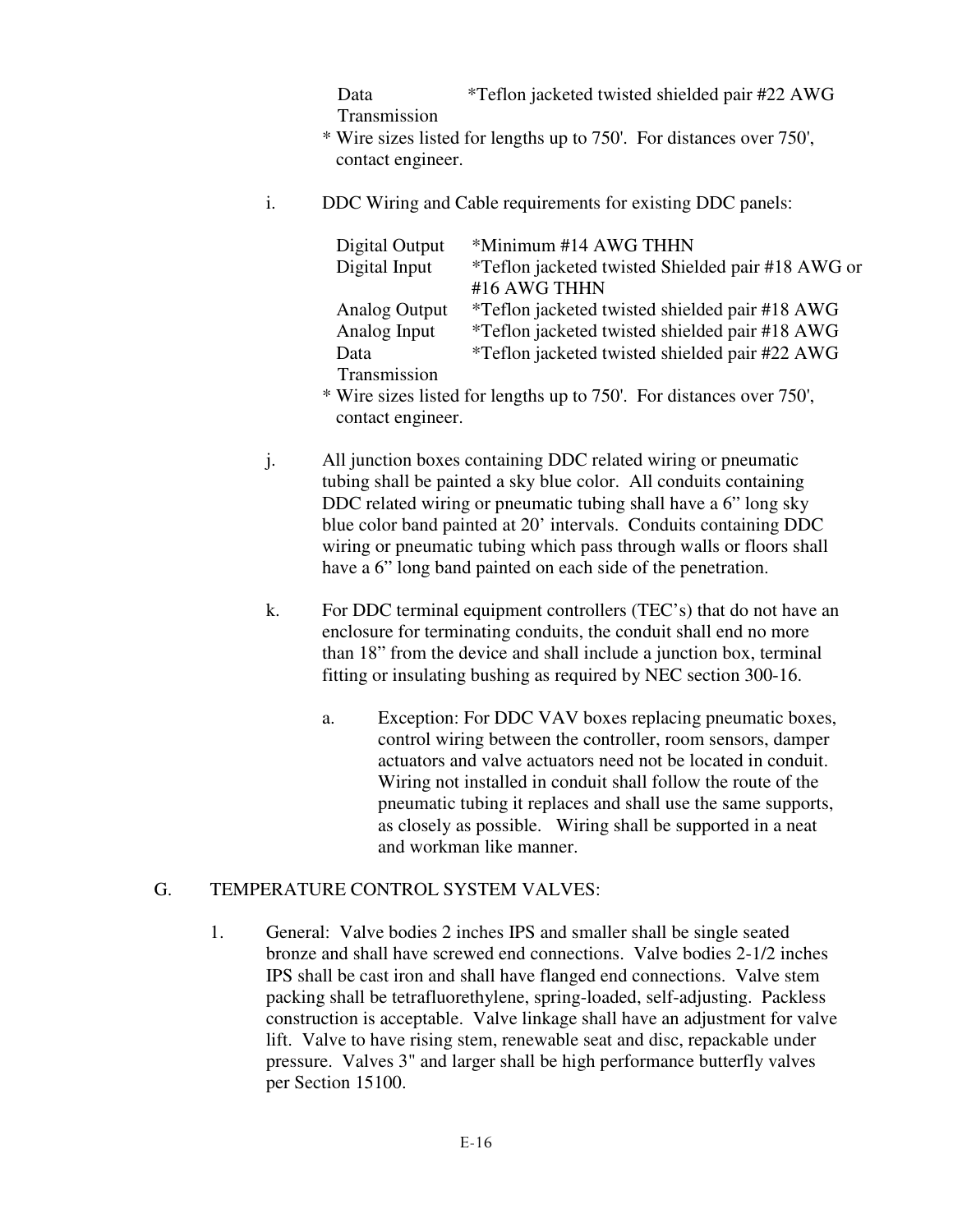Data Transmission \*Teflon jacketed twisted shielded pair #22 AWG

- \* Wire sizes listed for lengths up to 750'. For distances over 750', contact engineer.
- i. DDC Wiring and Cable requirements for existing DDC panels:

| Digital Output       | *Minimum #14 AWG THHN                                                |
|----------------------|----------------------------------------------------------------------|
| Digital Input        | *Teflon jacketed twisted Shielded pair #18 AWG or                    |
|                      | #16 AWG THHN                                                         |
| <b>Analog Output</b> | *Teflon jacketed twisted shielded pair #18 AWG                       |
| Analog Input         | *Teflon jacketed twisted shielded pair #18 AWG                       |
| Data                 | *Teflon jacketed twisted shielded pair #22 AWG                       |
| Transmission         |                                                                      |
|                      | * Wire sizes listed for lengths up to 750'. For distances over 750'. |

- \* Wire sizes listed for lengths up to 750'. For distances over 750', contact engineer.
	- j. All junction boxes containing DDC related wiring or pneumatic tubing shall be painted a sky blue color. All conduits containing DDC related wiring or pneumatic tubing shall have a 6" long sky blue color band painted at 20' intervals. Conduits containing DDC wiring or pneumatic tubing which pass through walls or floors shall have a 6" long band painted on each side of the penetration.
	- k. For DDC terminal equipment controllers (TEC's) that do not have an enclosure for terminating conduits, the conduit shall end no more than 18" from the device and shall include a junction box, terminal fitting or insulating bushing as required by NEC section 300-16.
		- a. Exception: For DDC VAV boxes replacing pneumatic boxes, control wiring between the controller, room sensors, damper actuators and valve actuators need not be located in conduit. Wiring not installed in conduit shall follow the route of the pneumatic tubing it replaces and shall use the same supports, as closely as possible. Wiring shall be supported in a neat and workman like manner.

# G. TEMPERATURE CONTROL SYSTEM VALVES:

 1. General: Valve bodies 2 inches IPS and smaller shall be single seated bronze and shall have screwed end connections. Valve bodies 2-1/2 inches IPS shall be cast iron and shall have flanged end connections. Valve stem packing shall be tetrafluorethylene, spring-loaded, self-adjusting. Packless construction is acceptable. Valve linkage shall have an adjustment for valve lift. Valve to have rising stem, renewable seat and disc, repackable under pressure. Valves 3" and larger shall be high performance butterfly valves per Section 15100.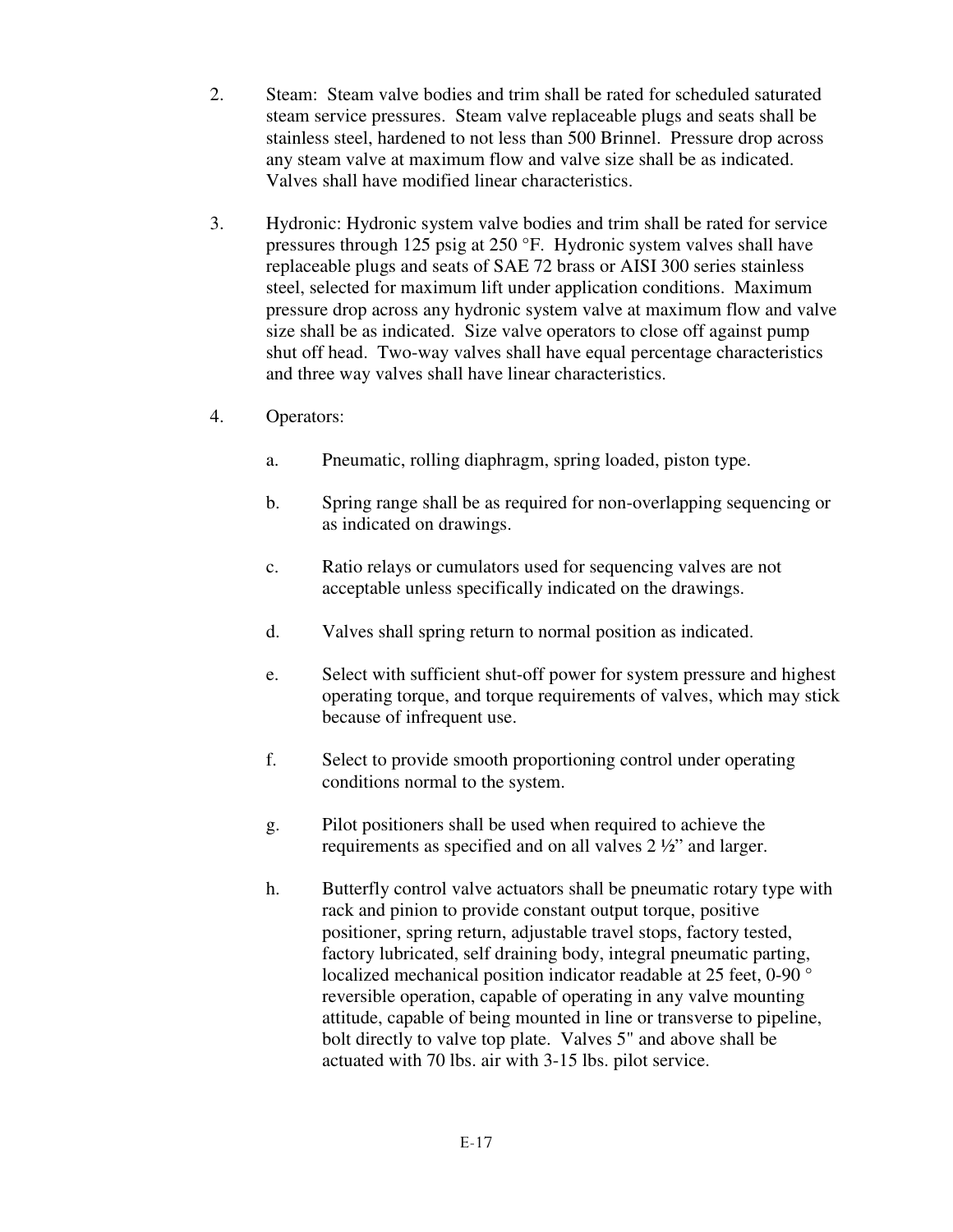- 2. Steam: Steam valve bodies and trim shall be rated for scheduled saturated steam service pressures. Steam valve replaceable plugs and seats shall be stainless steel, hardened to not less than 500 Brinnel. Pressure drop across any steam valve at maximum flow and valve size shall be as indicated. Valves shall have modified linear characteristics.
- 3. Hydronic: Hydronic system valve bodies and trim shall be rated for service pressures through 125 psig at 250 °F. Hydronic system valves shall have replaceable plugs and seats of SAE 72 brass or AISI 300 series stainless steel, selected for maximum lift under application conditions. Maximum pressure drop across any hydronic system valve at maximum flow and valve size shall be as indicated. Size valve operators to close off against pump shut off head. Two-way valves shall have equal percentage characteristics and three way valves shall have linear characteristics.
- 4. Operators:
	- a. Pneumatic, rolling diaphragm, spring loaded, piston type.
	- b. Spring range shall be as required for non-overlapping sequencing or as indicated on drawings.
	- c. Ratio relays or cumulators used for sequencing valves are not acceptable unless specifically indicated on the drawings.
	- d. Valves shall spring return to normal position as indicated.
	- e. Select with sufficient shut-off power for system pressure and highest operating torque, and torque requirements of valves, which may stick because of infrequent use.
	- f. Select to provide smooth proportioning control under operating conditions normal to the system.
	- g. Pilot positioners shall be used when required to achieve the requirements as specified and on all valves 2 ½" and larger.
	- h. Butterfly control valve actuators shall be pneumatic rotary type with rack and pinion to provide constant output torque, positive positioner, spring return, adjustable travel stops, factory tested, factory lubricated, self draining body, integral pneumatic parting, localized mechanical position indicator readable at 25 feet, 0-90 ° reversible operation, capable of operating in any valve mounting attitude, capable of being mounted in line or transverse to pipeline, bolt directly to valve top plate. Valves 5" and above shall be actuated with 70 lbs. air with 3-15 lbs. pilot service.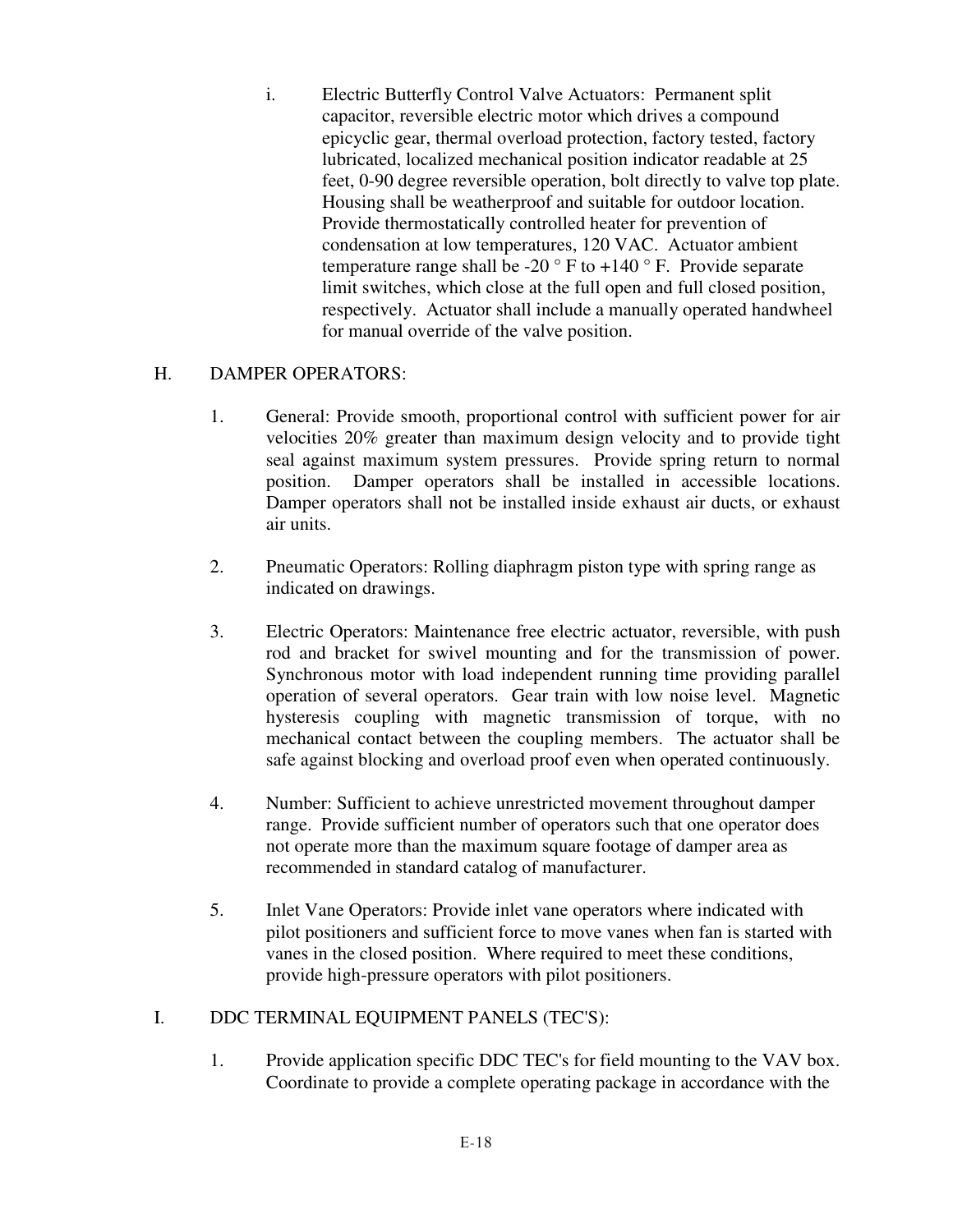i. Electric Butterfly Control Valve Actuators: Permanent split capacitor, reversible electric motor which drives a compound epicyclic gear, thermal overload protection, factory tested, factory lubricated, localized mechanical position indicator readable at 25 feet, 0-90 degree reversible operation, bolt directly to valve top plate. Housing shall be weatherproof and suitable for outdoor location. Provide thermostatically controlled heater for prevention of condensation at low temperatures, 120 VAC. Actuator ambient temperature range shall be -20  $\degree$  F to +140  $\degree$  F. Provide separate limit switches, which close at the full open and full closed position, respectively. Actuator shall include a manually operated handwheel for manual override of the valve position.

## H. DAMPER OPERATORS:

- 1. General: Provide smooth, proportional control with sufficient power for air velocities 20% greater than maximum design velocity and to provide tight seal against maximum system pressures. Provide spring return to normal position. Damper operators shall be installed in accessible locations. Damper operators shall not be installed inside exhaust air ducts, or exhaust air units.
- 2. Pneumatic Operators: Rolling diaphragm piston type with spring range as indicated on drawings.
- 3. Electric Operators: Maintenance free electric actuator, reversible, with push rod and bracket for swivel mounting and for the transmission of power. Synchronous motor with load independent running time providing parallel operation of several operators. Gear train with low noise level. Magnetic hysteresis coupling with magnetic transmission of torque, with no mechanical contact between the coupling members. The actuator shall be safe against blocking and overload proof even when operated continuously.
- 4. Number: Sufficient to achieve unrestricted movement throughout damper range. Provide sufficient number of operators such that one operator does not operate more than the maximum square footage of damper area as recommended in standard catalog of manufacturer.
- 5. Inlet Vane Operators: Provide inlet vane operators where indicated with pilot positioners and sufficient force to move vanes when fan is started with vanes in the closed position. Where required to meet these conditions, provide high-pressure operators with pilot positioners.

# I. DDC TERMINAL EQUIPMENT PANELS (TEC'S):

 1. Provide application specific DDC TEC's for field mounting to the VAV box. Coordinate to provide a complete operating package in accordance with the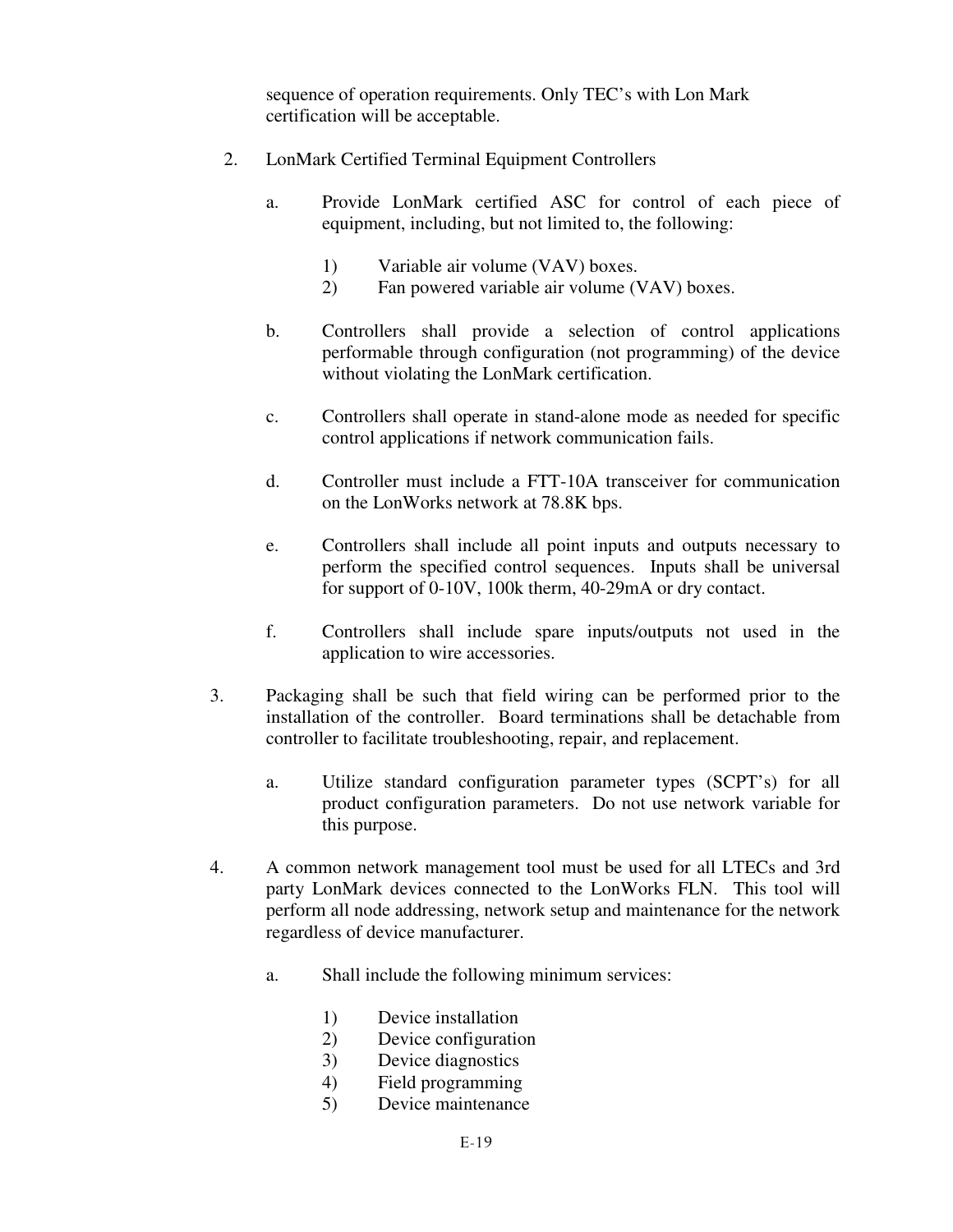sequence of operation requirements. Only TEC's with Lon Mark certification will be acceptable.

- 2. LonMark Certified Terminal Equipment Controllers
	- a. Provide LonMark certified ASC for control of each piece of equipment, including, but not limited to, the following:
		- 1) Variable air volume (VAV) boxes.
		- 2) Fan powered variable air volume (VAV) boxes.
	- b. Controllers shall provide a selection of control applications performable through configuration (not programming) of the device without violating the LonMark certification.
	- c. Controllers shall operate in stand-alone mode as needed for specific control applications if network communication fails.
	- d. Controller must include a FTT-10A transceiver for communication on the LonWorks network at 78.8K bps.
	- e. Controllers shall include all point inputs and outputs necessary to perform the specified control sequences. Inputs shall be universal for support of 0-10V, 100k therm, 40-29mA or dry contact.
	- f. Controllers shall include spare inputs/outputs not used in the application to wire accessories.
- 3. Packaging shall be such that field wiring can be performed prior to the installation of the controller. Board terminations shall be detachable from controller to facilitate troubleshooting, repair, and replacement.
	- a. Utilize standard configuration parameter types (SCPT's) for all product configuration parameters. Do not use network variable for this purpose.
- 4. A common network management tool must be used for all LTECs and 3rd party LonMark devices connected to the LonWorks FLN. This tool will perform all node addressing, network setup and maintenance for the network regardless of device manufacturer.
	- a. Shall include the following minimum services:
		- 1) Device installation
		- 2) Device configuration
		- 3) Device diagnostics
		- 4) Field programming
		- 5) Device maintenance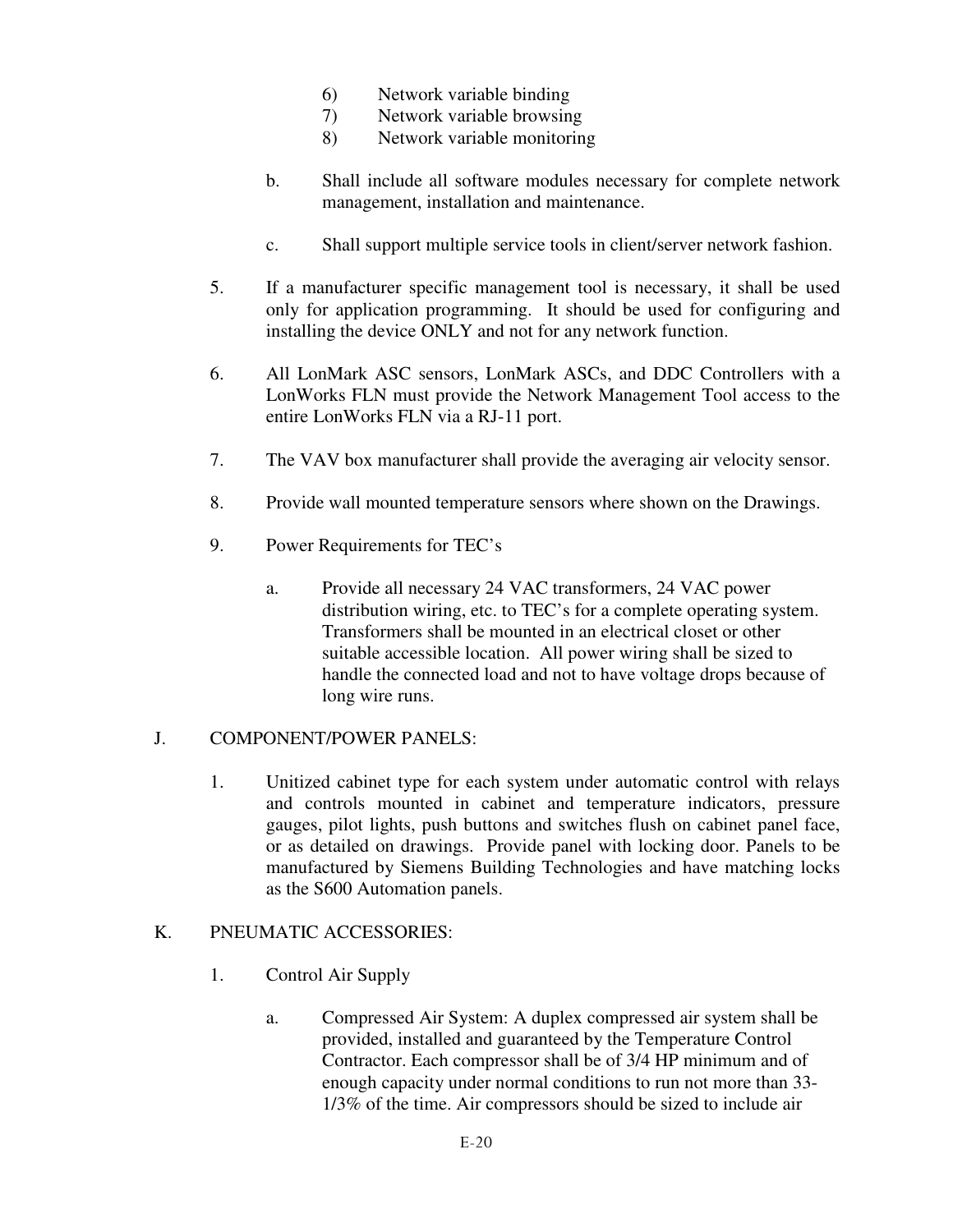- 6) Network variable binding
- 7) Network variable browsing
- 8) Network variable monitoring
- b. Shall include all software modules necessary for complete network management, installation and maintenance.
- c. Shall support multiple service tools in client/server network fashion.
- 5. If a manufacturer specific management tool is necessary, it shall be used only for application programming. It should be used for configuring and installing the device ONLY and not for any network function.
- 6. All LonMark ASC sensors, LonMark ASCs, and DDC Controllers with a LonWorks FLN must provide the Network Management Tool access to the entire LonWorks FLN via a RJ-11 port.
- 7. The VAV box manufacturer shall provide the averaging air velocity sensor.
- 8. Provide wall mounted temperature sensors where shown on the Drawings.
- 9. Power Requirements for TEC's
	- a. Provide all necessary 24 VAC transformers, 24 VAC power distribution wiring, etc. to TEC's for a complete operating system. Transformers shall be mounted in an electrical closet or other suitable accessible location. All power wiring shall be sized to handle the connected load and not to have voltage drops because of long wire runs.

### J. COMPONENT/POWER PANELS:

 1. Unitized cabinet type for each system under automatic control with relays and controls mounted in cabinet and temperature indicators, pressure gauges, pilot lights, push buttons and switches flush on cabinet panel face, or as detailed on drawings. Provide panel with locking door. Panels to be manufactured by Siemens Building Technologies and have matching locks as the S600 Automation panels.

### K. PNEUMATIC ACCESSORIES:

- 1. Control Air Supply
	- a. Compressed Air System: A duplex compressed air system shall be provided, installed and guaranteed by the Temperature Control Contractor. Each compressor shall be of 3/4 HP minimum and of enough capacity under normal conditions to run not more than 33- 1/3% of the time. Air compressors should be sized to include air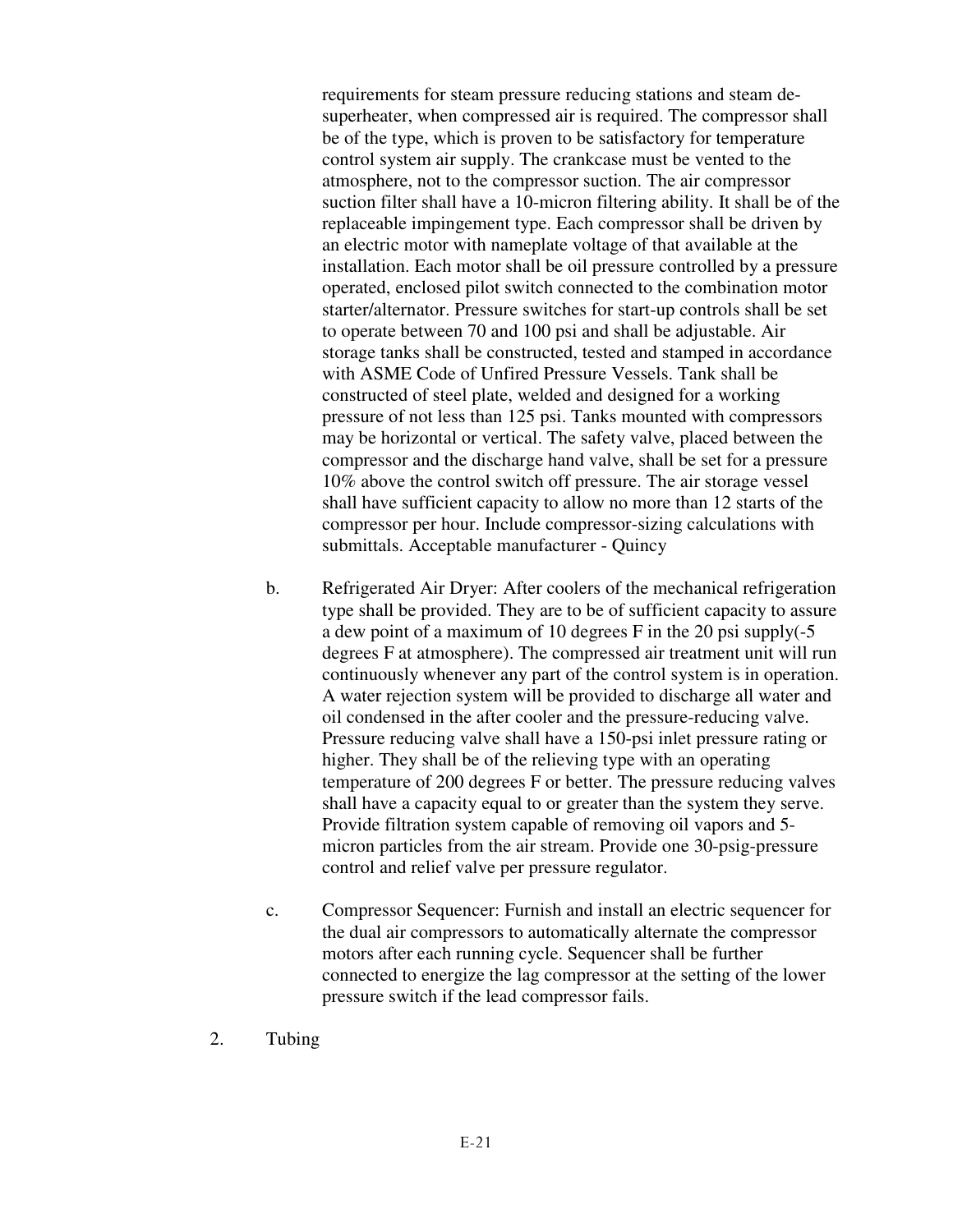requirements for steam pressure reducing stations and steam desuperheater, when compressed air is required. The compressor shall be of the type, which is proven to be satisfactory for temperature control system air supply. The crankcase must be vented to the atmosphere, not to the compressor suction. The air compressor suction filter shall have a 10-micron filtering ability. It shall be of the replaceable impingement type. Each compressor shall be driven by an electric motor with nameplate voltage of that available at the installation. Each motor shall be oil pressure controlled by a pressure operated, enclosed pilot switch connected to the combination motor starter/alternator. Pressure switches for start-up controls shall be set to operate between 70 and 100 psi and shall be adjustable. Air storage tanks shall be constructed, tested and stamped in accordance with ASME Code of Unfired Pressure Vessels. Tank shall be constructed of steel plate, welded and designed for a working pressure of not less than 125 psi. Tanks mounted with compressors may be horizontal or vertical. The safety valve, placed between the compressor and the discharge hand valve, shall be set for a pressure 10% above the control switch off pressure. The air storage vessel shall have sufficient capacity to allow no more than 12 starts of the compressor per hour. Include compressor-sizing calculations with submittals. Acceptable manufacturer - Quincy

- b. Refrigerated Air Dryer: After coolers of the mechanical refrigeration type shall be provided. They are to be of sufficient capacity to assure a dew point of a maximum of 10 degrees F in the 20 psi supply(-5 degrees F at atmosphere). The compressed air treatment unit will run continuously whenever any part of the control system is in operation. A water rejection system will be provided to discharge all water and oil condensed in the after cooler and the pressure-reducing valve. Pressure reducing valve shall have a 150-psi inlet pressure rating or higher. They shall be of the relieving type with an operating temperature of 200 degrees F or better. The pressure reducing valves shall have a capacity equal to or greater than the system they serve. Provide filtration system capable of removing oil vapors and 5 micron particles from the air stream. Provide one 30-psig-pressure control and relief valve per pressure regulator.
- c. Compressor Sequencer: Furnish and install an electric sequencer for the dual air compressors to automatically alternate the compressor motors after each running cycle. Sequencer shall be further connected to energize the lag compressor at the setting of the lower pressure switch if the lead compressor fails.
- 2. Tubing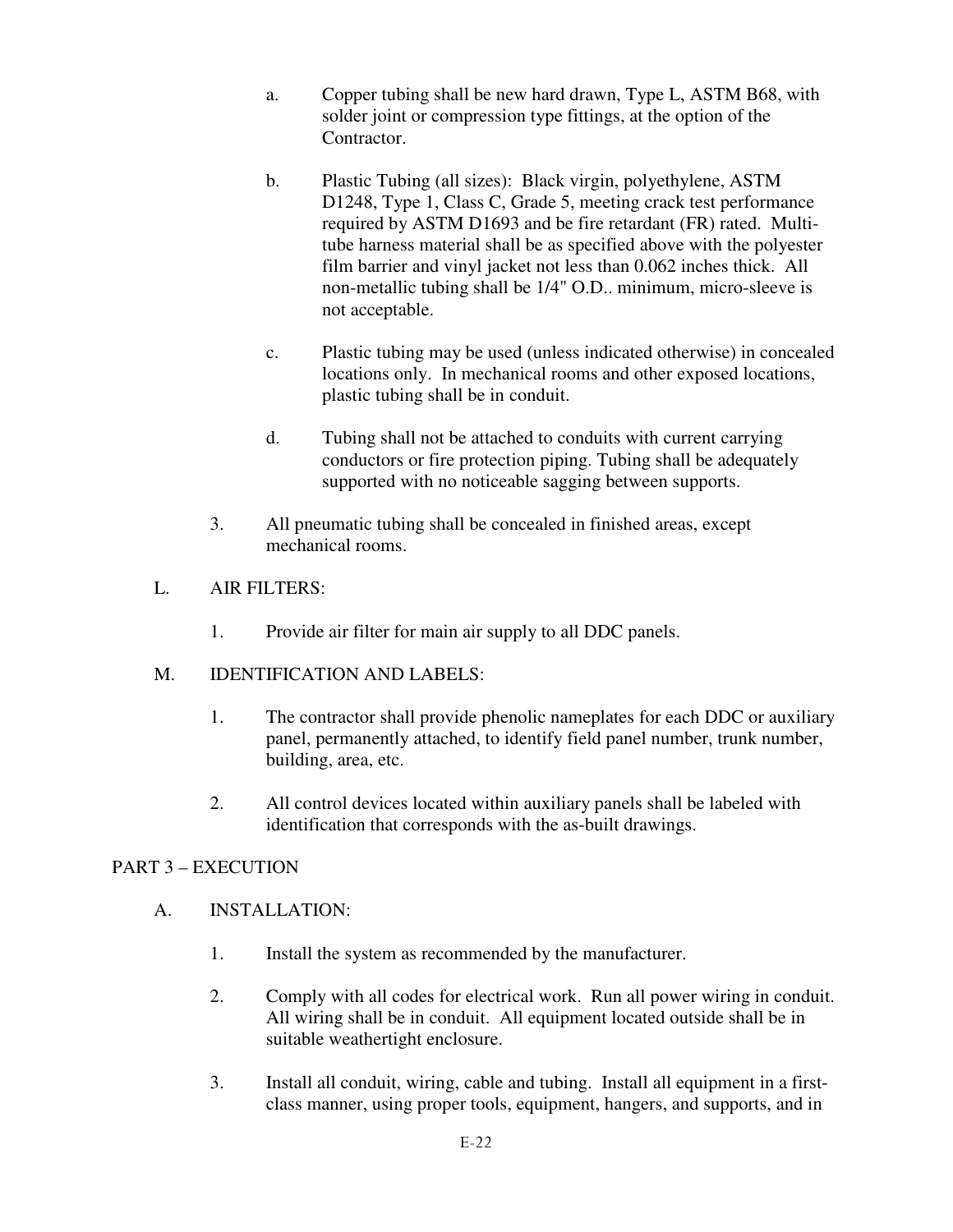- a. Copper tubing shall be new hard drawn, Type L, ASTM B68, with solder joint or compression type fittings, at the option of the Contractor.
- b. Plastic Tubing (all sizes): Black virgin, polyethylene, ASTM D1248, Type 1, Class C, Grade 5, meeting crack test performance required by ASTM D1693 and be fire retardant (FR) rated. Multitube harness material shall be as specified above with the polyester film barrier and vinyl jacket not less than 0.062 inches thick. All non-metallic tubing shall be 1/4" O.D.. minimum, micro-sleeve is not acceptable.
- c. Plastic tubing may be used (unless indicated otherwise) in concealed locations only. In mechanical rooms and other exposed locations, plastic tubing shall be in conduit.
- d. Tubing shall not be attached to conduits with current carrying conductors or fire protection piping. Tubing shall be adequately supported with no noticeable sagging between supports.
- 3. All pneumatic tubing shall be concealed in finished areas, except mechanical rooms.
- L. AIR FILTERS:
	- 1. Provide air filter for main air supply to all DDC panels.
- M. IDENTIFICATION AND LABELS:
	- 1. The contractor shall provide phenolic nameplates for each DDC or auxiliary panel, permanently attached, to identify field panel number, trunk number, building, area, etc.
	- 2. All control devices located within auxiliary panels shall be labeled with identification that corresponds with the as-built drawings.

# PART 3 – EXECUTION

- A. INSTALLATION:
	- 1. Install the system as recommended by the manufacturer.
	- 2. Comply with all codes for electrical work. Run all power wiring in conduit. All wiring shall be in conduit. All equipment located outside shall be in suitable weathertight enclosure.
	- 3. Install all conduit, wiring, cable and tubing. Install all equipment in a firstclass manner, using proper tools, equipment, hangers, and supports, and in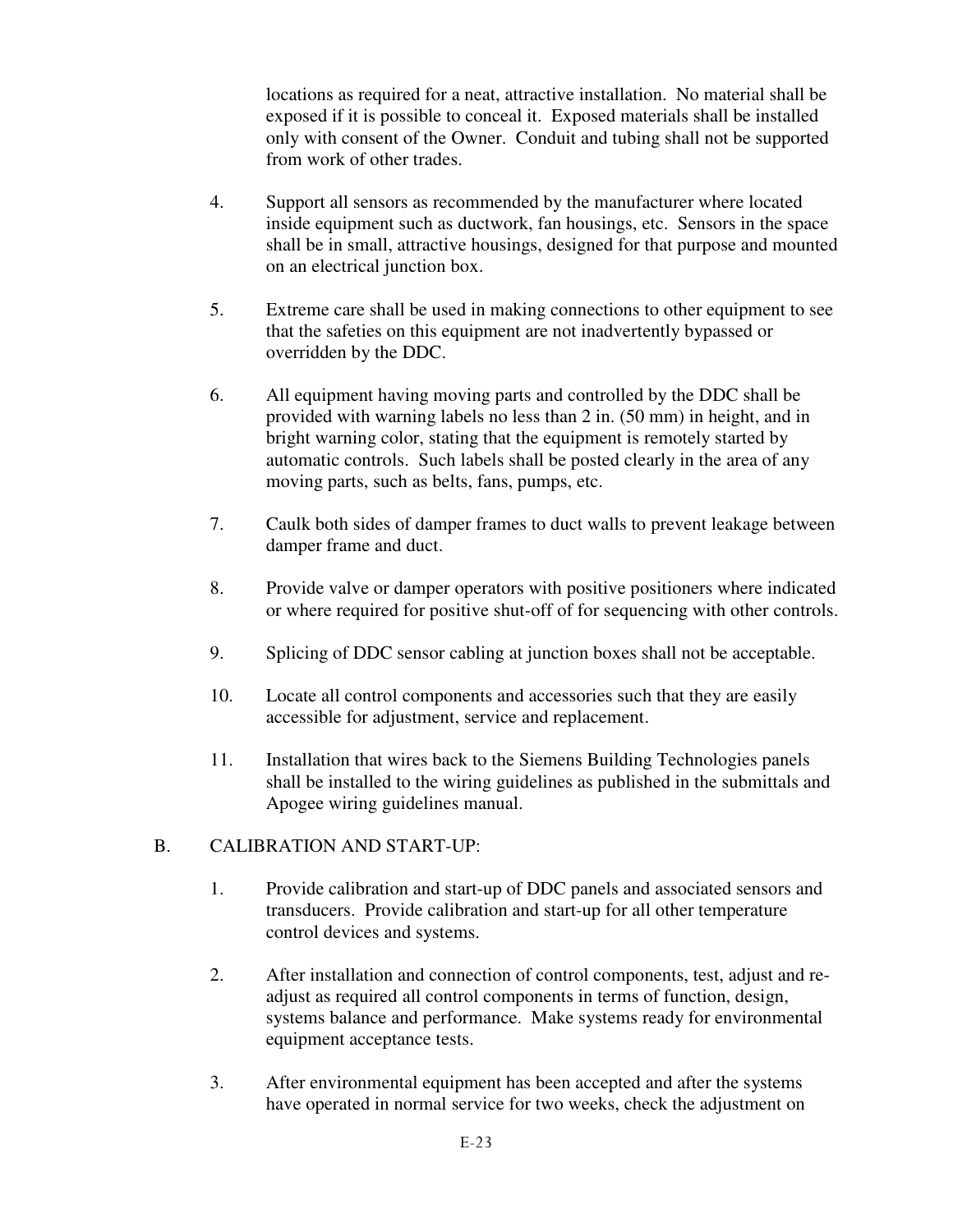locations as required for a neat, attractive installation. No material shall be exposed if it is possible to conceal it. Exposed materials shall be installed only with consent of the Owner. Conduit and tubing shall not be supported from work of other trades.

- 4. Support all sensors as recommended by the manufacturer where located inside equipment such as ductwork, fan housings, etc. Sensors in the space shall be in small, attractive housings, designed for that purpose and mounted on an electrical junction box.
- 5. Extreme care shall be used in making connections to other equipment to see that the safeties on this equipment are not inadvertently bypassed or overridden by the DDC.
- 6. All equipment having moving parts and controlled by the DDC shall be provided with warning labels no less than 2 in. (50 mm) in height, and in bright warning color, stating that the equipment is remotely started by automatic controls. Such labels shall be posted clearly in the area of any moving parts, such as belts, fans, pumps, etc.
- 7. Caulk both sides of damper frames to duct walls to prevent leakage between damper frame and duct.
- 8. Provide valve or damper operators with positive positioners where indicated or where required for positive shut-off of for sequencing with other controls.
- 9. Splicing of DDC sensor cabling at junction boxes shall not be acceptable.
- 10. Locate all control components and accessories such that they are easily accessible for adjustment, service and replacement.
- 11. Installation that wires back to the Siemens Building Technologies panels shall be installed to the wiring guidelines as published in the submittals and Apogee wiring guidelines manual.

# B. CALIBRATION AND START-UP:

- 1. Provide calibration and start-up of DDC panels and associated sensors and transducers. Provide calibration and start-up for all other temperature control devices and systems.
- 2. After installation and connection of control components, test, adjust and readjust as required all control components in terms of function, design, systems balance and performance. Make systems ready for environmental equipment acceptance tests.
- 3. After environmental equipment has been accepted and after the systems have operated in normal service for two weeks, check the adjustment on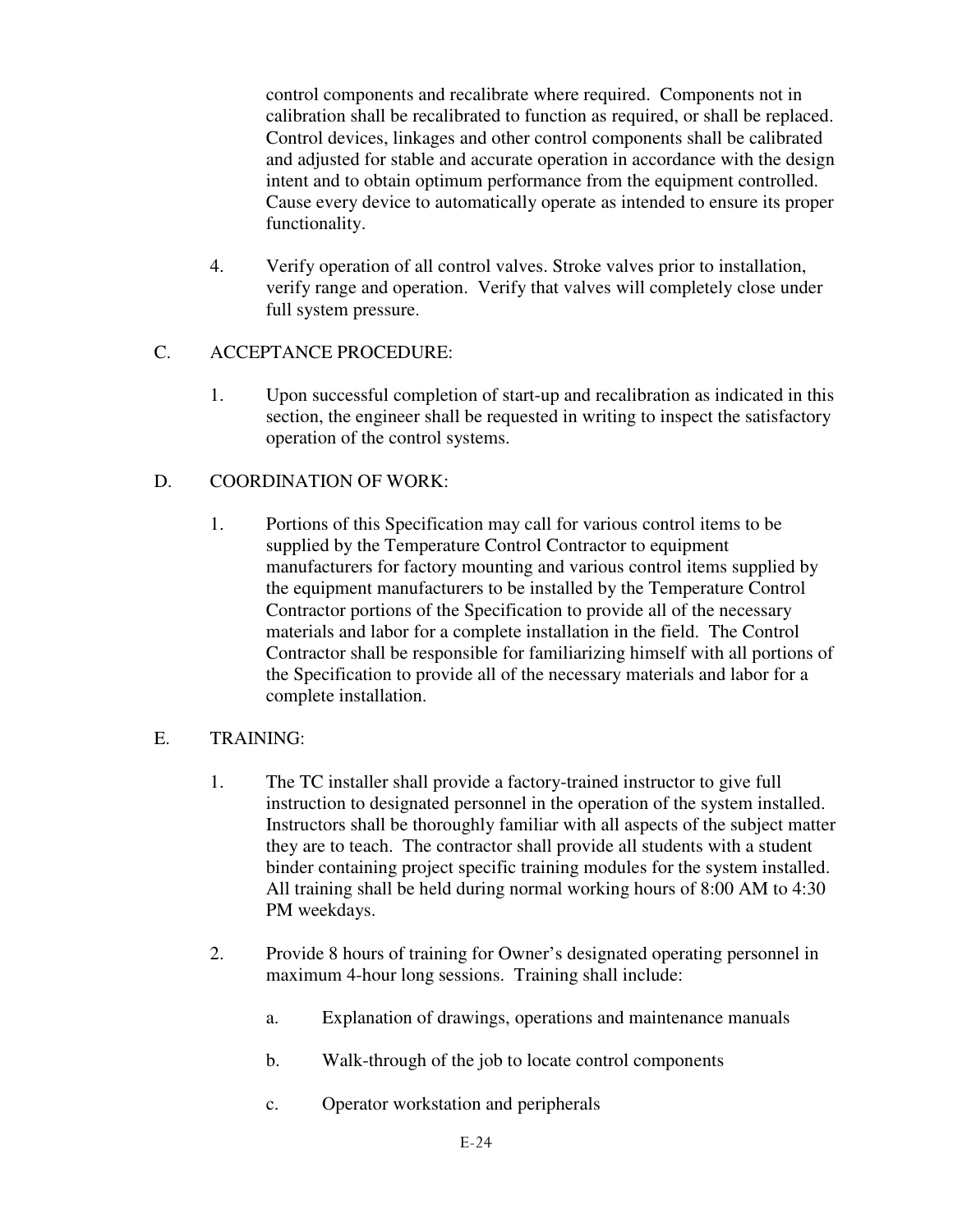control components and recalibrate where required. Components not in calibration shall be recalibrated to function as required, or shall be replaced. Control devices, linkages and other control components shall be calibrated and adjusted for stable and accurate operation in accordance with the design intent and to obtain optimum performance from the equipment controlled. Cause every device to automatically operate as intended to ensure its proper functionality.

 4. Verify operation of all control valves. Stroke valves prior to installation, verify range and operation. Verify that valves will completely close under full system pressure.

# C. ACCEPTANCE PROCEDURE:

 1. Upon successful completion of start-up and recalibration as indicated in this section, the engineer shall be requested in writing to inspect the satisfactory operation of the control systems.

# D. COORDINATION OF WORK:

- 1. Portions of this Specification may call for various control items to be supplied by the Temperature Control Contractor to equipment manufacturers for factory mounting and various control items supplied by the equipment manufacturers to be installed by the Temperature Control Contractor portions of the Specification to provide all of the necessary materials and labor for a complete installation in the field. The Control Contractor shall be responsible for familiarizing himself with all portions of the Specification to provide all of the necessary materials and labor for a complete installation.
- E. TRAINING:
	- 1. The TC installer shall provide a factory-trained instructor to give full instruction to designated personnel in the operation of the system installed. Instructors shall be thoroughly familiar with all aspects of the subject matter they are to teach. The contractor shall provide all students with a student binder containing project specific training modules for the system installed. All training shall be held during normal working hours of 8:00 AM to 4:30 PM weekdays.
	- 2. Provide 8 hours of training for Owner's designated operating personnel in maximum 4-hour long sessions. Training shall include:
		- a. Explanation of drawings, operations and maintenance manuals
		- b. Walk-through of the job to locate control components
		- c. Operator workstation and peripherals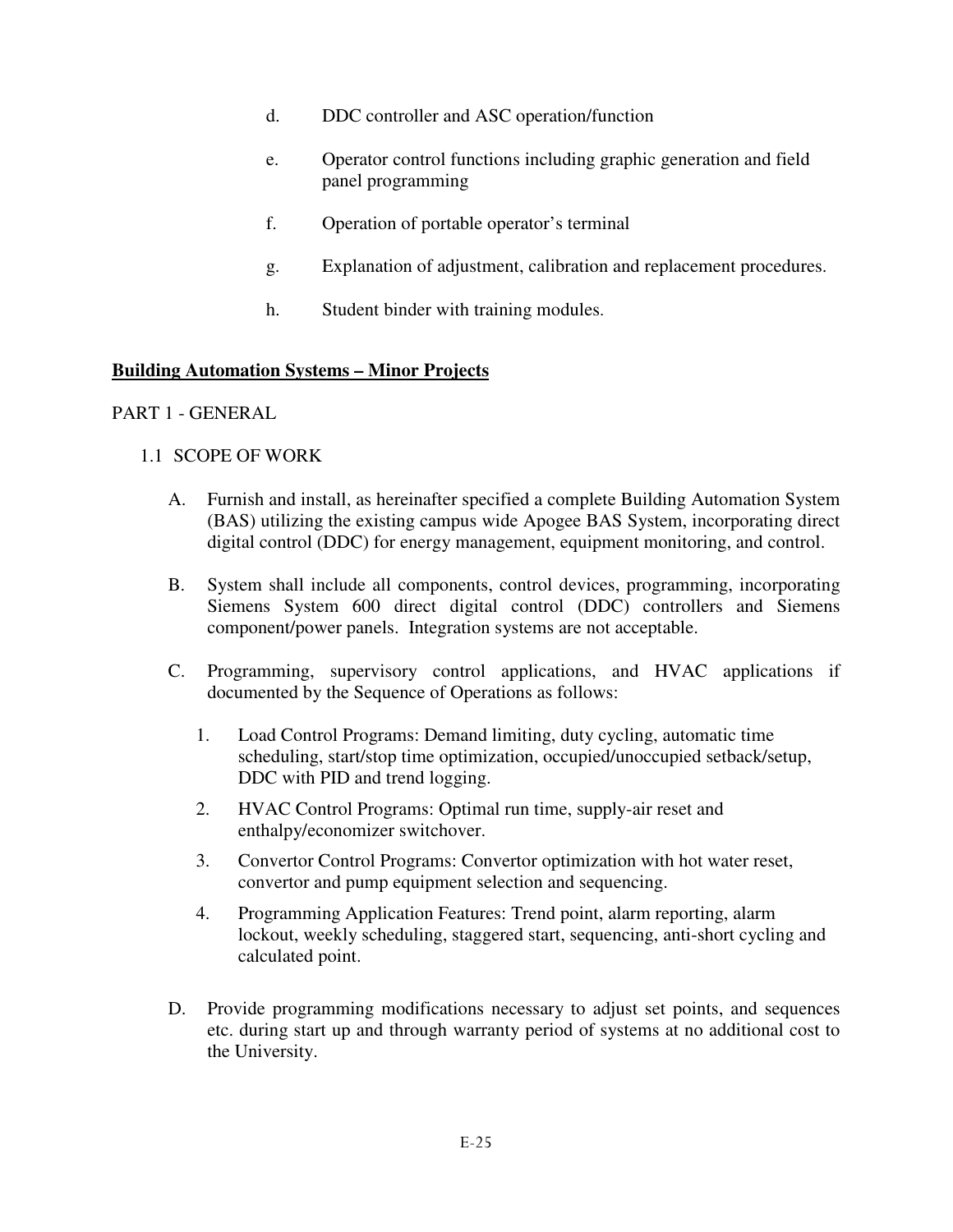- d. DDC controller and ASC operation/function
- e. Operator control functions including graphic generation and field panel programming
- f. Operation of portable operator's terminal
- g. Explanation of adjustment, calibration and replacement procedures.
- h. Student binder with training modules.

### **Building Automation Systems – Minor Projects**

### PART 1 - GENERAL

### 1.1 SCOPE OF WORK

- A. Furnish and install, as hereinafter specified a complete Building Automation System (BAS) utilizing the existing campus wide Apogee BAS System, incorporating direct digital control (DDC) for energy management, equipment monitoring, and control.
- B. System shall include all components, control devices, programming, incorporating Siemens System 600 direct digital control (DDC) controllers and Siemens component/power panels. Integration systems are not acceptable.
- C. Programming, supervisory control applications, and HVAC applications if documented by the Sequence of Operations as follows:
	- 1. Load Control Programs: Demand limiting, duty cycling, automatic time scheduling, start/stop time optimization, occupied/unoccupied setback/setup, DDC with PID and trend logging.
	- 2. HVAC Control Programs: Optimal run time, supply-air reset and enthalpy/economizer switchover.
	- 3. Convertor Control Programs: Convertor optimization with hot water reset, convertor and pump equipment selection and sequencing.
	- 4. Programming Application Features: Trend point, alarm reporting, alarm lockout, weekly scheduling, staggered start, sequencing, anti-short cycling and calculated point.
- D. Provide programming modifications necessary to adjust set points, and sequences etc. during start up and through warranty period of systems at no additional cost to the University.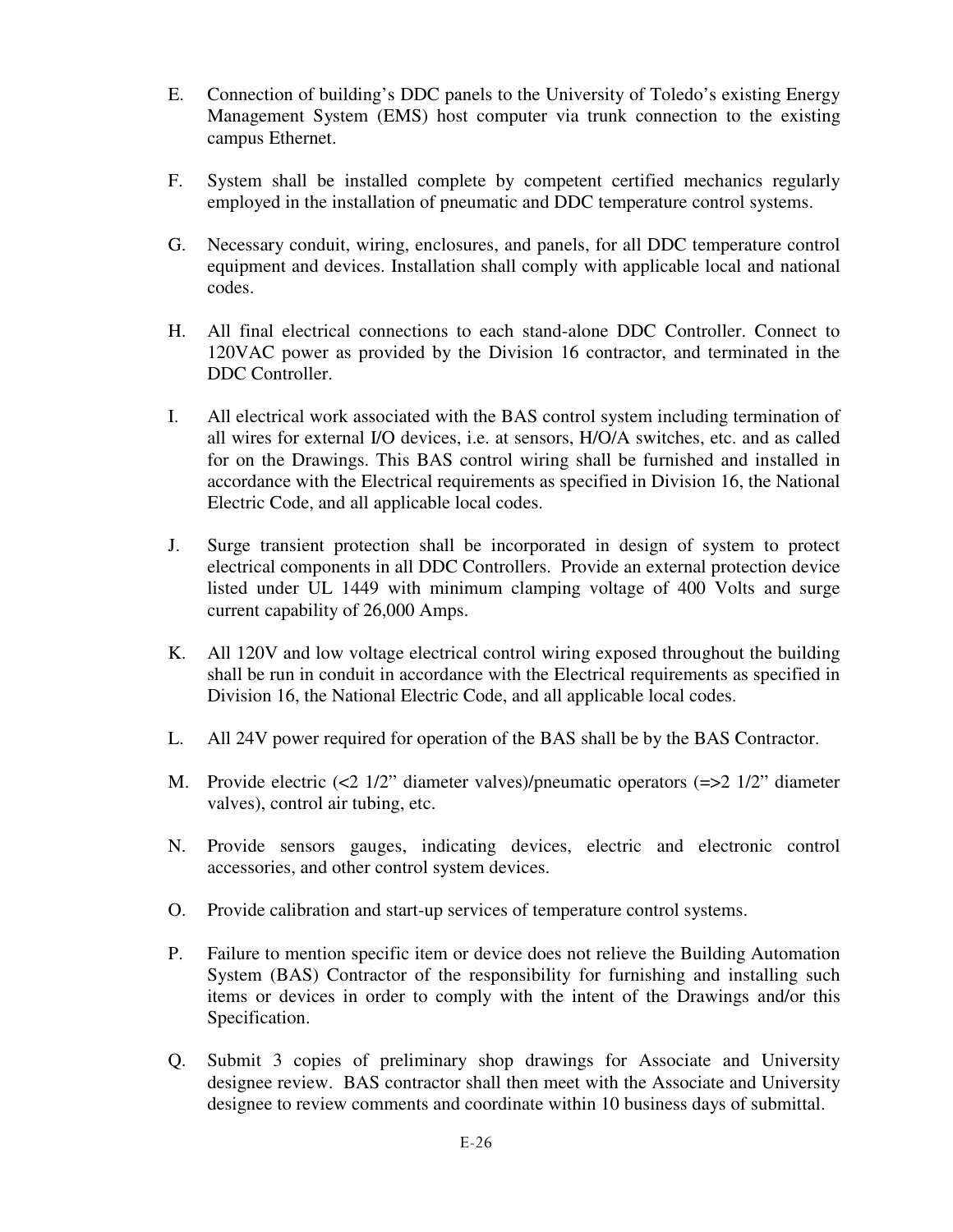- E. Connection of building's DDC panels to the University of Toledo's existing Energy Management System (EMS) host computer via trunk connection to the existing campus Ethernet.
- F. System shall be installed complete by competent certified mechanics regularly employed in the installation of pneumatic and DDC temperature control systems.
- G. Necessary conduit, wiring, enclosures, and panels, for all DDC temperature control equipment and devices. Installation shall comply with applicable local and national codes.
- H. All final electrical connections to each stand-alone DDC Controller. Connect to 120VAC power as provided by the Division 16 contractor, and terminated in the DDC Controller.
- I. All electrical work associated with the BAS control system including termination of all wires for external I/O devices, i.e. at sensors, H/O/A switches, etc. and as called for on the Drawings. This BAS control wiring shall be furnished and installed in accordance with the Electrical requirements as specified in Division 16, the National Electric Code, and all applicable local codes.
- J. Surge transient protection shall be incorporated in design of system to protect electrical components in all DDC Controllers. Provide an external protection device listed under UL 1449 with minimum clamping voltage of 400 Volts and surge current capability of 26,000 Amps.
- K. All 120V and low voltage electrical control wiring exposed throughout the building shall be run in conduit in accordance with the Electrical requirements as specified in Division 16, the National Electric Code, and all applicable local codes.
- L. All 24V power required for operation of the BAS shall be by the BAS Contractor.
- M. Provide electric (<2 1/2" diameter valves)/pneumatic operators (=>2 1/2" diameter valves), control air tubing, etc.
- N. Provide sensors gauges, indicating devices, electric and electronic control accessories, and other control system devices.
- O. Provide calibration and start-up services of temperature control systems.
- P. Failure to mention specific item or device does not relieve the Building Automation System (BAS) Contractor of the responsibility for furnishing and installing such items or devices in order to comply with the intent of the Drawings and/or this Specification.
- Q. Submit 3 copies of preliminary shop drawings for Associate and University designee review. BAS contractor shall then meet with the Associate and University designee to review comments and coordinate within 10 business days of submittal.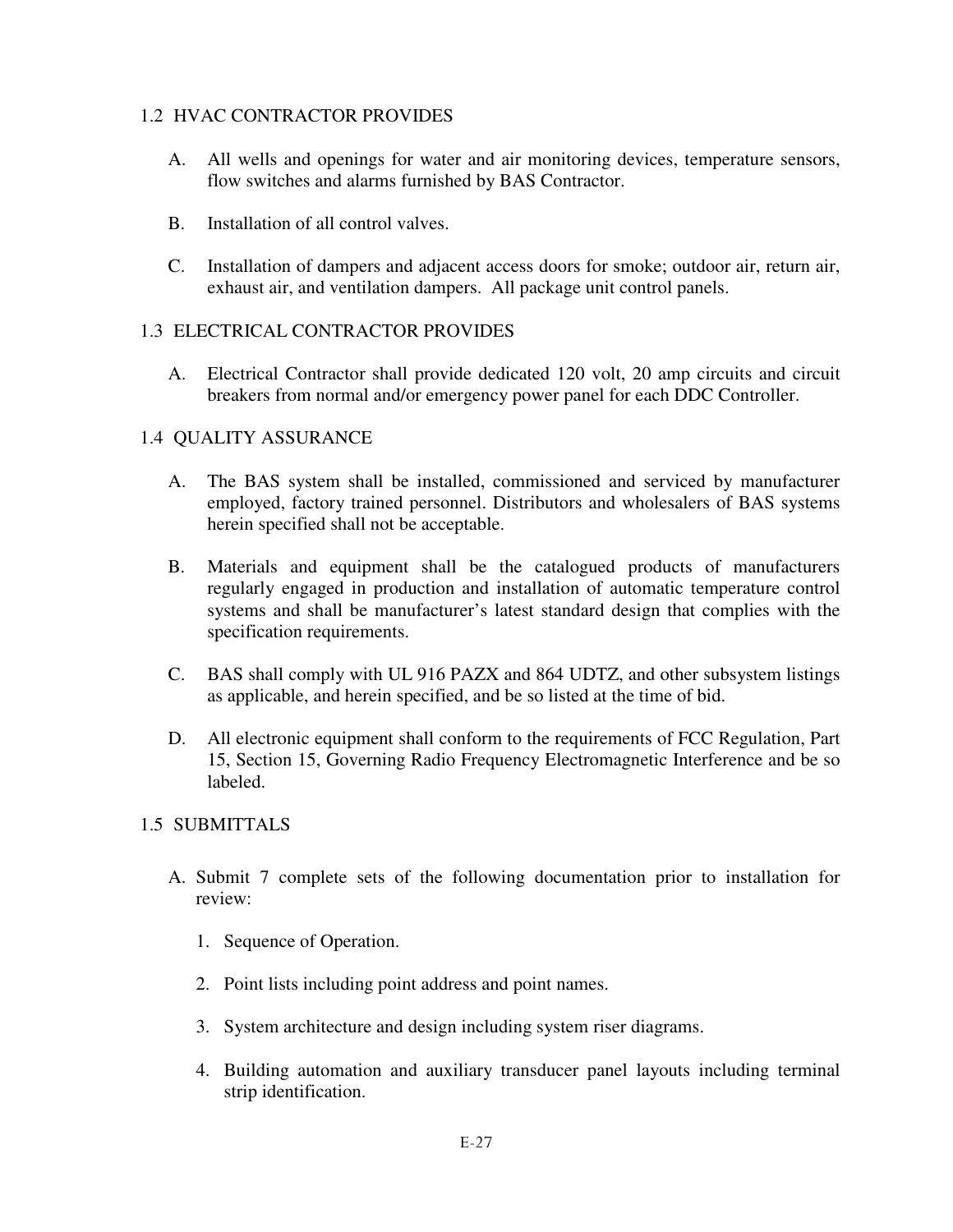## 1.2 HVAC CONTRACTOR PROVIDES

- A. All wells and openings for water and air monitoring devices, temperature sensors, flow switches and alarms furnished by BAS Contractor.
- B. Installation of all control valves.
- C. Installation of dampers and adjacent access doors for smoke; outdoor air, return air, exhaust air, and ventilation dampers. All package unit control panels.

## 1.3 ELECTRICAL CONTRACTOR PROVIDES

A. Electrical Contractor shall provide dedicated 120 volt, 20 amp circuits and circuit breakers from normal and/or emergency power panel for each DDC Controller.

## 1.4 QUALITY ASSURANCE

- A. The BAS system shall be installed, commissioned and serviced by manufacturer employed, factory trained personnel. Distributors and wholesalers of BAS systems herein specified shall not be acceptable.
- B. Materials and equipment shall be the catalogued products of manufacturers regularly engaged in production and installation of automatic temperature control systems and shall be manufacturer's latest standard design that complies with the specification requirements.
- C. BAS shall comply with UL 916 PAZX and 864 UDTZ, and other subsystem listings as applicable, and herein specified, and be so listed at the time of bid.
- D. All electronic equipment shall conform to the requirements of FCC Regulation, Part 15, Section 15, Governing Radio Frequency Electromagnetic Interference and be so labeled.

## 1.5 SUBMITTALS

- A. Submit 7 complete sets of the following documentation prior to installation for review:
	- 1. Sequence of Operation.
	- 2. Point lists including point address and point names.
	- 3. System architecture and design including system riser diagrams.
	- 4. Building automation and auxiliary transducer panel layouts including terminal strip identification.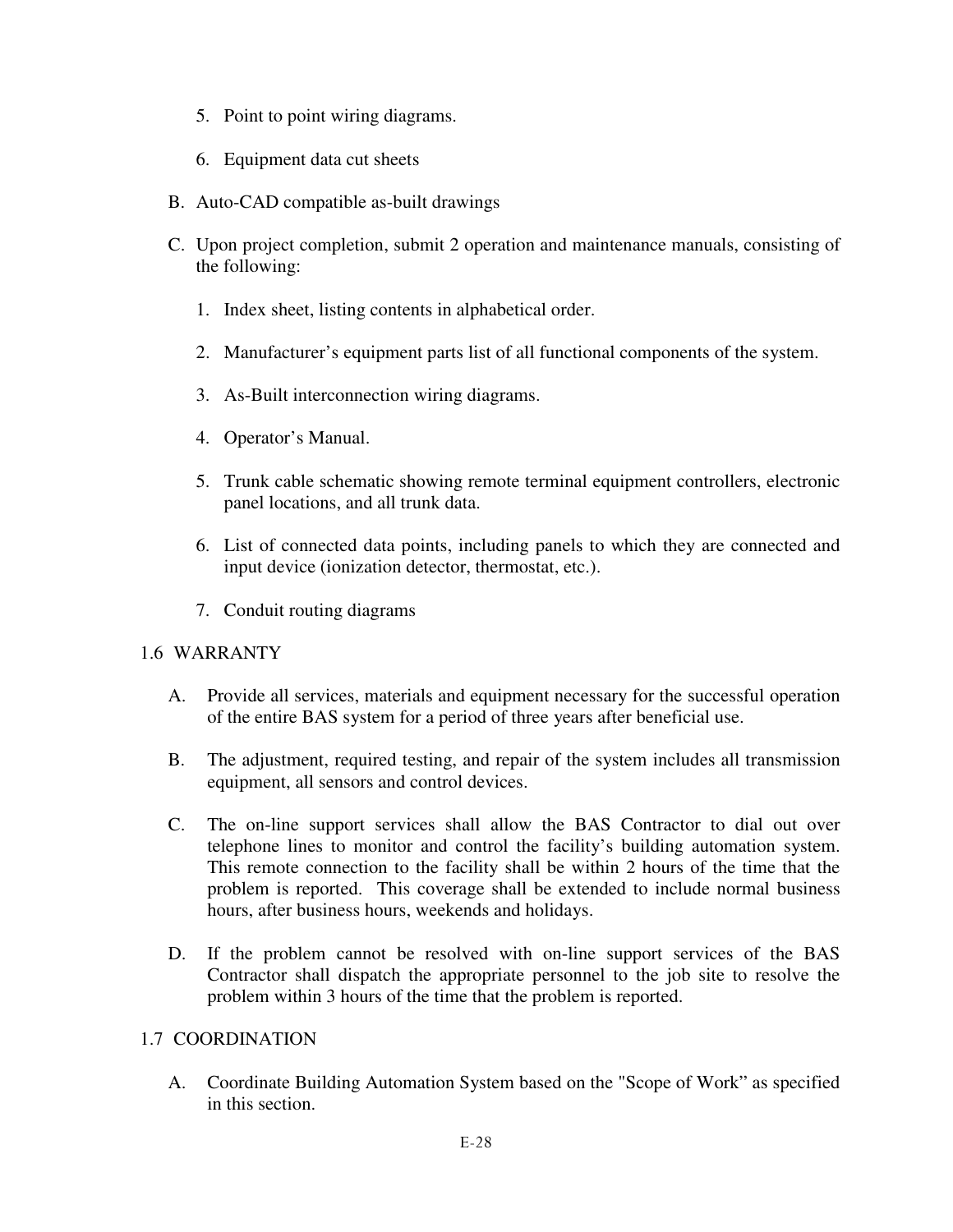- 5. Point to point wiring diagrams.
- 6. Equipment data cut sheets
- B. Auto-CAD compatible as-built drawings
- C. Upon project completion, submit 2 operation and maintenance manuals, consisting of the following:
	- 1. Index sheet, listing contents in alphabetical order.
	- 2. Manufacturer's equipment parts list of all functional components of the system.
	- 3. As-Built interconnection wiring diagrams.
	- 4. Operator's Manual.
	- 5. Trunk cable schematic showing remote terminal equipment controllers, electronic panel locations, and all trunk data.
	- 6. List of connected data points, including panels to which they are connected and input device (ionization detector, thermostat, etc.).
	- 7. Conduit routing diagrams

### 1.6 WARRANTY

- A. Provide all services, materials and equipment necessary for the successful operation of the entire BAS system for a period of three years after beneficial use.
- B. The adjustment, required testing, and repair of the system includes all transmission equipment, all sensors and control devices.
- C. The on-line support services shall allow the BAS Contractor to dial out over telephone lines to monitor and control the facility's building automation system. This remote connection to the facility shall be within 2 hours of the time that the problem is reported. This coverage shall be extended to include normal business hours, after business hours, weekends and holidays.
- D. If the problem cannot be resolved with on-line support services of the BAS Contractor shall dispatch the appropriate personnel to the job site to resolve the problem within 3 hours of the time that the problem is reported.

### 1.7 COORDINATION

A. Coordinate Building Automation System based on the "Scope of Work" as specified in this section.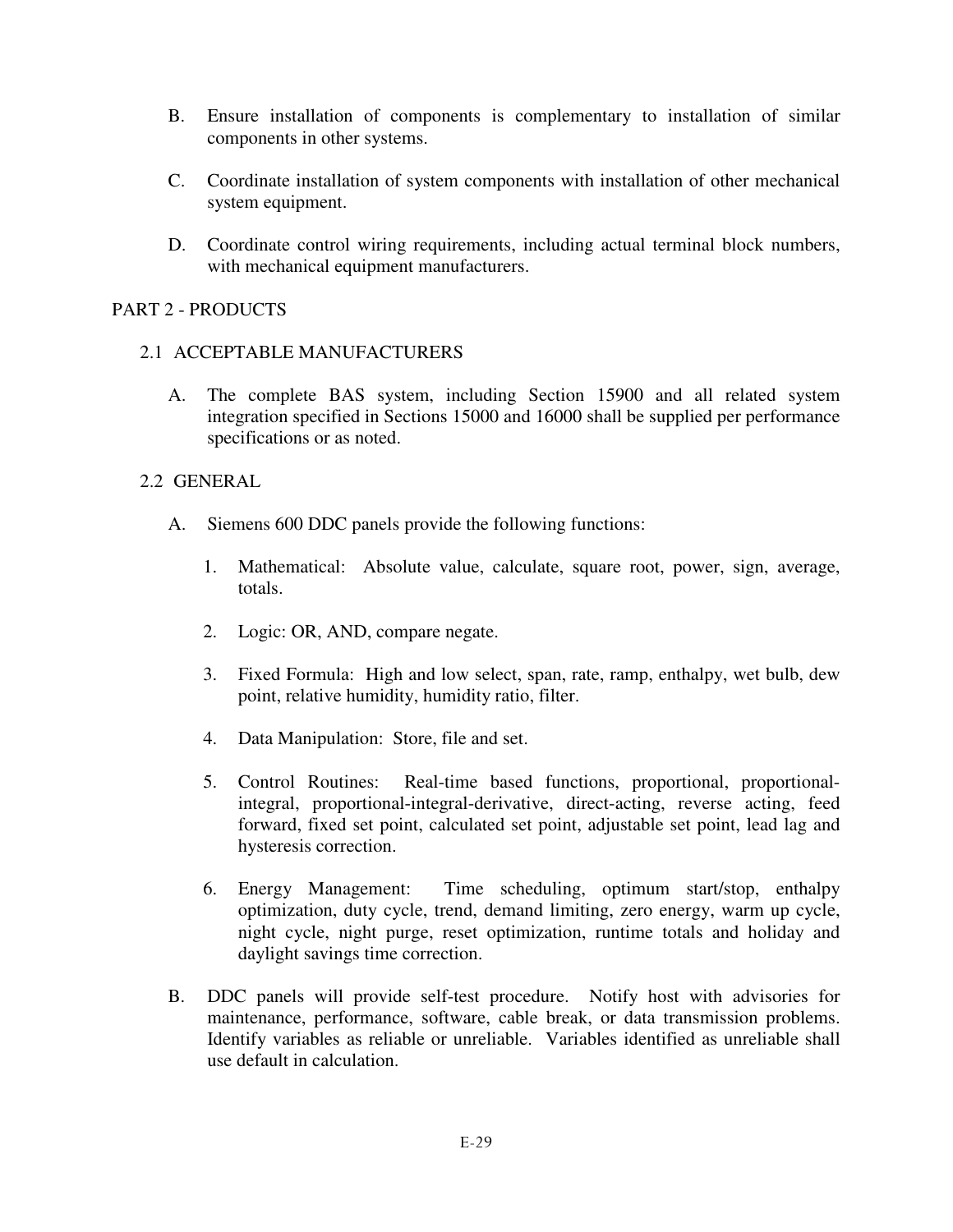- B. Ensure installation of components is complementary to installation of similar components in other systems.
- C. Coordinate installation of system components with installation of other mechanical system equipment.
- D. Coordinate control wiring requirements, including actual terminal block numbers, with mechanical equipment manufacturers.

## PART 2 - PRODUCTS

## 2.1 ACCEPTABLE MANUFACTURERS

A. The complete BAS system, including Section 15900 and all related system integration specified in Sections 15000 and 16000 shall be supplied per performance specifications or as noted.

### 2.2 GENERAL

- A. Siemens 600 DDC panels provide the following functions:
	- 1. Mathematical: Absolute value, calculate, square root, power, sign, average, totals.
	- 2. Logic: OR, AND, compare negate.
	- 3. Fixed Formula: High and low select, span, rate, ramp, enthalpy, wet bulb, dew point, relative humidity, humidity ratio, filter.
	- 4. Data Manipulation: Store, file and set.
	- 5. Control Routines: Real-time based functions, proportional, proportionalintegral, proportional-integral-derivative, direct-acting, reverse acting, feed forward, fixed set point, calculated set point, adjustable set point, lead lag and hysteresis correction.
	- 6. Energy Management: Time scheduling, optimum start/stop, enthalpy optimization, duty cycle, trend, demand limiting, zero energy, warm up cycle, night cycle, night purge, reset optimization, runtime totals and holiday and daylight savings time correction.
- B. DDC panels will provide self-test procedure. Notify host with advisories for maintenance, performance, software, cable break, or data transmission problems. Identify variables as reliable or unreliable. Variables identified as unreliable shall use default in calculation.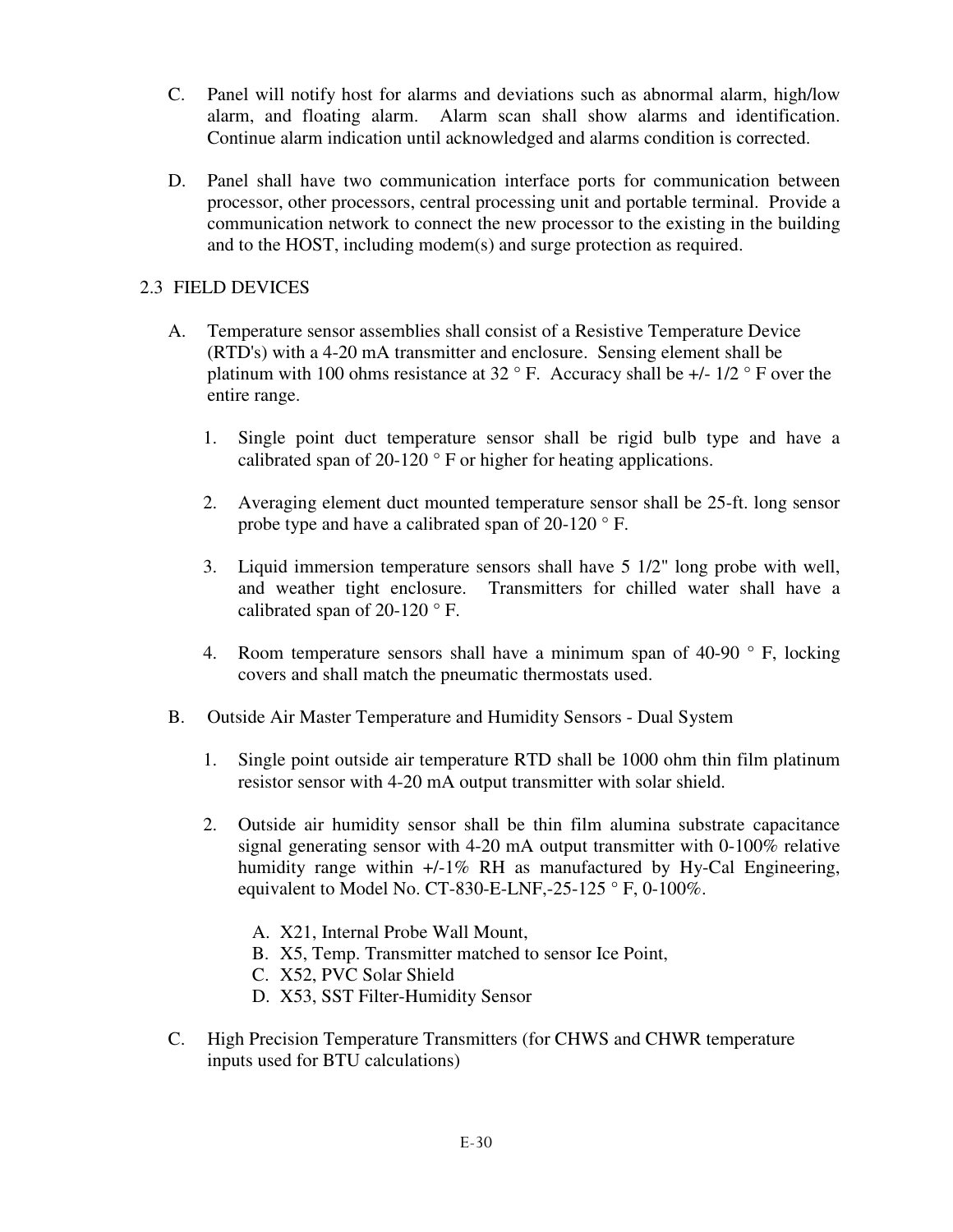- C. Panel will notify host for alarms and deviations such as abnormal alarm, high/low alarm, and floating alarm. Alarm scan shall show alarms and identification. Continue alarm indication until acknowledged and alarms condition is corrected.
- D. Panel shall have two communication interface ports for communication between processor, other processors, central processing unit and portable terminal. Provide a communication network to connect the new processor to the existing in the building and to the HOST, including modem(s) and surge protection as required.

## 2.3 FIELD DEVICES

- A. Temperature sensor assemblies shall consist of a Resistive Temperature Device (RTD's) with a 4-20 mA transmitter and enclosure. Sensing element shall be platinum with 100 ohms resistance at 32  $\degree$  F. Accuracy shall be  $+/-1/2 \degree$  F over the entire range.
	- 1. Single point duct temperature sensor shall be rigid bulb type and have a calibrated span of 20-120 ° F or higher for heating applications.
	- 2. Averaging element duct mounted temperature sensor shall be 25-ft. long sensor probe type and have a calibrated span of 20-120 ° F.
	- 3. Liquid immersion temperature sensors shall have 5 1/2" long probe with well, and weather tight enclosure. Transmitters for chilled water shall have a calibrated span of 20-120 ° F.
	- 4. Room temperature sensors shall have a minimum span of  $40-90$  ° F, locking covers and shall match the pneumatic thermostats used.
- B. Outside Air Master Temperature and Humidity Sensors Dual System
	- 1. Single point outside air temperature RTD shall be 1000 ohm thin film platinum resistor sensor with 4-20 mA output transmitter with solar shield.
	- 2. Outside air humidity sensor shall be thin film alumina substrate capacitance signal generating sensor with 4-20 mA output transmitter with 0-100% relative humidity range within  $+/-1\%$  RH as manufactured by Hy-Cal Engineering, equivalent to Model No. CT-830-E-LNF,-25-125  $\degree$  F, 0-100%.
		- A. X21, Internal Probe Wall Mount,
		- B. X5, Temp. Transmitter matched to sensor Ice Point,
		- C. X52, PVC Solar Shield
		- D. X53, SST Filter-Humidity Sensor
- C. High Precision Temperature Transmitters (for CHWS and CHWR temperature inputs used for BTU calculations)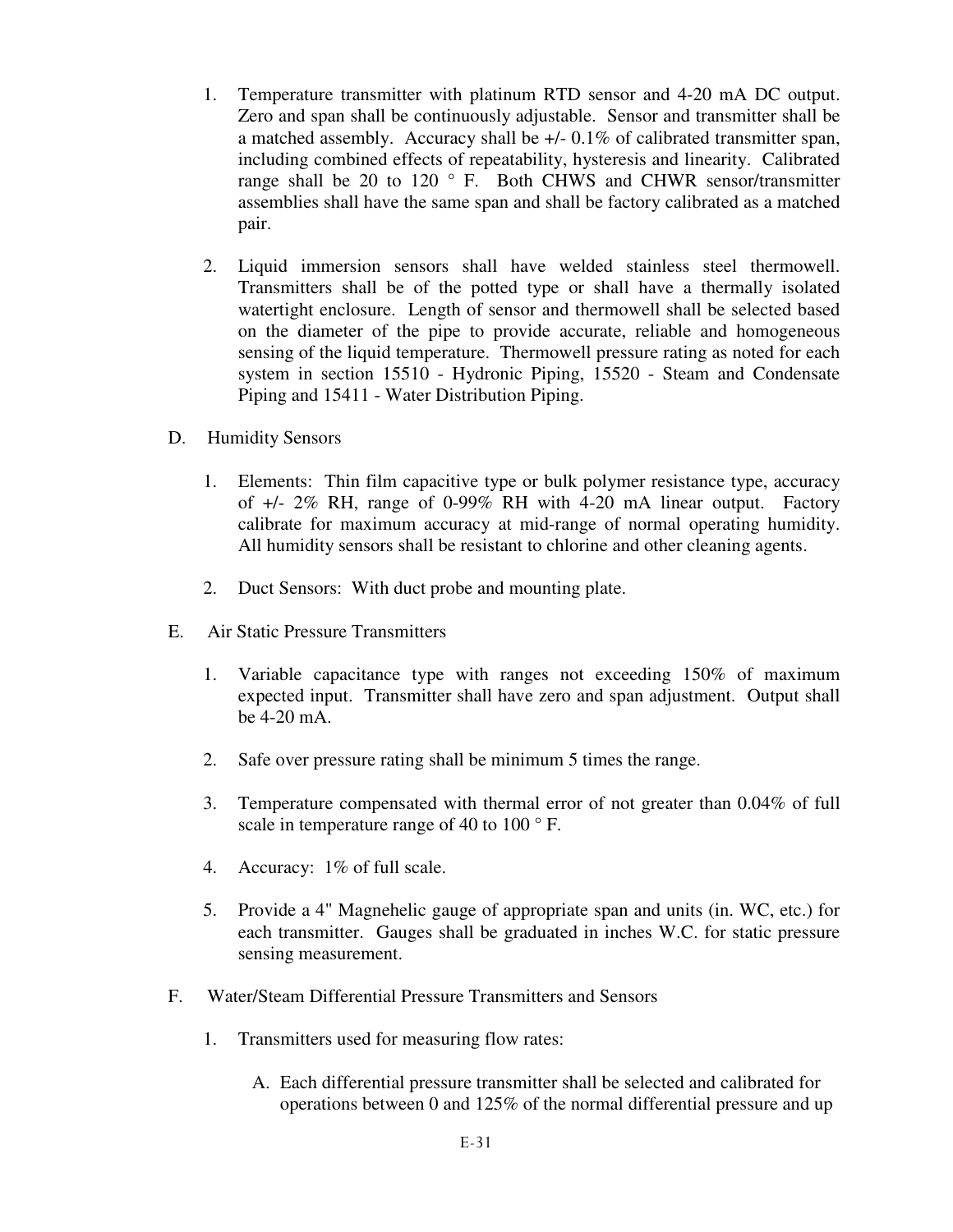- 1. Temperature transmitter with platinum RTD sensor and 4-20 mA DC output. Zero and span shall be continuously adjustable. Sensor and transmitter shall be a matched assembly. Accuracy shall be +/- 0.1% of calibrated transmitter span, including combined effects of repeatability, hysteresis and linearity. Calibrated range shall be 20 to 120 ° F. Both CHWS and CHWR sensor/transmitter assemblies shall have the same span and shall be factory calibrated as a matched pair.
- 2. Liquid immersion sensors shall have welded stainless steel thermowell. Transmitters shall be of the potted type or shall have a thermally isolated watertight enclosure. Length of sensor and thermowell shall be selected based on the diameter of the pipe to provide accurate, reliable and homogeneous sensing of the liquid temperature. Thermowell pressure rating as noted for each system in section 15510 - Hydronic Piping, 15520 - Steam and Condensate Piping and 15411 - Water Distribution Piping.
- D. Humidity Sensors
	- 1. Elements: Thin film capacitive type or bulk polymer resistance type, accuracy of +/- 2% RH, range of 0-99% RH with 4-20 mA linear output. Factory calibrate for maximum accuracy at mid-range of normal operating humidity. All humidity sensors shall be resistant to chlorine and other cleaning agents.
	- 2. Duct Sensors: With duct probe and mounting plate.
- E. Air Static Pressure Transmitters
	- 1. Variable capacitance type with ranges not exceeding 150% of maximum expected input. Transmitter shall have zero and span adjustment. Output shall be 4-20 mA.
	- 2. Safe over pressure rating shall be minimum 5 times the range.
	- 3. Temperature compensated with thermal error of not greater than 0.04% of full scale in temperature range of 40 to 100 $\degree$  F.
	- 4. Accuracy: 1% of full scale.
	- 5. Provide a 4" Magnehelic gauge of appropriate span and units (in. WC, etc.) for each transmitter. Gauges shall be graduated in inches W.C. for static pressure sensing measurement.
- F. Water/Steam Differential Pressure Transmitters and Sensors
	- 1. Transmitters used for measuring flow rates:
		- A. Each differential pressure transmitter shall be selected and calibrated for operations between 0 and 125% of the normal differential pressure and up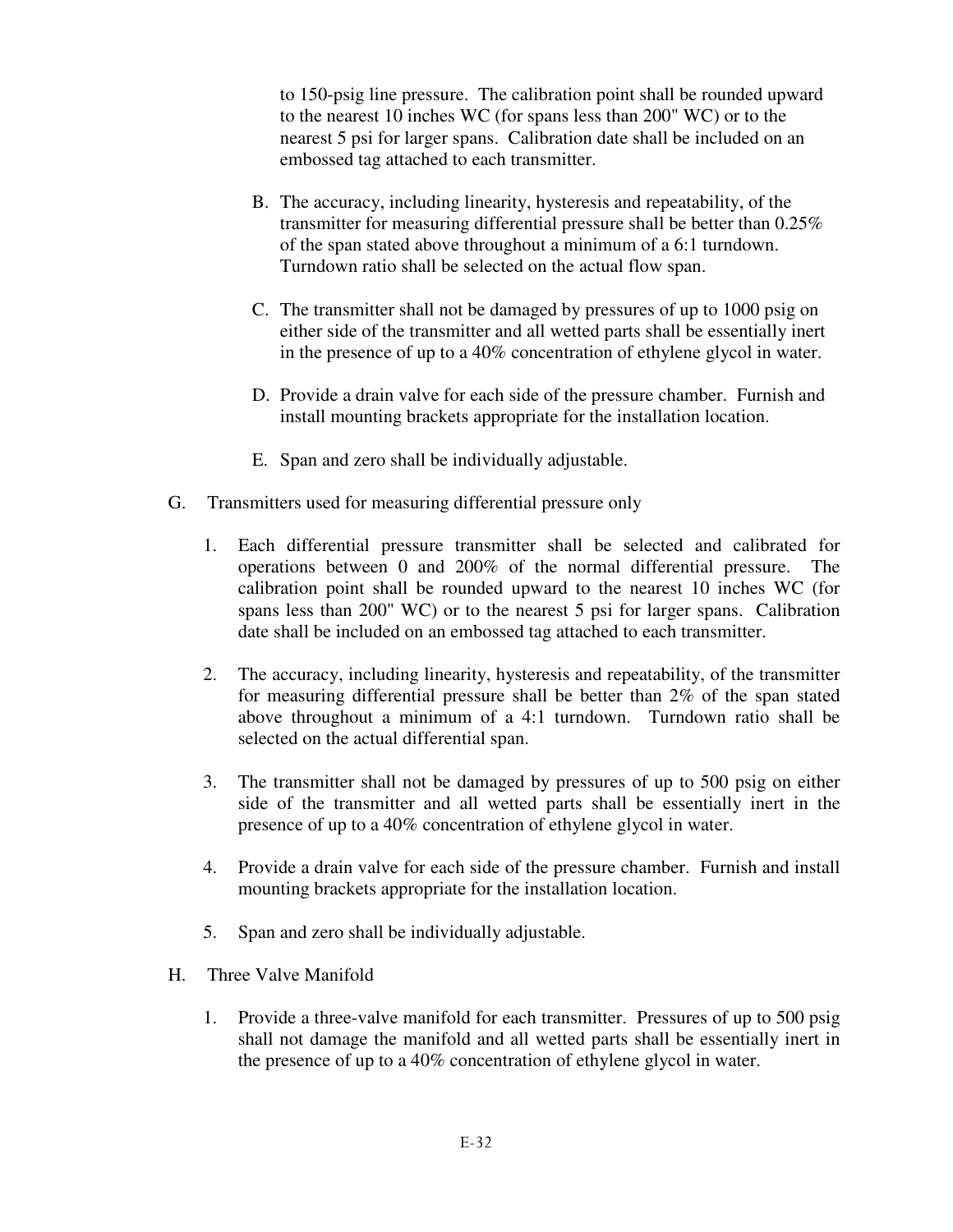to 150-psig line pressure. The calibration point shall be rounded upward to the nearest 10 inches WC (for spans less than 200" WC) or to the nearest 5 psi for larger spans. Calibration date shall be included on an embossed tag attached to each transmitter.

- B. The accuracy, including linearity, hysteresis and repeatability, of the transmitter for measuring differential pressure shall be better than 0.25% of the span stated above throughout a minimum of a 6:1 turndown. Turndown ratio shall be selected on the actual flow span.
- C. The transmitter shall not be damaged by pressures of up to 1000 psig on either side of the transmitter and all wetted parts shall be essentially inert in the presence of up to a 40% concentration of ethylene glycol in water.
- D. Provide a drain valve for each side of the pressure chamber. Furnish and install mounting brackets appropriate for the installation location.
- E. Span and zero shall be individually adjustable.
- G. Transmitters used for measuring differential pressure only
	- 1. Each differential pressure transmitter shall be selected and calibrated for operations between 0 and 200% of the normal differential pressure. The calibration point shall be rounded upward to the nearest 10 inches WC (for spans less than 200" WC) or to the nearest 5 psi for larger spans. Calibration date shall be included on an embossed tag attached to each transmitter.
	- 2. The accuracy, including linearity, hysteresis and repeatability, of the transmitter for measuring differential pressure shall be better than 2% of the span stated above throughout a minimum of a 4:1 turndown. Turndown ratio shall be selected on the actual differential span.
	- 3. The transmitter shall not be damaged by pressures of up to 500 psig on either side of the transmitter and all wetted parts shall be essentially inert in the presence of up to a 40% concentration of ethylene glycol in water.
	- 4. Provide a drain valve for each side of the pressure chamber. Furnish and install mounting brackets appropriate for the installation location.
	- 5. Span and zero shall be individually adjustable.
- H. Three Valve Manifold
	- 1. Provide a three-valve manifold for each transmitter. Pressures of up to 500 psig shall not damage the manifold and all wetted parts shall be essentially inert in the presence of up to a 40% concentration of ethylene glycol in water.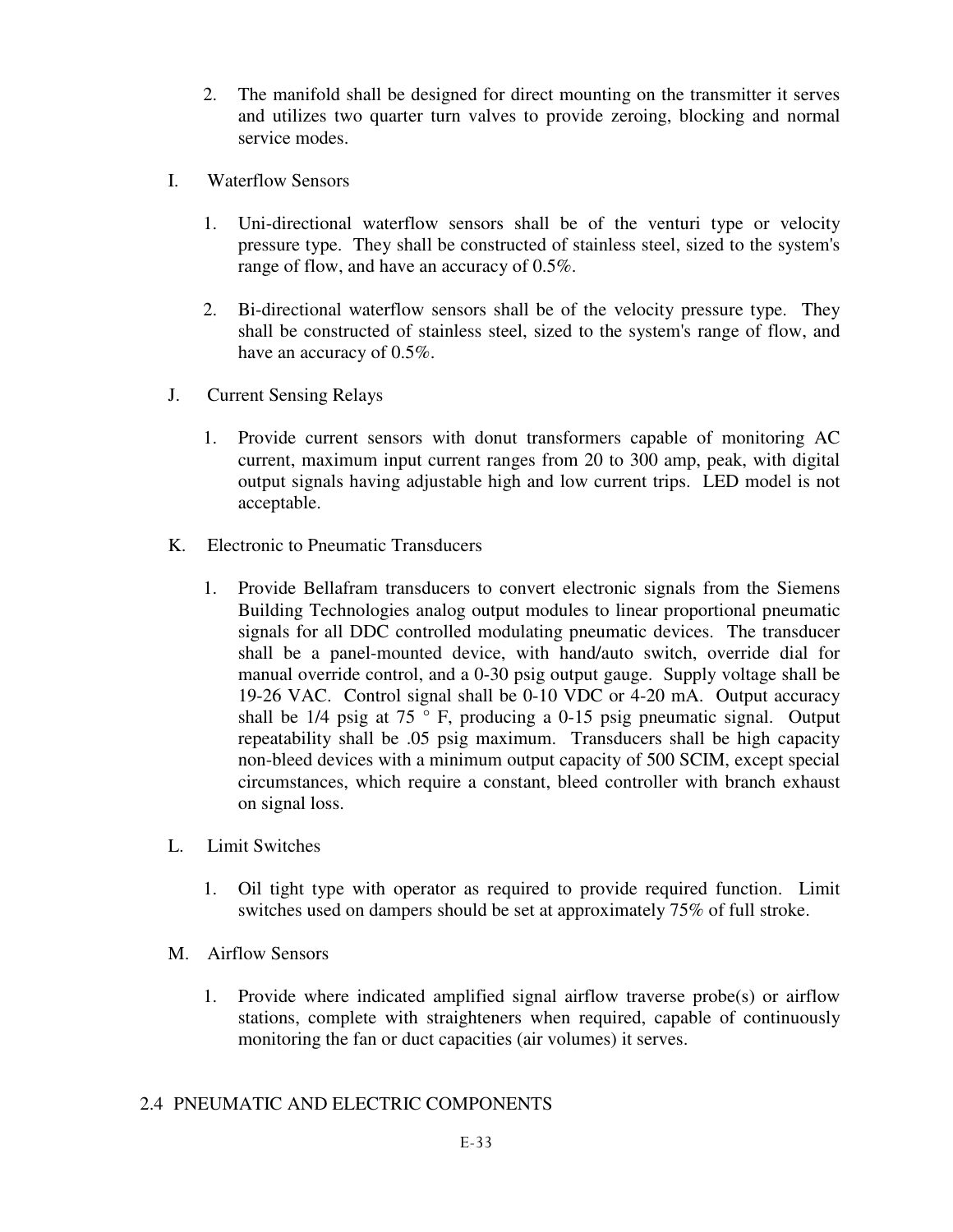- 2. The manifold shall be designed for direct mounting on the transmitter it serves and utilizes two quarter turn valves to provide zeroing, blocking and normal service modes.
- I. Waterflow Sensors
	- 1. Uni-directional waterflow sensors shall be of the venturi type or velocity pressure type. They shall be constructed of stainless steel, sized to the system's range of flow, and have an accuracy of 0.5%.
	- 2. Bi-directional waterflow sensors shall be of the velocity pressure type. They shall be constructed of stainless steel, sized to the system's range of flow, and have an accuracy of 0.5%.
- J. Current Sensing Relays
	- 1. Provide current sensors with donut transformers capable of monitoring AC current, maximum input current ranges from 20 to 300 amp, peak, with digital output signals having adjustable high and low current trips. LED model is not acceptable.
- K. Electronic to Pneumatic Transducers
	- 1. Provide Bellafram transducers to convert electronic signals from the Siemens Building Technologies analog output modules to linear proportional pneumatic signals for all DDC controlled modulating pneumatic devices. The transducer shall be a panel-mounted device, with hand/auto switch, override dial for manual override control, and a 0-30 psig output gauge. Supply voltage shall be 19-26 VAC. Control signal shall be 0-10 VDC or 4-20 mA. Output accuracy shall be  $1/4$  psig at  $75$  ° F, producing a 0-15 psig pneumatic signal. Output repeatability shall be .05 psig maximum. Transducers shall be high capacity non-bleed devices with a minimum output capacity of 500 SCIM, except special circumstances, which require a constant, bleed controller with branch exhaust on signal loss.
- L. Limit Switches
	- 1. Oil tight type with operator as required to provide required function. Limit switches used on dampers should be set at approximately 75% of full stroke.
- M. Airflow Sensors
	- 1. Provide where indicated amplified signal airflow traverse probe(s) or airflow stations, complete with straighteners when required, capable of continuously monitoring the fan or duct capacities (air volumes) it serves.

# 2.4 PNEUMATIC AND ELECTRIC COMPONENTS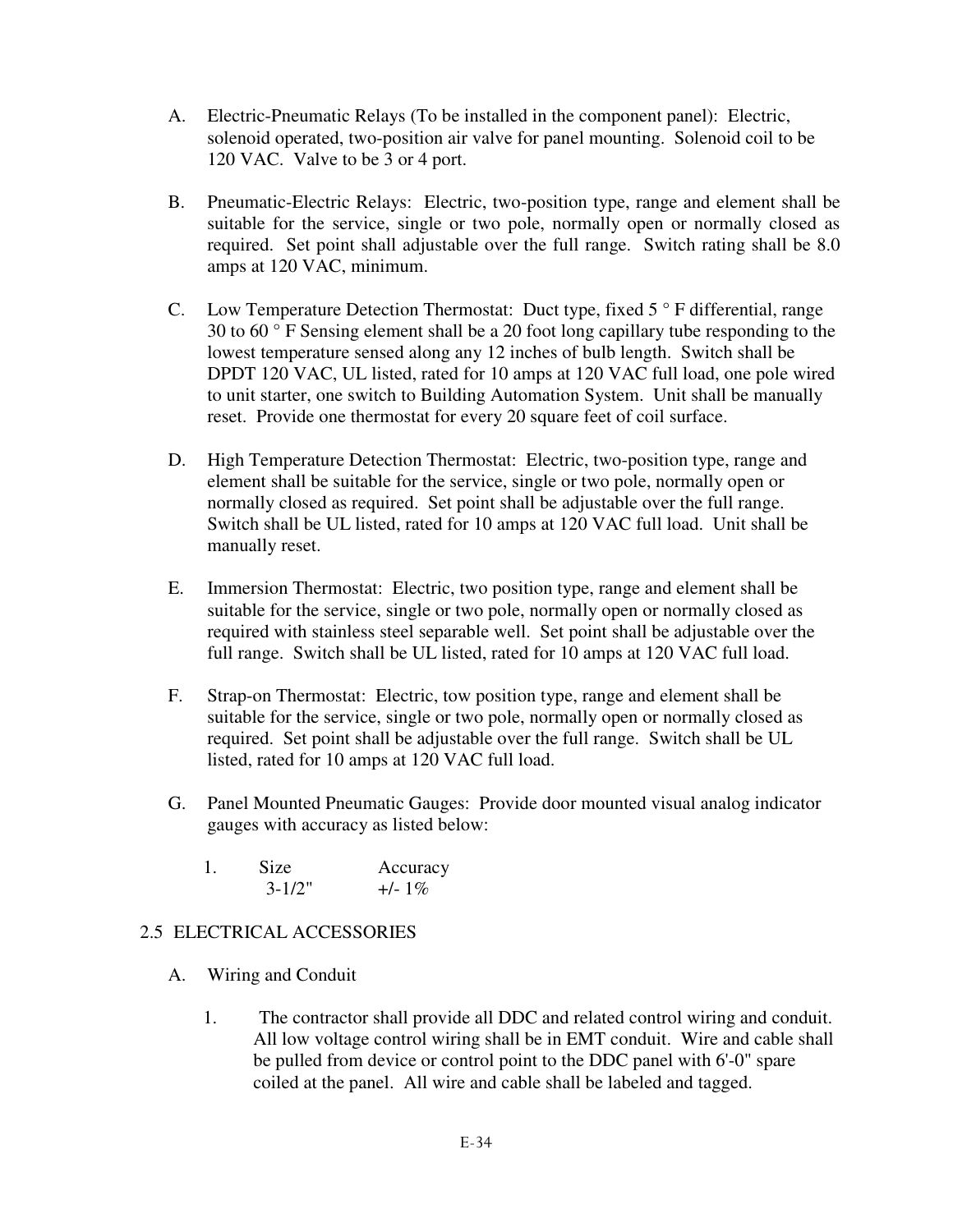- A. Electric-Pneumatic Relays (To be installed in the component panel): Electric, solenoid operated, two-position air valve for panel mounting. Solenoid coil to be 120 VAC. Valve to be 3 or 4 port.
- B. Pneumatic-Electric Relays: Electric, two-position type, range and element shall be suitable for the service, single or two pole, normally open or normally closed as required. Set point shall adjustable over the full range. Switch rating shall be 8.0 amps at 120 VAC, minimum.
- C. Low Temperature Detection Thermostat: Duct type, fixed 5 ° F differential, range 30 to 60 ° F Sensing element shall be a 20 foot long capillary tube responding to the lowest temperature sensed along any 12 inches of bulb length. Switch shall be DPDT 120 VAC, UL listed, rated for 10 amps at 120 VAC full load, one pole wired to unit starter, one switch to Building Automation System. Unit shall be manually reset. Provide one thermostat for every 20 square feet of coil surface.
- D. High Temperature Detection Thermostat: Electric, two-position type, range and element shall be suitable for the service, single or two pole, normally open or normally closed as required. Set point shall be adjustable over the full range. Switch shall be UL listed, rated for 10 amps at 120 VAC full load. Unit shall be manually reset.
- E. Immersion Thermostat: Electric, two position type, range and element shall be suitable for the service, single or two pole, normally open or normally closed as required with stainless steel separable well. Set point shall be adjustable over the full range. Switch shall be UL listed, rated for 10 amps at 120 VAC full load.
- F. Strap-on Thermostat: Electric, tow position type, range and element shall be suitable for the service, single or two pole, normally open or normally closed as required. Set point shall be adjustable over the full range. Switch shall be UL listed, rated for 10 amps at 120 VAC full load.
- G. Panel Mounted Pneumatic Gauges: Provide door mounted visual analog indicator gauges with accuracy as listed below:
	- 1. Size Accuracy  $3-1/2"$  +/- 1%

# 2.5 ELECTRICAL ACCESSORIES

- A. Wiring and Conduit
	- 1. The contractor shall provide all DDC and related control wiring and conduit. All low voltage control wiring shall be in EMT conduit. Wire and cable shall be pulled from device or control point to the DDC panel with 6'-0" spare coiled at the panel. All wire and cable shall be labeled and tagged.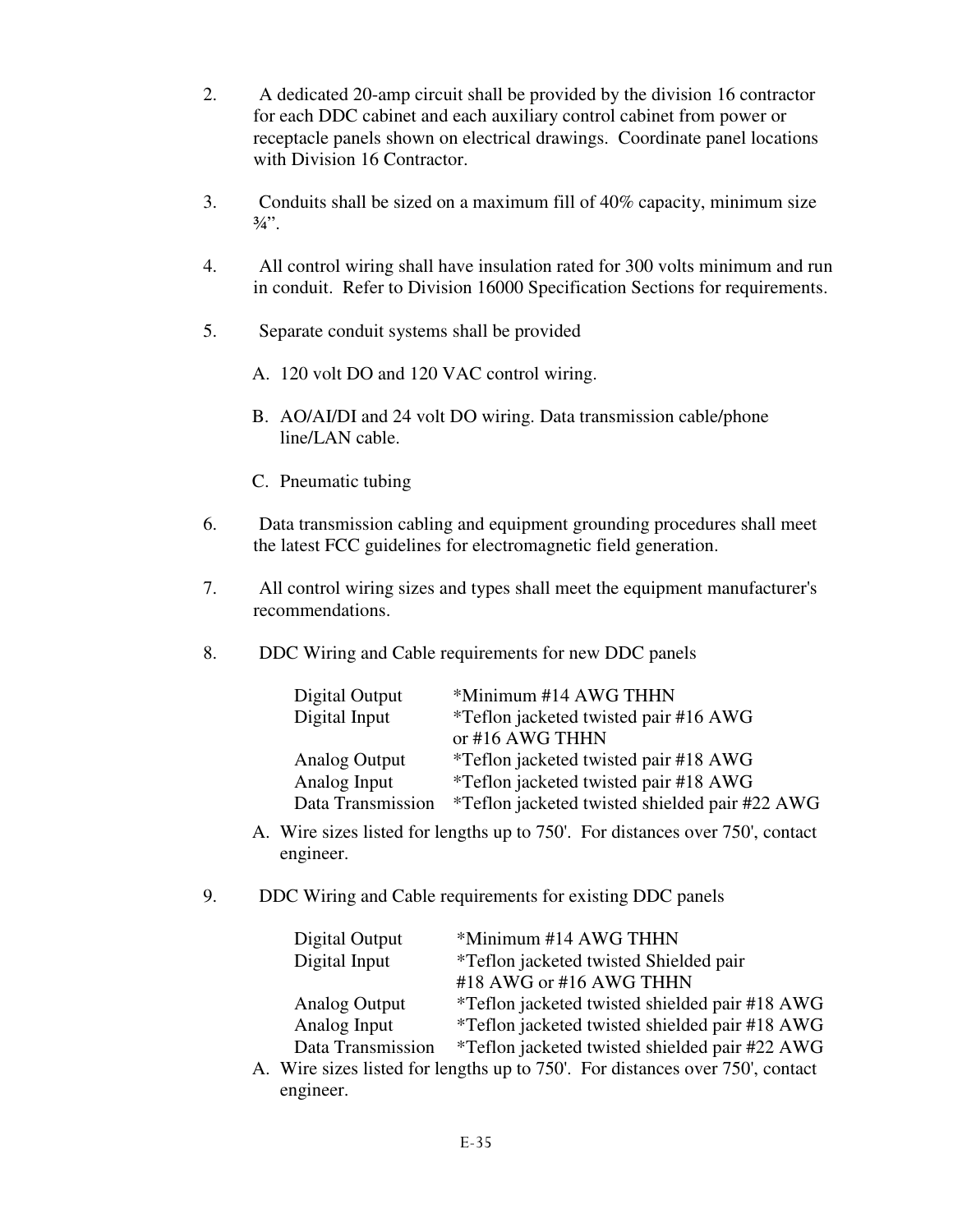- 2. A dedicated 20-amp circuit shall be provided by the division 16 contractor for each DDC cabinet and each auxiliary control cabinet from power or receptacle panels shown on electrical drawings. Coordinate panel locations with Division 16 Contractor.
- 3. Conduits shall be sized on a maximum fill of 40% capacity, minimum size  $3/4$ ".
- 4. All control wiring shall have insulation rated for 300 volts minimum and run in conduit. Refer to Division 16000 Specification Sections for requirements.
- 5. Separate conduit systems shall be provided
	- A. 120 volt DO and 120 VAC control wiring.
	- B. AO/AI/DI and 24 volt DO wiring. Data transmission cable/phone line/LAN cable.
	- C. Pneumatic tubing
- 6. Data transmission cabling and equipment grounding procedures shall meet the latest FCC guidelines for electromagnetic field generation.
- 7. All control wiring sizes and types shall meet the equipment manufacturer's recommendations.
- 8. DDC Wiring and Cable requirements for new DDC panels

| Digital Output    | *Minimum #14 AWG THHN                          |
|-------------------|------------------------------------------------|
| Digital Input     | *Teflon jacketed twisted pair #16 AWG          |
|                   | or #16 AWG THHN                                |
| Analog Output     | *Teflon jacketed twisted pair #18 AWG          |
| Analog Input      | *Teflon jacketed twisted pair #18 AWG          |
| Data Transmission | *Teflon jacketed twisted shielded pair #22 AWG |

- A. Wire sizes listed for lengths up to 750'. For distances over 750', contact engineer.
- 9. DDC Wiring and Cable requirements for existing DDC panels

| Digital Output       | *Minimum #14 AWG THHN                          |
|----------------------|------------------------------------------------|
| Digital Input        | <i>*</i> Teflon jacketed twisted Shielded pair |
|                      | #18 AWG or #16 AWG THHN                        |
| <b>Analog Output</b> | *Teflon jacketed twisted shielded pair #18 AWG |
| Analog Input         | *Teflon jacketed twisted shielded pair #18 AWG |
| Data Transmission    | *Teflon jacketed twisted shielded pair #22 AWG |

A. Wire sizes listed for lengths up to 750'. For distances over 750', contact engineer.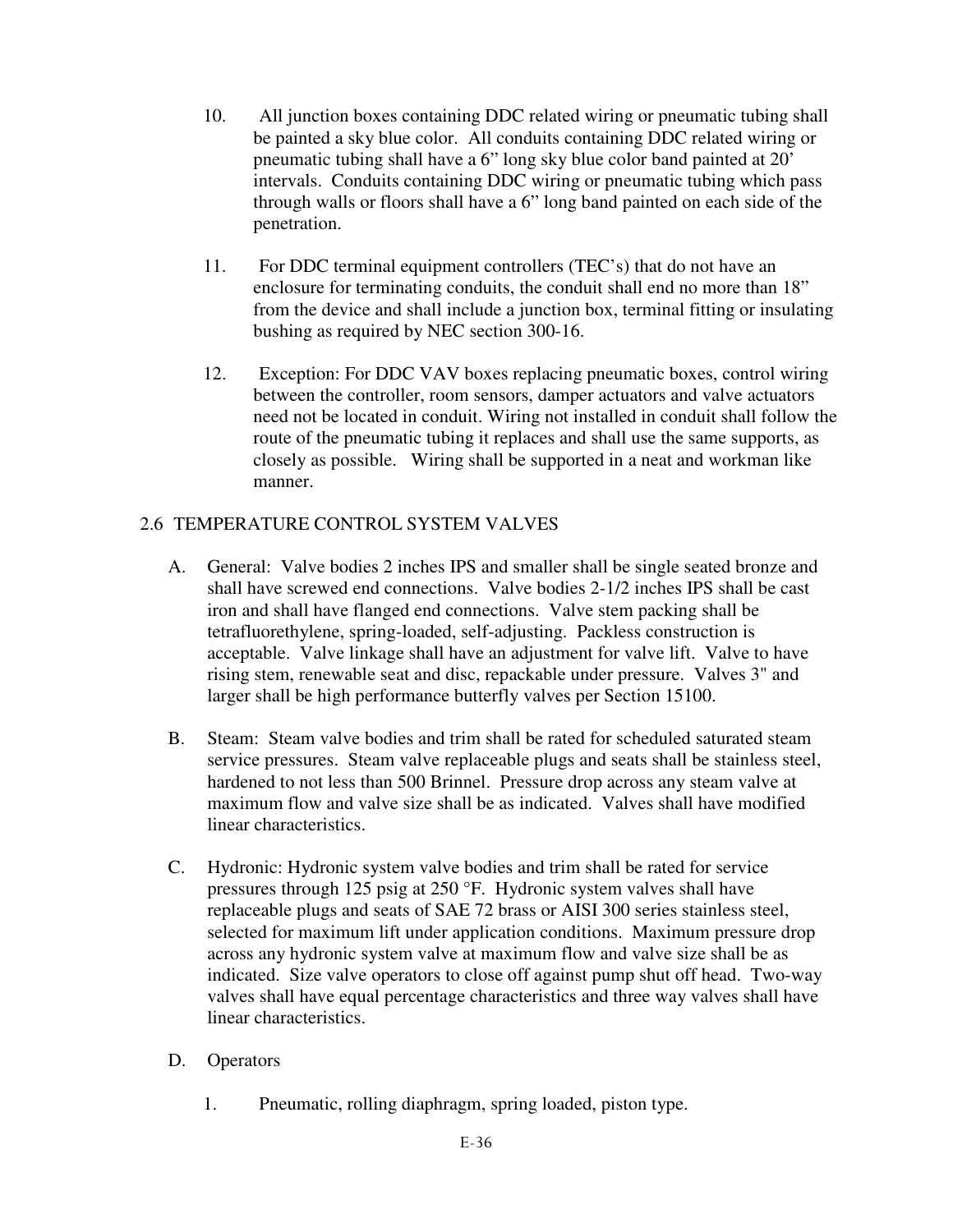- 10. All junction boxes containing DDC related wiring or pneumatic tubing shall be painted a sky blue color. All conduits containing DDC related wiring or pneumatic tubing shall have a 6" long sky blue color band painted at 20' intervals. Conduits containing DDC wiring or pneumatic tubing which pass through walls or floors shall have a 6" long band painted on each side of the penetration.
- 11. For DDC terminal equipment controllers (TEC's) that do not have an enclosure for terminating conduits, the conduit shall end no more than 18" from the device and shall include a junction box, terminal fitting or insulating bushing as required by NEC section 300-16.
- 12. Exception: For DDC VAV boxes replacing pneumatic boxes, control wiring between the controller, room sensors, damper actuators and valve actuators need not be located in conduit. Wiring not installed in conduit shall follow the route of the pneumatic tubing it replaces and shall use the same supports, as closely as possible. Wiring shall be supported in a neat and workman like manner.

# 2.6 TEMPERATURE CONTROL SYSTEM VALVES

- A. General: Valve bodies 2 inches IPS and smaller shall be single seated bronze and shall have screwed end connections. Valve bodies 2-1/2 inches IPS shall be cast iron and shall have flanged end connections. Valve stem packing shall be tetrafluorethylene, spring-loaded, self-adjusting. Packless construction is acceptable. Valve linkage shall have an adjustment for valve lift. Valve to have rising stem, renewable seat and disc, repackable under pressure. Valves 3" and larger shall be high performance butterfly valves per Section 15100.
- B. Steam: Steam valve bodies and trim shall be rated for scheduled saturated steam service pressures. Steam valve replaceable plugs and seats shall be stainless steel, hardened to not less than 500 Brinnel. Pressure drop across any steam valve at maximum flow and valve size shall be as indicated. Valves shall have modified linear characteristics.
- C. Hydronic: Hydronic system valve bodies and trim shall be rated for service pressures through 125 psig at 250 °F. Hydronic system valves shall have replaceable plugs and seats of SAE 72 brass or AISI 300 series stainless steel, selected for maximum lift under application conditions. Maximum pressure drop across any hydronic system valve at maximum flow and valve size shall be as indicated. Size valve operators to close off against pump shut off head. Two-way valves shall have equal percentage characteristics and three way valves shall have linear characteristics.
- D. Operators
	- 1. Pneumatic, rolling diaphragm, spring loaded, piston type.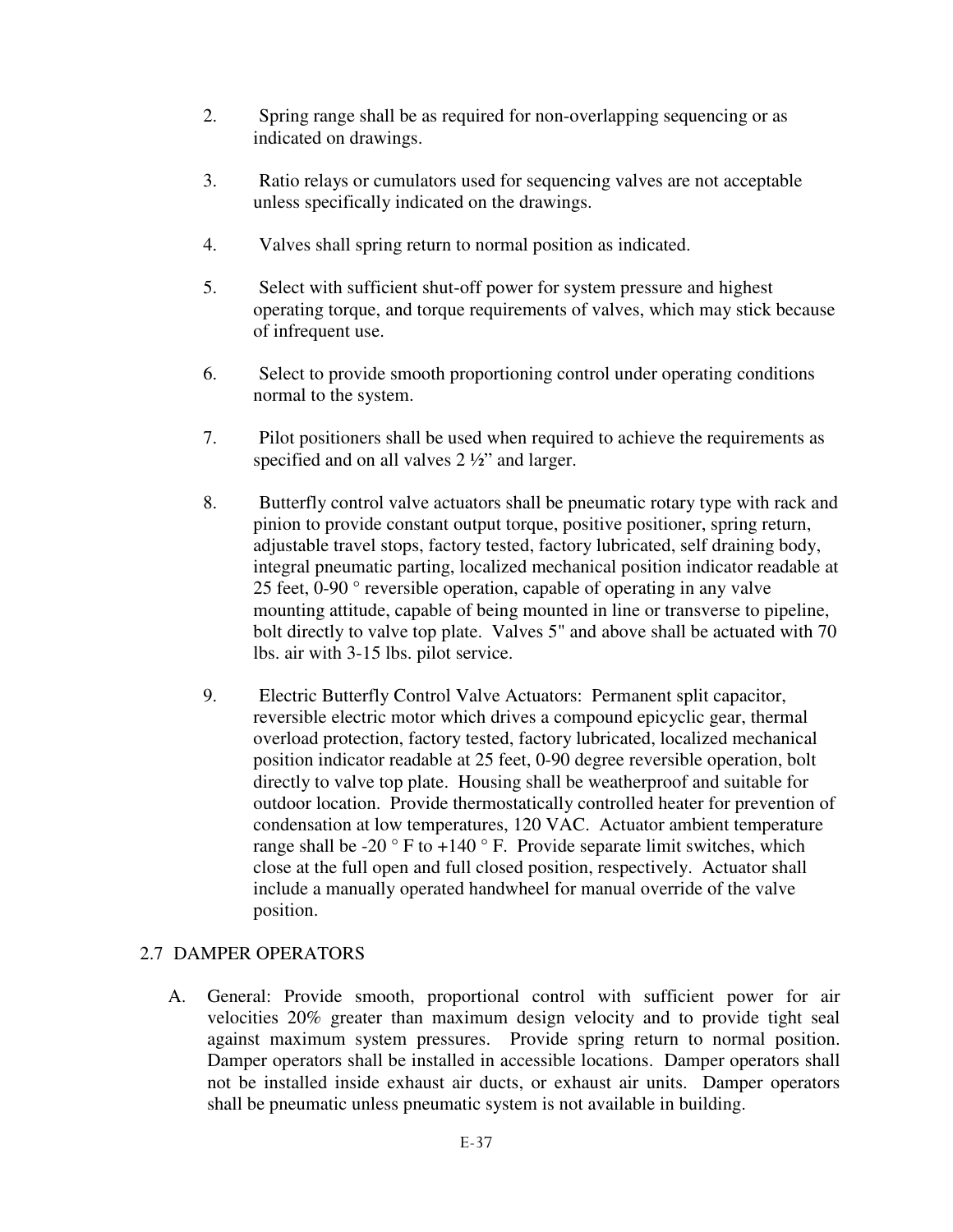- 2. Spring range shall be as required for non-overlapping sequencing or as indicated on drawings.
- 3. Ratio relays or cumulators used for sequencing valves are not acceptable unless specifically indicated on the drawings.
- 4. Valves shall spring return to normal position as indicated.
- 5. Select with sufficient shut-off power for system pressure and highest operating torque, and torque requirements of valves, which may stick because of infrequent use.
- 6. Select to provide smooth proportioning control under operating conditions normal to the system.
- 7. Pilot positioners shall be used when required to achieve the requirements as specified and on all valves  $2\frac{1}{2}$  and larger.
- 8. Butterfly control valve actuators shall be pneumatic rotary type with rack and pinion to provide constant output torque, positive positioner, spring return, adjustable travel stops, factory tested, factory lubricated, self draining body, integral pneumatic parting, localized mechanical position indicator readable at 25 feet, 0-90 ° reversible operation, capable of operating in any valve mounting attitude, capable of being mounted in line or transverse to pipeline, bolt directly to valve top plate. Valves 5" and above shall be actuated with 70 lbs. air with 3-15 lbs. pilot service.
- 9. Electric Butterfly Control Valve Actuators: Permanent split capacitor, reversible electric motor which drives a compound epicyclic gear, thermal overload protection, factory tested, factory lubricated, localized mechanical position indicator readable at 25 feet, 0-90 degree reversible operation, bolt directly to valve top plate. Housing shall be weatherproof and suitable for outdoor location. Provide thermostatically controlled heater for prevention of condensation at low temperatures, 120 VAC. Actuator ambient temperature range shall be -20  $\degree$  F to +140  $\degree$  F. Provide separate limit switches, which close at the full open and full closed position, respectively. Actuator shall include a manually operated handwheel for manual override of the valve position.

# 2.7 DAMPER OPERATORS

A. General: Provide smooth, proportional control with sufficient power for air velocities 20% greater than maximum design velocity and to provide tight seal against maximum system pressures. Provide spring return to normal position. Damper operators shall be installed in accessible locations. Damper operators shall not be installed inside exhaust air ducts, or exhaust air units. Damper operators shall be pneumatic unless pneumatic system is not available in building.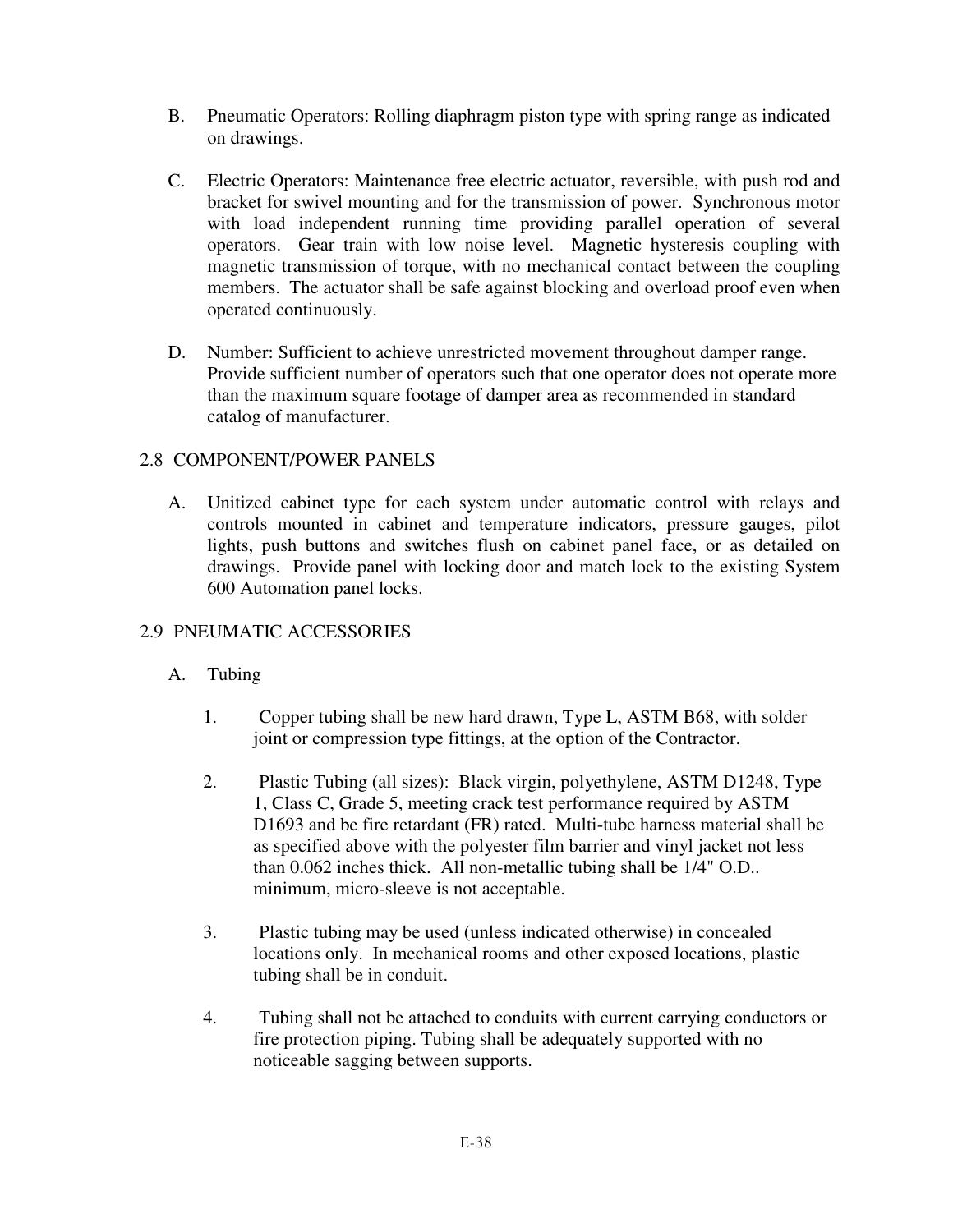- B. Pneumatic Operators: Rolling diaphragm piston type with spring range as indicated on drawings.
- C. Electric Operators: Maintenance free electric actuator, reversible, with push rod and bracket for swivel mounting and for the transmission of power. Synchronous motor with load independent running time providing parallel operation of several operators. Gear train with low noise level. Magnetic hysteresis coupling with magnetic transmission of torque, with no mechanical contact between the coupling members. The actuator shall be safe against blocking and overload proof even when operated continuously.
- D. Number: Sufficient to achieve unrestricted movement throughout damper range. Provide sufficient number of operators such that one operator does not operate more than the maximum square footage of damper area as recommended in standard catalog of manufacturer.

## 2.8 COMPONENT/POWER PANELS

A. Unitized cabinet type for each system under automatic control with relays and controls mounted in cabinet and temperature indicators, pressure gauges, pilot lights, push buttons and switches flush on cabinet panel face, or as detailed on drawings. Provide panel with locking door and match lock to the existing System 600 Automation panel locks.

### 2.9 PNEUMATIC ACCESSORIES

- A. Tubing
	- 1. Copper tubing shall be new hard drawn, Type L, ASTM B68, with solder joint or compression type fittings, at the option of the Contractor.
	- 2. Plastic Tubing (all sizes): Black virgin, polyethylene, ASTM D1248, Type 1, Class C, Grade 5, meeting crack test performance required by ASTM D1693 and be fire retardant (FR) rated. Multi-tube harness material shall be as specified above with the polyester film barrier and vinyl jacket not less than 0.062 inches thick. All non-metallic tubing shall be 1/4" O.D.. minimum, micro-sleeve is not acceptable.
	- 3. Plastic tubing may be used (unless indicated otherwise) in concealed locations only. In mechanical rooms and other exposed locations, plastic tubing shall be in conduit.
	- 4. Tubing shall not be attached to conduits with current carrying conductors or fire protection piping. Tubing shall be adequately supported with no noticeable sagging between supports.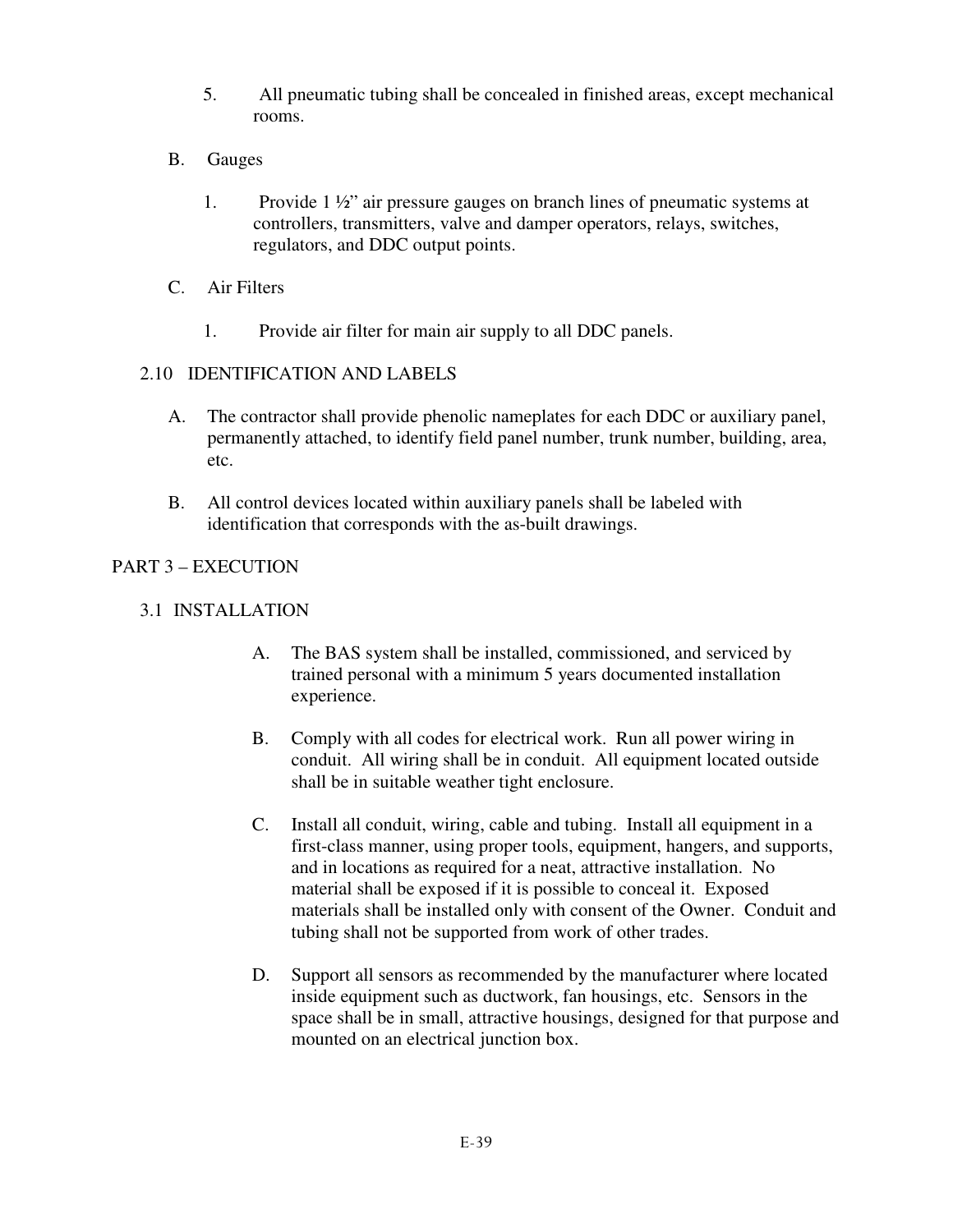- 5. All pneumatic tubing shall be concealed in finished areas, except mechanical rooms.
- B. Gauges
	- 1. Provide 1 ½" air pressure gauges on branch lines of pneumatic systems at controllers, transmitters, valve and damper operators, relays, switches, regulators, and DDC output points.
- C. Air Filters
	- 1. Provide air filter for main air supply to all DDC panels.

## 2.10 IDENTIFICATION AND LABELS

- A. The contractor shall provide phenolic nameplates for each DDC or auxiliary panel, permanently attached, to identify field panel number, trunk number, building, area, etc.
- B. All control devices located within auxiliary panels shall be labeled with identification that corresponds with the as-built drawings.

# PART 3 – EXECUTION

- 3.1 INSTALLATION
	- A. The BAS system shall be installed, commissioned, and serviced by trained personal with a minimum 5 years documented installation experience.
	- B. Comply with all codes for electrical work. Run all power wiring in conduit. All wiring shall be in conduit. All equipment located outside shall be in suitable weather tight enclosure.
	- C. Install all conduit, wiring, cable and tubing. Install all equipment in a first-class manner, using proper tools, equipment, hangers, and supports, and in locations as required for a neat, attractive installation. No material shall be exposed if it is possible to conceal it. Exposed materials shall be installed only with consent of the Owner. Conduit and tubing shall not be supported from work of other trades.
	- D. Support all sensors as recommended by the manufacturer where located inside equipment such as ductwork, fan housings, etc. Sensors in the space shall be in small, attractive housings, designed for that purpose and mounted on an electrical junction box.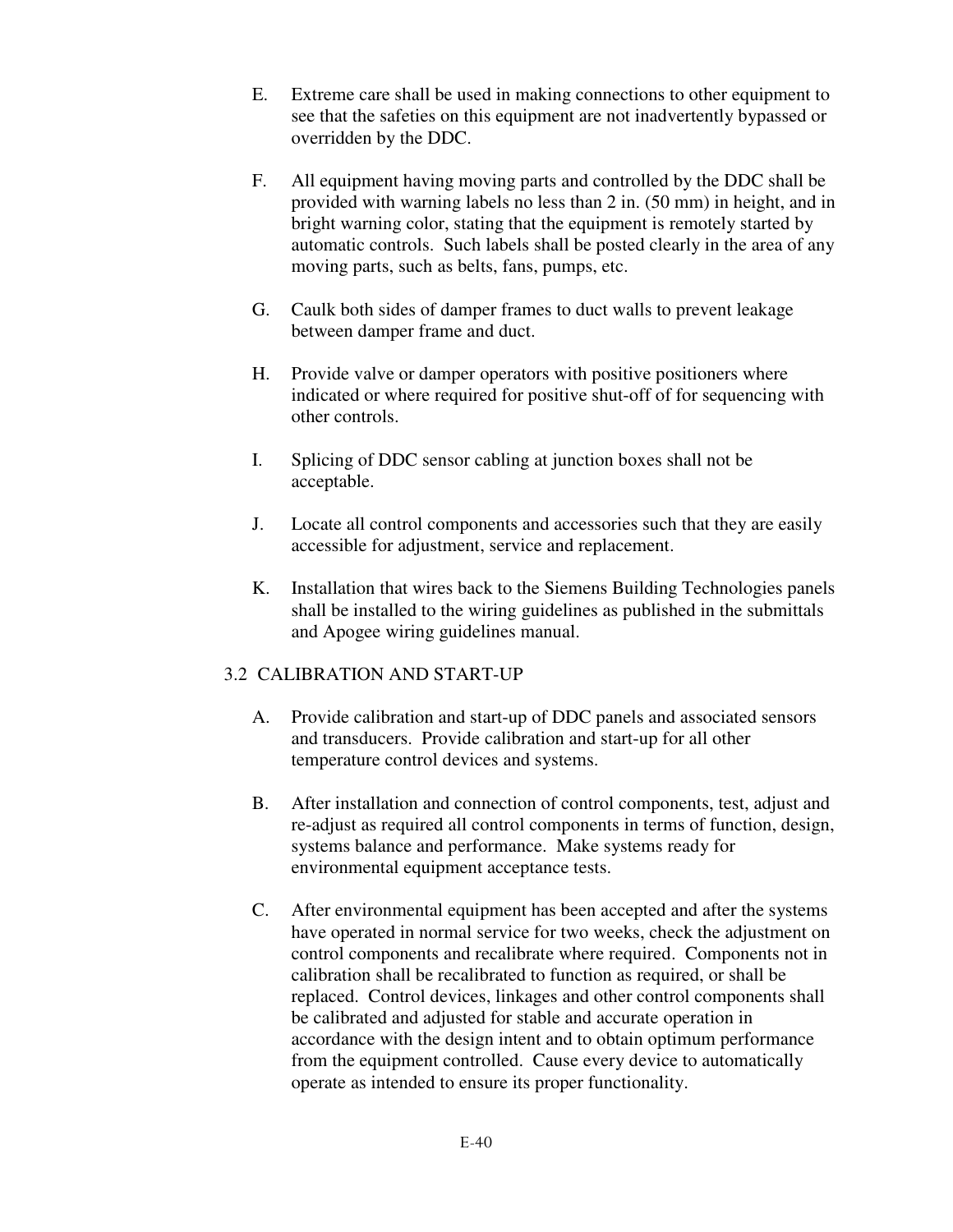- E. Extreme care shall be used in making connections to other equipment to see that the safeties on this equipment are not inadvertently bypassed or overridden by the DDC.
- F. All equipment having moving parts and controlled by the DDC shall be provided with warning labels no less than 2 in. (50 mm) in height, and in bright warning color, stating that the equipment is remotely started by automatic controls. Such labels shall be posted clearly in the area of any moving parts, such as belts, fans, pumps, etc.
- G. Caulk both sides of damper frames to duct walls to prevent leakage between damper frame and duct.
- H. Provide valve or damper operators with positive positioners where indicated or where required for positive shut-off of for sequencing with other controls.
- I. Splicing of DDC sensor cabling at junction boxes shall not be acceptable.
- J. Locate all control components and accessories such that they are easily accessible for adjustment, service and replacement.
- K. Installation that wires back to the Siemens Building Technologies panels shall be installed to the wiring guidelines as published in the submittals and Apogee wiring guidelines manual.

# 3.2 CALIBRATION AND START-UP

- A. Provide calibration and start-up of DDC panels and associated sensors and transducers. Provide calibration and start-up for all other temperature control devices and systems.
- B. After installation and connection of control components, test, adjust and re-adjust as required all control components in terms of function, design, systems balance and performance. Make systems ready for environmental equipment acceptance tests.
- C. After environmental equipment has been accepted and after the systems have operated in normal service for two weeks, check the adjustment on control components and recalibrate where required. Components not in calibration shall be recalibrated to function as required, or shall be replaced. Control devices, linkages and other control components shall be calibrated and adjusted for stable and accurate operation in accordance with the design intent and to obtain optimum performance from the equipment controlled. Cause every device to automatically operate as intended to ensure its proper functionality.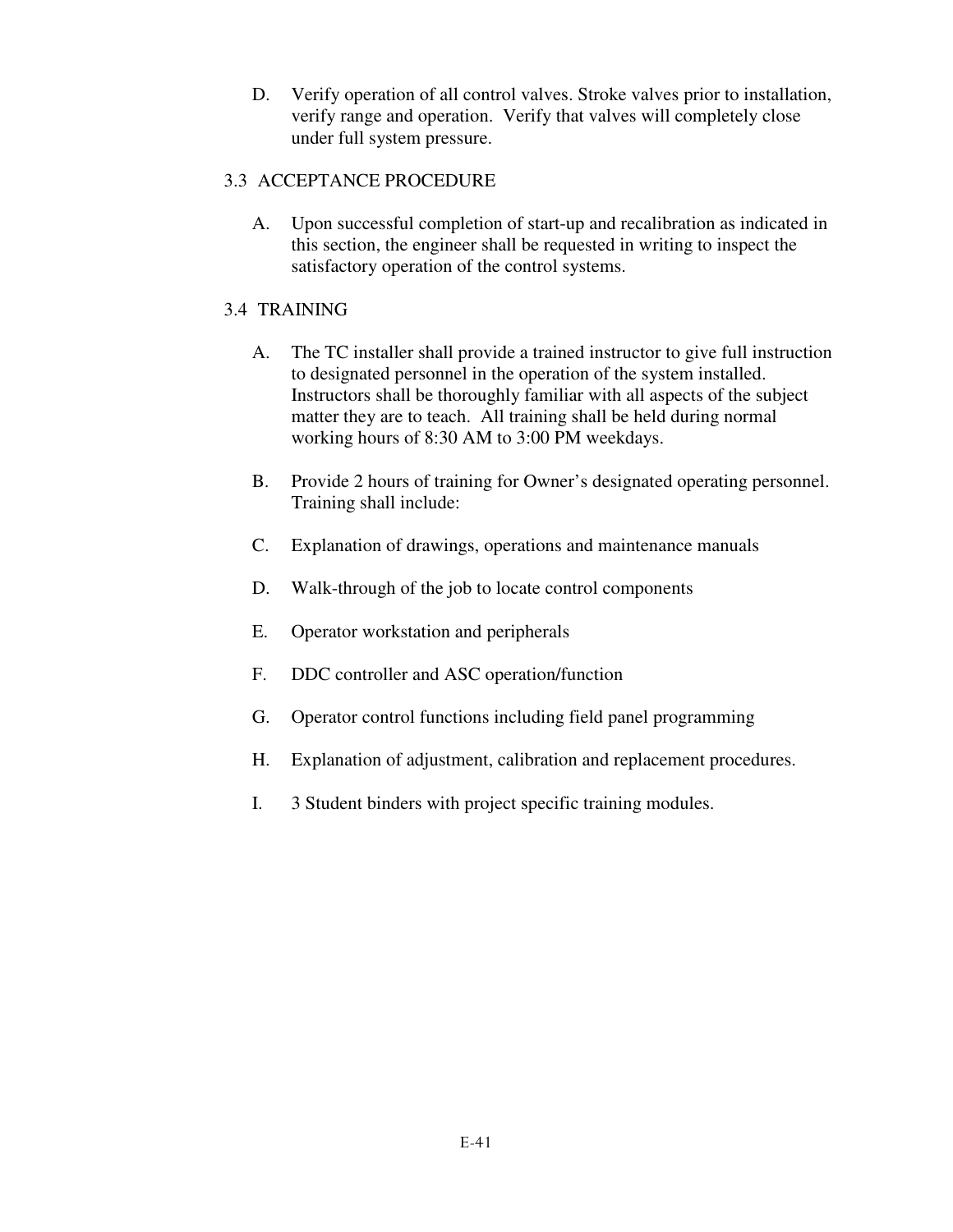D. Verify operation of all control valves. Stroke valves prior to installation, verify range and operation. Verify that valves will completely close under full system pressure.

# 3.3 ACCEPTANCE PROCEDURE

A. Upon successful completion of start-up and recalibration as indicated in this section, the engineer shall be requested in writing to inspect the satisfactory operation of the control systems.

# 3.4 TRAINING

- A. The TC installer shall provide a trained instructor to give full instruction to designated personnel in the operation of the system installed. Instructors shall be thoroughly familiar with all aspects of the subject matter they are to teach. All training shall be held during normal working hours of 8:30 AM to 3:00 PM weekdays.
- B. Provide 2 hours of training for Owner's designated operating personnel. Training shall include:
- C. Explanation of drawings, operations and maintenance manuals
- D. Walk-through of the job to locate control components
- E. Operator workstation and peripherals
- F. DDC controller and ASC operation/function
- G. Operator control functions including field panel programming
- H. Explanation of adjustment, calibration and replacement procedures.
- I. 3 Student binders with project specific training modules.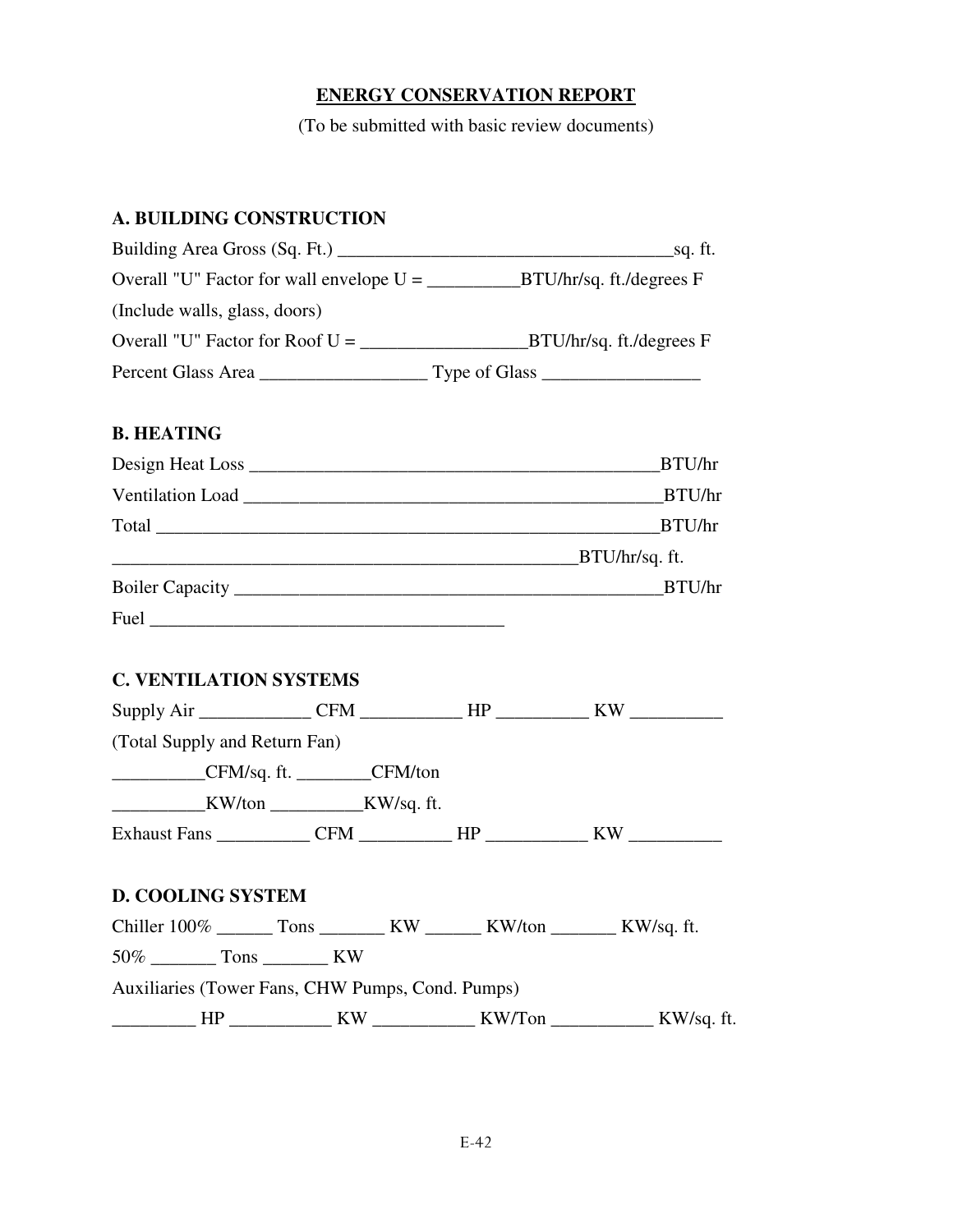## **ENERGY CONSERVATION REPORT**

(To be submitted with basic review documents)

# **A. BUILDING CONSTRUCTION**

| Building Area Gross (Sq. Ft.) _______      | _sq. ft.                               |
|--------------------------------------------|----------------------------------------|
| Overall "U" Factor for wall envelope $U =$ | $_BTU/hr/sq.$ ft./degrees F            |
| (Include walls, glass, doors)              |                                        |
| Overall "U" Factor for Roof U =            | BTU/hr/sq. ft./degrees F               |
| Percent Glass Area                         | Type of Glass $\overline{\phantom{a}}$ |

### **B. HEATING**

|      | BTU/hr         |
|------|----------------|
|      | BTU/hr         |
|      | BTU/hr         |
|      | BTU/hr/sq. ft. |
|      | BTU/hr         |
| Fuel |                |

# **C. VENTILATION SYSTEMS**

| Supply Air ________________CFM ______________HP ______________KW _______________ |  |  |
|----------------------------------------------------------------------------------|--|--|
| (Total Supply and Return Fan)                                                    |  |  |
| ______________CFM/sq. ft. ___________CFM/ton                                     |  |  |
|                                                                                  |  |  |
| Exhaust Fans _____________CFM ____________HP ______________KW __________________ |  |  |
| <b>D. COOLING SYSTEM</b>                                                         |  |  |
|                                                                                  |  |  |
| $50\%$ Tons KW                                                                   |  |  |
| Auxiliaries (Tower Fans, CHW Pumps, Cond. Pumps)                                 |  |  |
|                                                                                  |  |  |